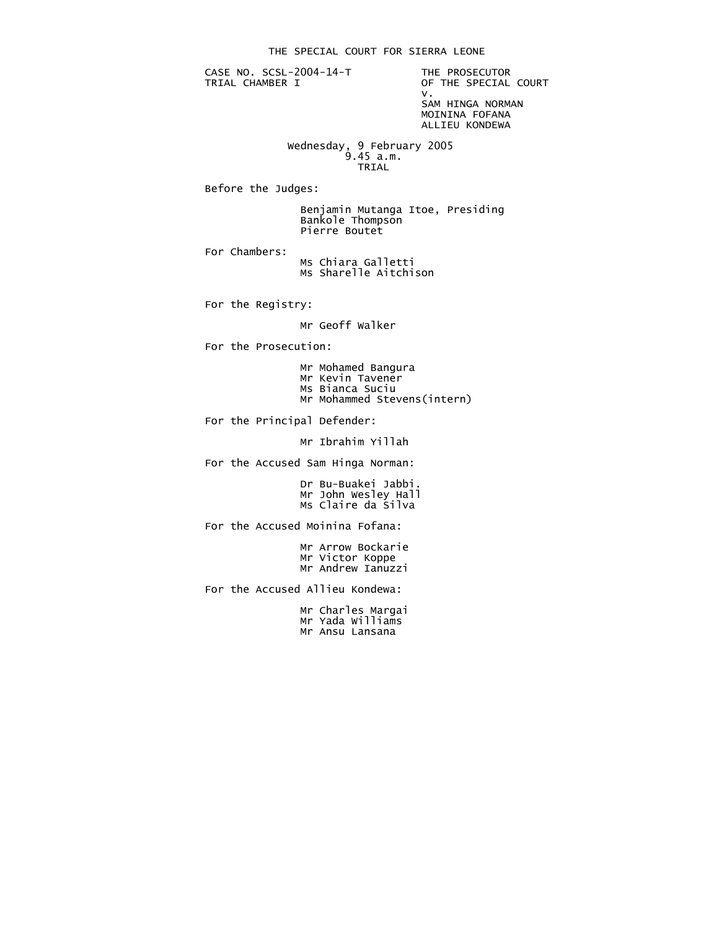CASE NO. SCSL-2004-14-T THE PROSECUTOR<br>TRIAL CHAMBER I OF THE SPECIAL

OF THE SPECIAL COURT<br>V. v. SAM HINGA NORMAN MOININA FOFANA

ALLIEU KONDEWA

 Wednesday, 9 February 2005 9.45 a.m. **TRIAL** 

Before the Judges:

 Benjamin Mutanga Itoe, Presiding Bankole Thompson Pierre Boutet

For Chambers:

 Ms Chiara Galletti Ms Sharelle Aitchison

For the Registry:

Mr Geoff Walker

For the Prosecution:

- Mr Mohamed Bangura
- Mr Kevin Tavener
- Ms Bianca Suciu
- Mr Mohammed Stevens(intern)

For the Principal Defender:

Mr Ibrahim Yillah

For the Accused Sam Hinga Norman:

 Dr Bu-Buakei Jabbi. Mr John Wesley Hall Ms Claire da Silva

For the Accused Moinina Fofana:

 Mr Arrow Bockarie Mr Victor Koppe Mr Andrew Ianuzzi

For the Accused Allieu Kondewa:

 Mr Charles Margai Mr Yada Williams Mr Ansu Lansana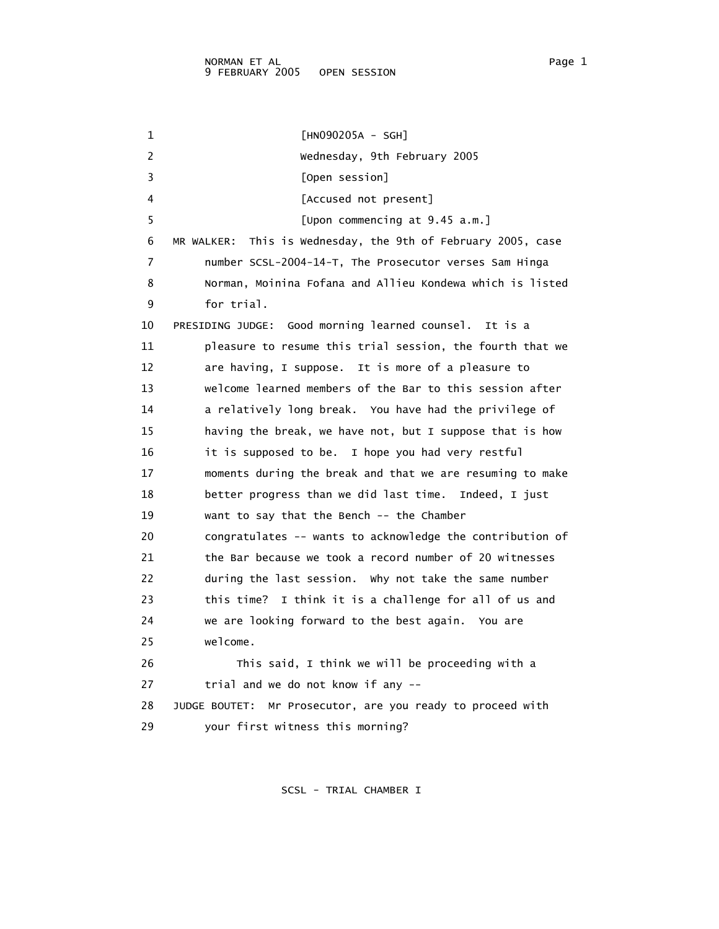1 [HN090205A - SGH] 2 Wednesday, 9th February 2005 3 [Open session] 4 [Accused not present] 5 [Upon commencing at 9.45 a.m.] 6 MR WALKER: This is Wednesday, the 9th of February 2005, case 7 number SCSL-2004-14-T, The Prosecutor verses Sam Hinga 8 Norman, Moinina Fofana and Allieu Kondewa which is listed 9 for trial. 10 PRESIDING JUDGE: Good morning learned counsel. It is a 11 pleasure to resume this trial session, the fourth that we 12 are having, I suppose. It is more of a pleasure to 13 welcome learned members of the Bar to this session after 14 a relatively long break. You have had the privilege of 15 having the break, we have not, but I suppose that is how 16 it is supposed to be. I hope you had very restful 17 moments during the break and that we are resuming to make 18 better progress than we did last time. Indeed, I just 19 want to say that the Bench -- the Chamber 20 congratulates -- wants to acknowledge the contribution of 21 the Bar because we took a record number of 20 witnesses 22 during the last session. Why not take the same number 23 this time? I think it is a challenge for all of us and 24 we are looking forward to the best again. You are 25 welcome. 26 This said, I think we will be proceeding with a 27 trial and we do not know if any -- 28 JUDGE BOUTET: Mr Prosecutor, are you ready to proceed with 29 your first witness this morning?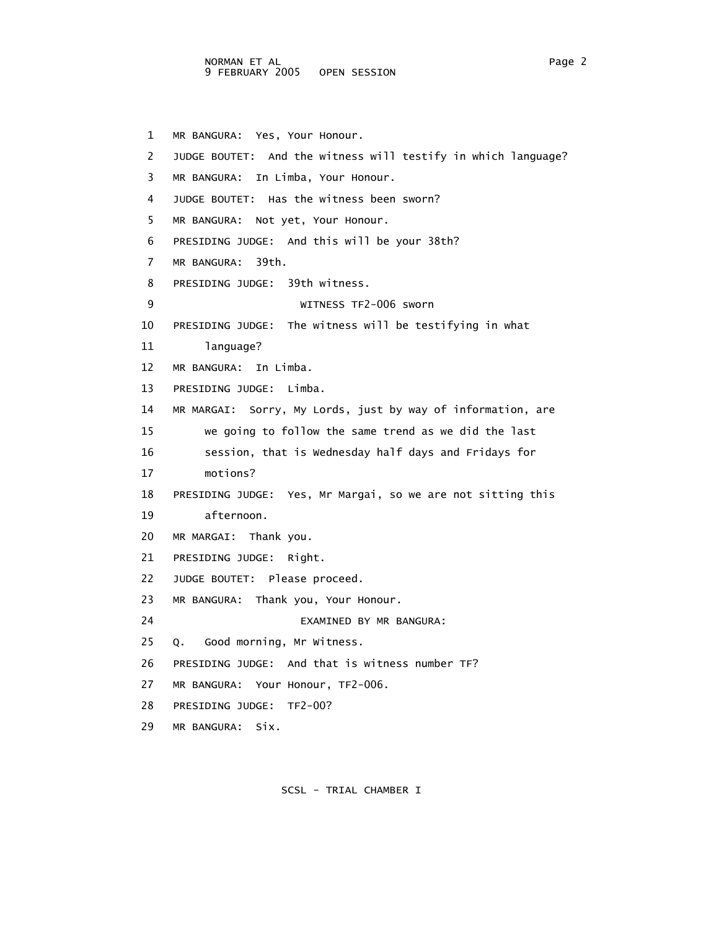NORMAN ET AL Page 2 9 FEBRUARY 2005 OPEN SESSION

 1 MR BANGURA: Yes, Your Honour. 2 JUDGE BOUTET: And the witness will testify in which language? 3 MR BANGURA: In Limba, Your Honour. 4 JUDGE BOUTET: Has the witness been sworn? 5 MR BANGURA: Not yet, Your Honour. 6 PRESIDING JUDGE: And this will be your 38th? 7 MR BANGURA: 39th. 8 PRESIDING JUDGE: 39th witness. 9 WITNESS TF2-006 sworn 10 PRESIDING JUDGE: The witness will be testifying in what 11 language? 12 MR BANGURA: In Limba. 13 PRESIDING JUDGE: Limba. 14 MR MARGAI: Sorry, My Lords, just by way of information, are 15 we going to follow the same trend as we did the last 16 session, that is Wednesday half days and Fridays for 17 motions? 18 PRESIDING JUDGE: Yes, Mr Margai, so we are not sitting this 19 afternoon. 20 MR MARGAI: Thank you. 21 PRESIDING JUDGE: Right. 22 JUDGE BOUTET: Please proceed. 23 MR BANGURA: Thank you, Your Honour. 24 EXAMINED BY MR BANGURA: 25 Q. Good morning, Mr Witness. 26 PRESIDING JUDGE: And that is witness number TF? 27 MR BANGURA: Your Honour, TF2-006. 28 PRESIDING JUDGE: TF2-00? 29 MR BANGURA: Six.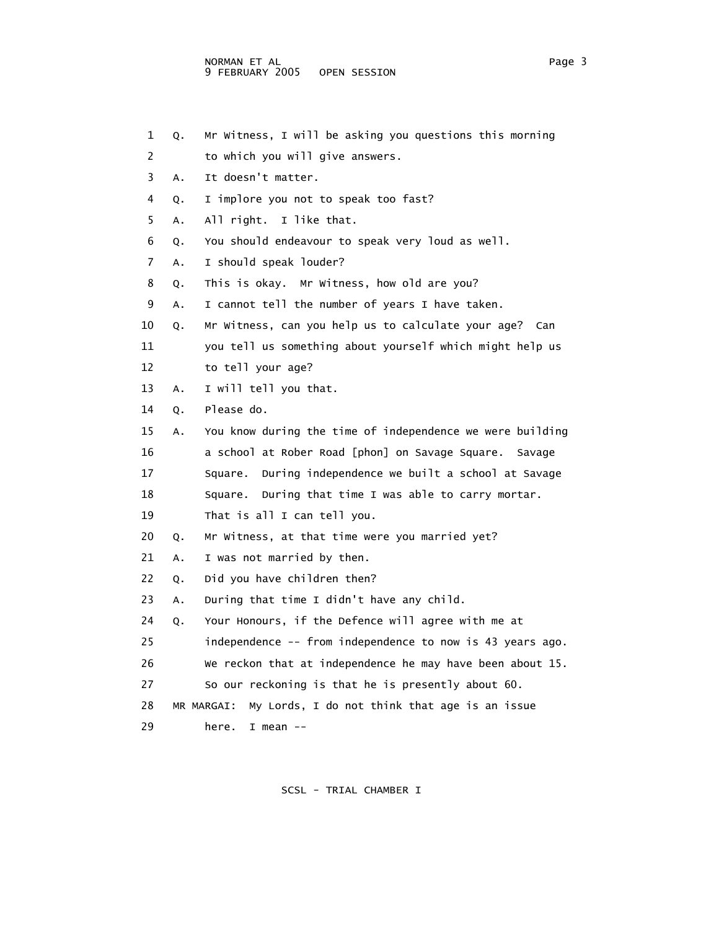4 Q. I implore you not to speak too fast?

2 to which you will give answers.

- 5 A. All right. I like that.
- 6 Q. You should endeavour to speak very loud as well.
- 7 A. I should speak louder?

3 A. It doesn't matter.

- 8 Q. This is okay. Mr Witness, how old are you?
- 9 A. I cannot tell the number of years I have taken.
- 10 Q. Mr Witness, can you help us to calculate your age? Can
- 11 you tell us something about yourself which might help us
- 12 to tell your age?
- 13 A. I will tell you that.
- 14 Q. Please do.
- 15 A. You know during the time of independence we were building 16 a school at Rober Road [phon] on Savage Square. Savage 17 Square. During independence we built a school at Savage 18 Square. During that time I was able to carry mortar. 19 That is all I can tell you.
- 20 Q. Mr Witness, at that time were you married yet?
- 21 A. I was not married by then.
- 22 Q. Did you have children then?
- 23 A. During that time I didn't have any child.
- 24 Q. Your Honours, if the Defence will agree with me at
- 25 independence -- from independence to now is 43 years ago.
- 26 We reckon that at independence he may have been about 15.
- 27 So our reckoning is that he is presently about 60.
- 28 MR MARGAI: My Lords, I do not think that age is an issue
- 29 here. I mean --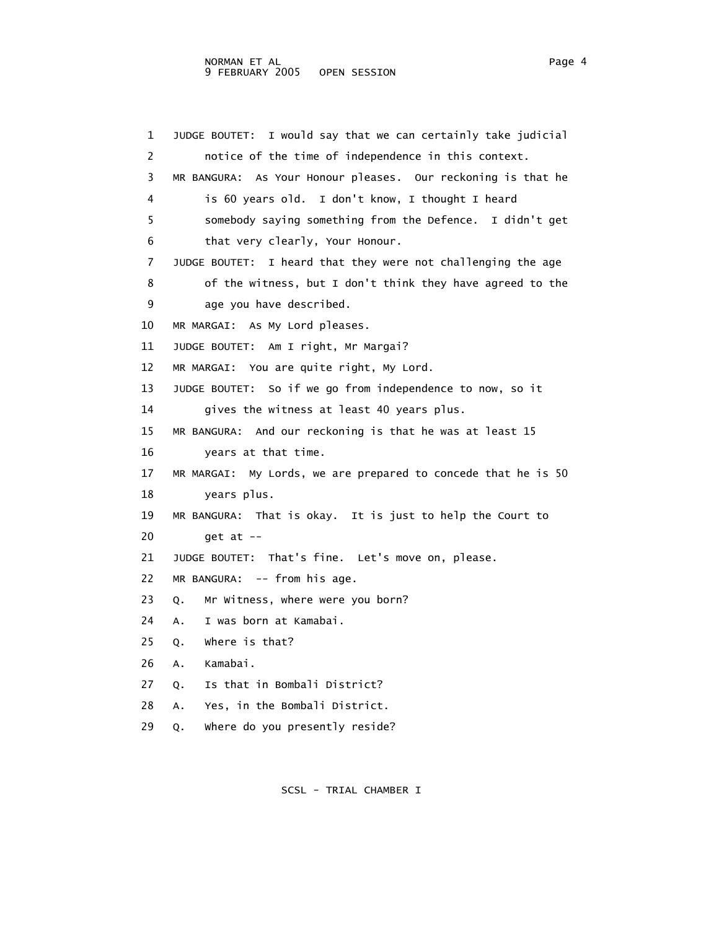1 JUDGE BOUTET: I would say that we can certainly take judicial 2 notice of the time of independence in this context. 3 MR BANGURA: As Your Honour pleases. Our reckoning is that he 4 is 60 years old. I don't know, I thought I heard 5 somebody saying something from the Defence. I didn't get 6 that very clearly, Your Honour. 7 JUDGE BOUTET: I heard that they were not challenging the age 8 of the witness, but I don't think they have agreed to the 9 age you have described. 10 MR MARGAI: As My Lord pleases. 11 JUDGE BOUTET: Am I right, Mr Margai? 12 MR MARGAI: You are quite right, My Lord. 13 JUDGE BOUTET: So if we go from independence to now, so it 14 gives the witness at least 40 years plus. 15 MR BANGURA: And our reckoning is that he was at least 15 16 years at that time. 17 MR MARGAI: My Lords, we are prepared to concede that he is 50 18 years plus. 19 MR BANGURA: That is okay. It is just to help the Court to 20 get at -- 21 JUDGE BOUTET: That's fine. Let's move on, please. 22 MR BANGURA: -- from his age. 23 Q. Mr Witness, where were you born? 24 A. I was born at Kamabai. 25 Q. Where is that? 26 A. Kamabai. 27 Q. Is that in Bombali District? 28 A. Yes, in the Bombali District. 29 Q. Where do you presently reside?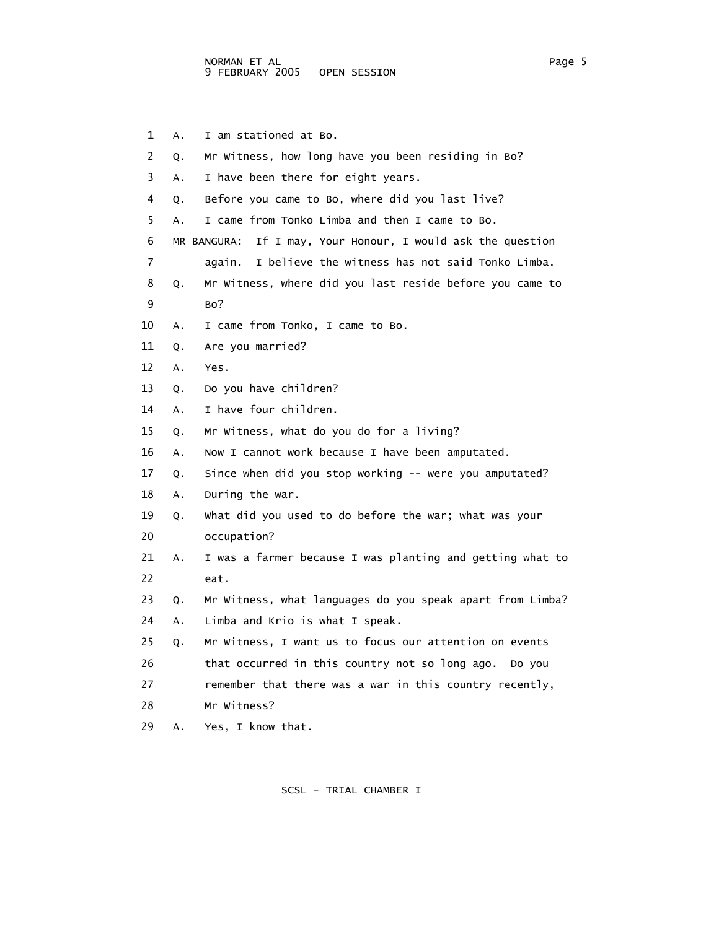1 A. I am stationed at Bo. 2 Q. Mr Witness, how long have you been residing in Bo? 3 A. I have been there for eight years. 4 Q. Before you came to Bo, where did you last live? 5 A. I came from Tonko Limba and then I came to Bo. 6 MR BANGURA: If I may, Your Honour, I would ask the question 7 again. I believe the witness has not said Tonko Limba. 8 Q. Mr Witness, where did you last reside before you came to 9 Bo? 10 A. I came from Tonko, I came to Bo. 11 Q. Are you married? 12 A. Yes. 13 Q. Do you have children? 14 A. I have four children. 15 Q. Mr Witness, what do you do for a living? 16 A. Now I cannot work because I have been amputated. 17 Q. Since when did you stop working -- were you amputated? 18 A. During the war. 19 Q. What did you used to do before the war; what was your 20 occupation? 21 A. I was a farmer because I was planting and getting what to 22 eat. 23 Q. Mr Witness, what languages do you speak apart from Limba? 24 A. Limba and Krio is what I speak. 25 Q. Mr Witness, I want us to focus our attention on events 26 that occurred in this country not so long ago. Do you 27 remember that there was a war in this country recently, 28 Mr Witness? 29 A. Yes, I know that.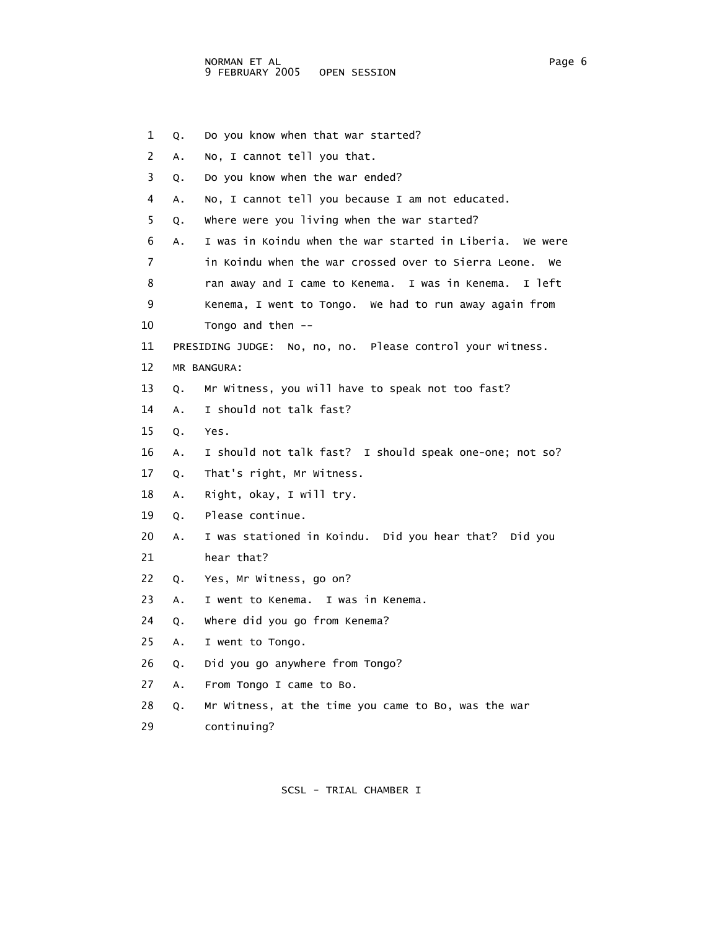1 Q. Do you know when that war started? 2 A. No, I cannot tell you that. 3 Q. Do you know when the war ended? 4 A. No, I cannot tell you because I am not educated. 5 Q. Where were you living when the war started? 6 A. I was in Koindu when the war started in Liberia. We were 7 in Koindu when the war crossed over to Sierra Leone. We 8 ran away and I came to Kenema. I was in Kenema. I left 9 Kenema, I went to Tongo. We had to run away again from 10 Tongo and then -- 11 PRESIDING JUDGE: No, no, no. Please control your witness. 12 MR BANGURA: 13 Q. Mr Witness, you will have to speak not too fast? 14 A. I should not talk fast? 15 Q. Yes. 16 A. I should not talk fast? I should speak one-one; not so? 17 Q. That's right, Mr Witness. 18 A. Right, okay, I will try. 19 Q. Please continue. 20 A. I was stationed in Koindu. Did you hear that? Did you 21 hear that? 22 Q. Yes, Mr Witness, go on? 23 A. I went to Kenema. I was in Kenema. 24 Q. Where did you go from Kenema? 25 A. I went to Tongo. 26 Q. Did you go anywhere from Tongo? 27 A. From Tongo I came to Bo. 28 Q. Mr Witness, at the time you came to Bo, was the war 29 continuing?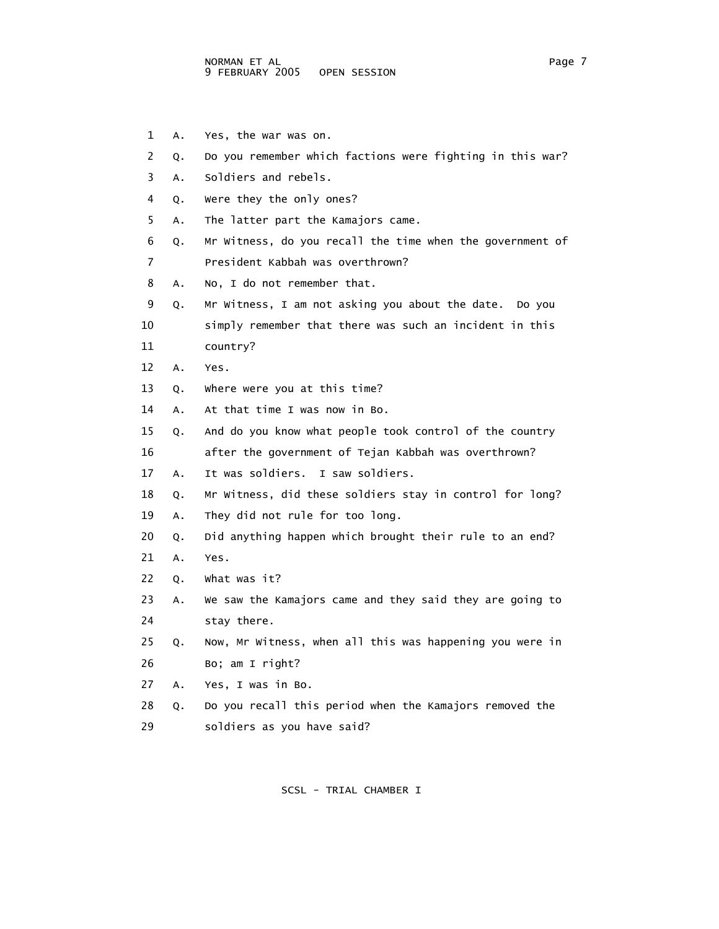- 1 A. Yes, the war was on.
- 2 Q. Do you remember which factions were fighting in this war?
- 3 A. Soldiers and rebels.
- 4 Q. Were they the only ones?
- 5 A. The latter part the Kamajors came.
- 6 Q. Mr Witness, do you recall the time when the government of 7 President Kabbah was overthrown?
- 8 A. No, I do not remember that.
- 9 Q. Mr Witness, I am not asking you about the date. Do you
- 10 simply remember that there was such an incident in this
- 11 country?
- 12 A. Yes.
- 13 Q. Where were you at this time?
- 14 A. At that time I was now in Bo.
- 15 Q. And do you know what people took control of the country
- 16 after the government of Tejan Kabbah was overthrown?
- 17 A. It was soldiers. I saw soldiers.
- 18 Q. Mr Witness, did these soldiers stay in control for long?
- 19 A. They did not rule for too long.
- 20 Q. Did anything happen which brought their rule to an end?
- 21 A. Yes.
- 22 Q. What was it?
- 23 A. We saw the Kamajors came and they said they are going to 24 stay there.
- 25 Q. Now, Mr Witness, when all this was happening you were in 26 Bo; am I right?
- 27 A. Yes, I was in Bo.
- 28 Q. Do you recall this period when the Kamajors removed the 29 soldiers as you have said?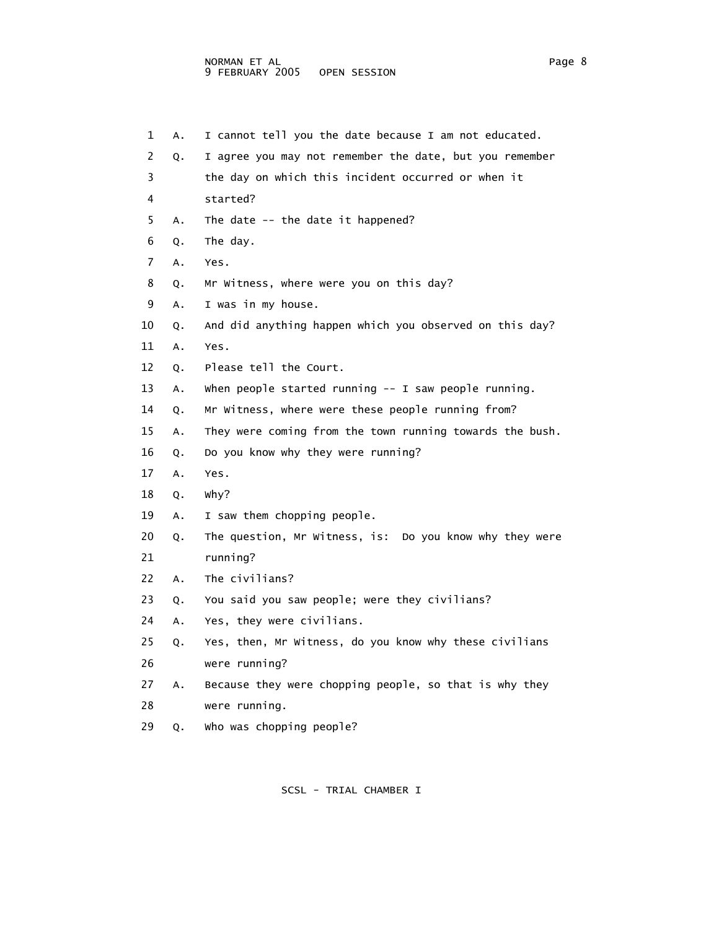1 A. I cannot tell you the date because I am not educated. 2 Q. I agree you may not remember the date, but you remember 3 the day on which this incident occurred or when it 4 started? 5 A. The date -- the date it happened? 6 Q. The day. 7 A. Yes. 8 Q. Mr Witness, where were you on this day? 9 A. I was in my house. 10 Q. And did anything happen which you observed on this day? 11 A. Yes. 12 Q. Please tell the Court. 13 A. When people started running -- I saw people running. 14 Q. Mr Witness, where were these people running from? 15 A. They were coming from the town running towards the bush. 16 Q. Do you know why they were running? 17 A. Yes. 18 Q. Why? 19 A. I saw them chopping people. 20 Q. The question, Mr Witness, is: Do you know why they were 21 running? 22 A. The civilians? 23 Q. You said you saw people; were they civilians? 24 A. Yes, they were civilians. 25 Q. Yes, then, Mr Witness, do you know why these civilians 26 were running? 27 A. Because they were chopping people, so that is why they 28 were running. 29 Q. Who was chopping people?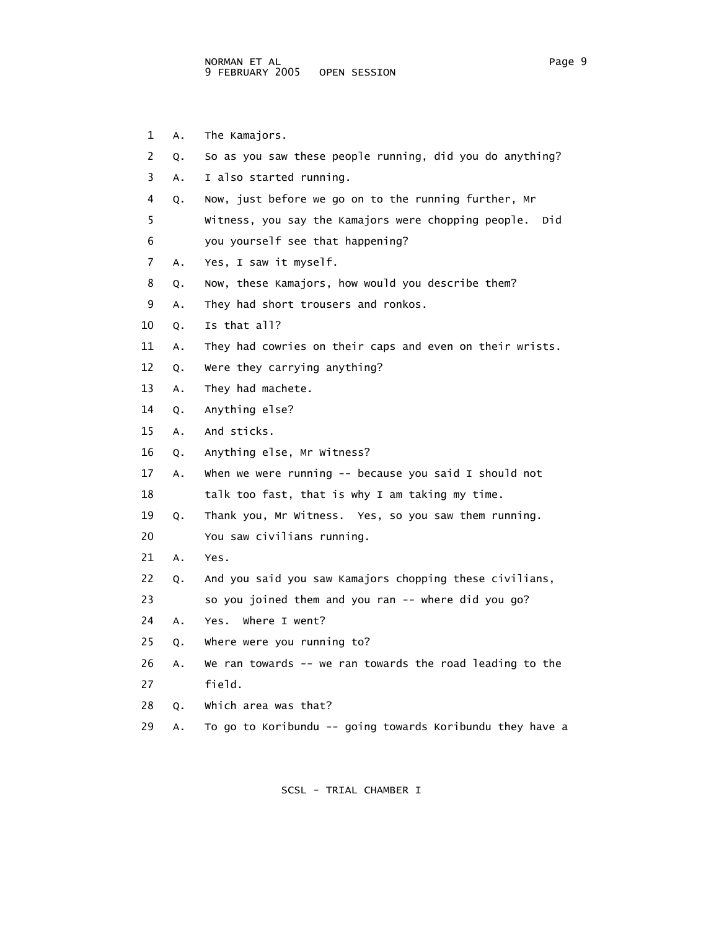- 1 A. The Kamajors.
- 2 Q. So as you saw these people running, did you do anything?
- 3 A. I also started running.
- 4 Q. Now, just before we go on to the running further, Mr
- 5 Witness, you say the Kamajors were chopping people. Did 6 you yourself see that happening?
- 7 A. Yes, I saw it myself.
- 8 Q. Now, these Kamajors, how would you describe them?
- 9 A. They had short trousers and ronkos.
- 10 Q. Is that all?
- 11 A. They had cowries on their caps and even on their wrists.
- 12 Q. Were they carrying anything?
- 13 A. They had machete.
- 14 Q. Anything else?
- 15 A. And sticks.
- 16 Q. Anything else, Mr Witness?
- 17 A. When we were running -- because you said I should not 18 talk too fast, that is why I am taking my time.
- 19 Q. Thank you, Mr Witness. Yes, so you saw them running.
- 20 You saw civilians running.
- 21 A. Yes.
- 22 Q. And you said you saw Kamajors chopping these civilians,
- 23 so you joined them and you ran -- where did you go?
- 24 A. Yes. Where I went?
- 25 Q. Where were you running to?
- 26 A. We ran towards -- we ran towards the road leading to the 27 field.
- 28 Q. Which area was that?
- 29 A. To go to Koribundu -- going towards Koribundu they have a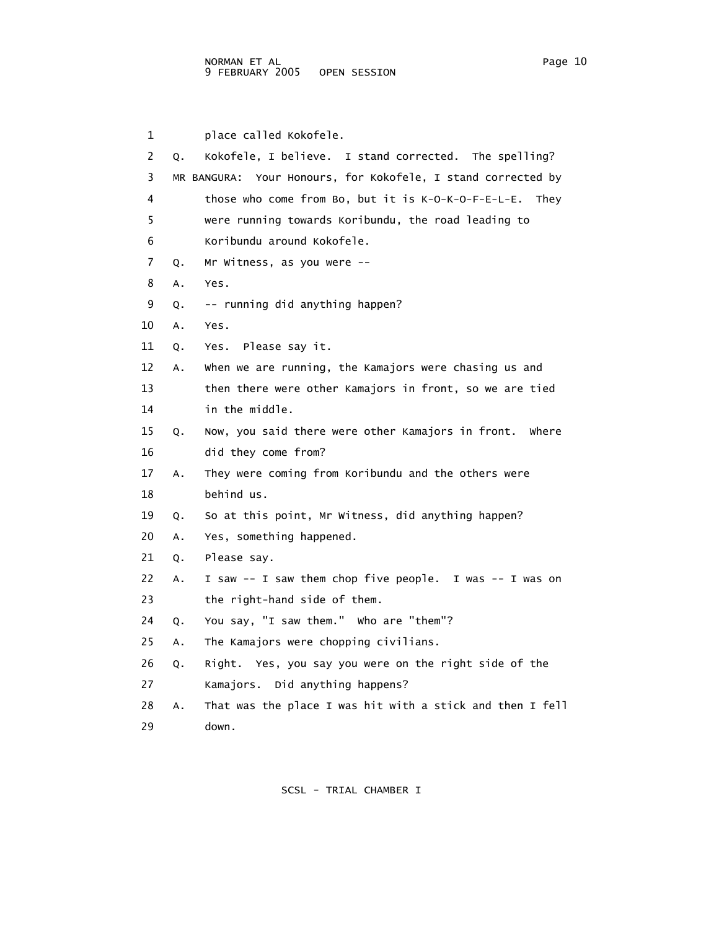1 place called Kokofele. 2 Q. Kokofele, I believe. I stand corrected. The spelling? 3 MR BANGURA: Your Honours, for Kokofele, I stand corrected by 4 those who come from Bo, but it is K-O-K-O-F-E-L-E. They 5 were running towards Koribundu, the road leading to 6 Koribundu around Kokofele. 7 Q. Mr Witness, as you were -- 8 A. Yes. 9 Q. -- running did anything happen? 10 A. Yes. 11 Q. Yes. Please say it. 12 A. When we are running, the Kamajors were chasing us and 13 then there were other Kamajors in front, so we are tied 14 in the middle. 15 Q. Now, you said there were other Kamajors in front. Where 16 did they come from? 17 A. They were coming from Koribundu and the others were 18 behind us. 19 Q. So at this point, Mr Witness, did anything happen? 20 A. Yes, something happened. 21 Q. Please say. 22 A. I saw -- I saw them chop five people. I was -- I was on 23 the right-hand side of them. 24 Q. You say, "I saw them." Who are "them"? 25 A. The Kamajors were chopping civilians. 26 Q. Right. Yes, you say you were on the right side of the 27 Kamajors. Did anything happens? 28 A. That was the place I was hit with a stick and then I fell 29 down.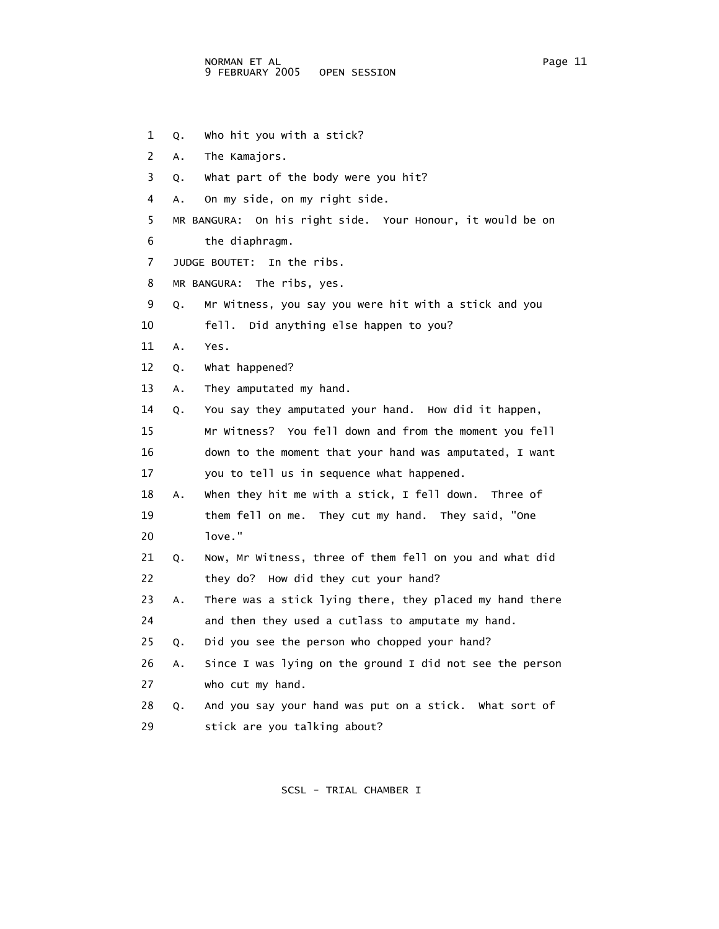1 Q. Who hit you with a stick? 2 A. The Kamajors. 3 Q. What part of the body were you hit? 4 A. On my side, on my right side. 5 MR BANGURA: On his right side. Your Honour, it would be on 6 the diaphragm. 7 JUDGE BOUTET: In the ribs. 8 MR BANGURA: The ribs, yes. 9 Q. Mr Witness, you say you were hit with a stick and you 10 fell. Did anything else happen to you? 11 A. Yes. 12 Q. What happened? 13 A. They amputated my hand. 14 Q. You say they amputated your hand. How did it happen, 15 Mr Witness? You fell down and from the moment you fell 16 down to the moment that your hand was amputated, I want 17 you to tell us in sequence what happened. 18 A. When they hit me with a stick, I fell down. Three of 19 them fell on me. They cut my hand. They said, "One 20 love." 21 Q. Now, Mr Witness, three of them fell on you and what did 22 they do? How did they cut your hand? 23 A. There was a stick lying there, they placed my hand there 24 and then they used a cutlass to amputate my hand. 25 Q. Did you see the person who chopped your hand? 26 A. Since I was lying on the ground I did not see the person 27 who cut my hand. 28 Q. And you say your hand was put on a stick. What sort of 29 stick are you talking about?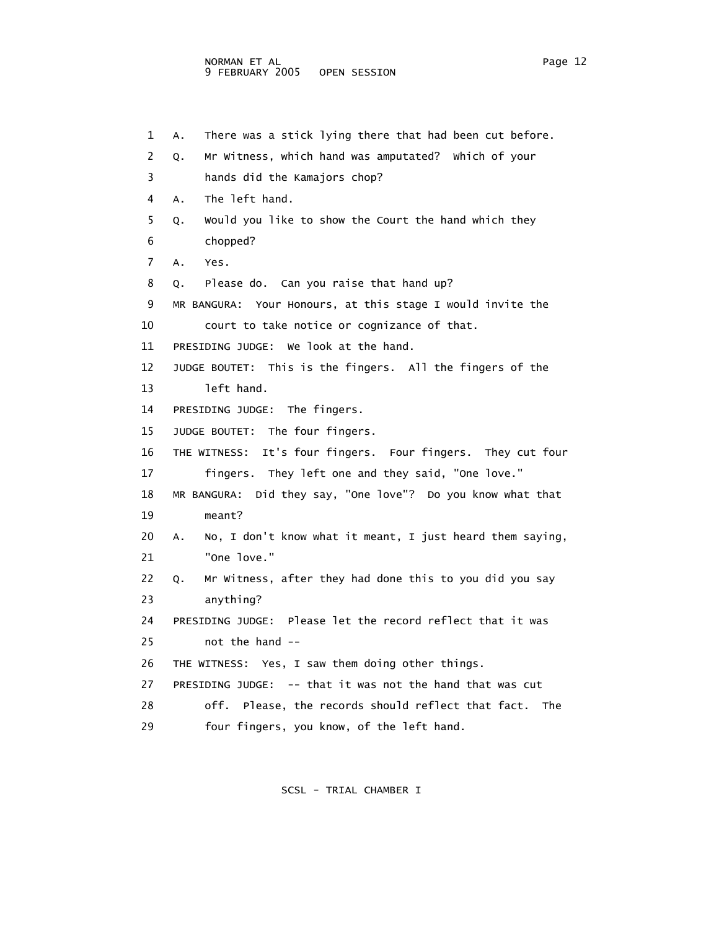1 A. There was a stick lying there that had been cut before. 2 Q. Mr Witness, which hand was amputated? Which of your 3 hands did the Kamajors chop? 4 A. The left hand. 5 Q. Would you like to show the Court the hand which they 6 chopped? 7 A. Yes. 8 Q. Please do. Can you raise that hand up? 9 MR BANGURA: Your Honours, at this stage I would invite the 10 court to take notice or cognizance of that. 11 PRESIDING JUDGE: We look at the hand. 12 JUDGE BOUTET: This is the fingers. All the fingers of the 13 left hand. 14 PRESIDING JUDGE: The fingers. 15 JUDGE BOUTET: The four fingers. 16 THE WITNESS: It's four fingers. Four fingers. They cut four 17 fingers. They left one and they said, "One love." 18 MR BANGURA: Did they say, "One love"? Do you know what that 19 meant? 20 A. No, I don't know what it meant, I just heard them saying, 21 "One love." 22 Q. Mr Witness, after they had done this to you did you say 23 anything? 24 PRESIDING JUDGE: Please let the record reflect that it was 25 not the hand -- 26 THE WITNESS: Yes, I saw them doing other things. 27 PRESIDING JUDGE: -- that it was not the hand that was cut 28 off. Please, the records should reflect that fact. The

29 four fingers, you know, of the left hand.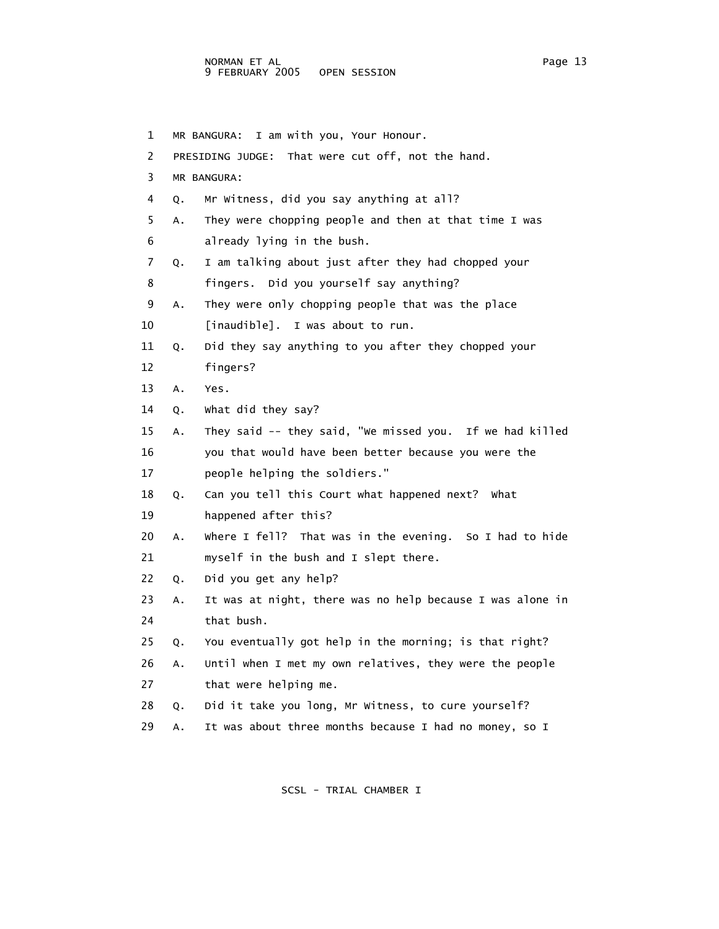1 MR BANGURA: I am with you, Your Honour. 2 PRESIDING JUDGE: That were cut off, not the hand. 3 MR BANGURA: 4 Q. Mr Witness, did you say anything at all? 5 A. They were chopping people and then at that time I was 6 already lying in the bush. 7 Q. I am talking about just after they had chopped your 8 fingers. Did you yourself say anything? 9 A. They were only chopping people that was the place 10 [inaudible]. I was about to run. 11 Q. Did they say anything to you after they chopped your 12 fingers? 13 A. Yes. 14 Q. What did they say? 15 A. They said -- they said, "We missed you. If we had killed 16 you that would have been better because you were the 17 people helping the soldiers." 18 Q. Can you tell this Court what happened next? What 19 happened after this? 20 A. Where I fell? That was in the evening. So I had to hide 21 myself in the bush and I slept there. 22 Q. Did you get any help? 23 A. It was at night, there was no help because I was alone in 24 that bush. 25 Q. You eventually got help in the morning; is that right? 26 A. Until when I met my own relatives, they were the people 27 that were helping me. 28 Q. Did it take you long, Mr Witness, to cure yourself? 29 A. It was about three months because I had no money, so I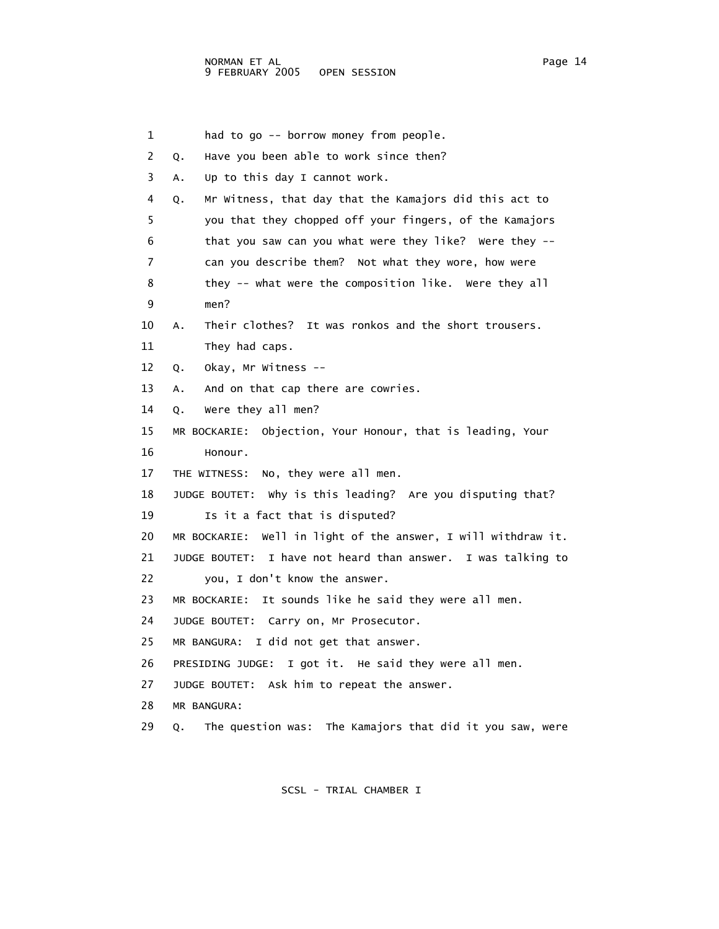1 had to go -- borrow money from people. 2 Q. Have you been able to work since then? 3 A. Up to this day I cannot work. 4 Q. Mr Witness, that day that the Kamajors did this act to 5 you that they chopped off your fingers, of the Kamajors 6 that you saw can you what were they like? Were they -- 7 can you describe them? Not what they wore, how were 8 they -- what were the composition like. Were they all 9 men? 10 A. Their clothes? It was ronkos and the short trousers. 11 They had caps. 12 Q. Okay, Mr Witness -- 13 A. And on that cap there are cowries. 14 Q. Were they all men? 15 MR BOCKARIE: Objection, Your Honour, that is leading, Your 16 Honour. 17 THE WITNESS: No, they were all men. 18 JUDGE BOUTET: Why is this leading? Are you disputing that? 19 Is it a fact that is disputed? 20 MR BOCKARIE: Well in light of the answer, I will withdraw it. 21 JUDGE BOUTET: I have not heard than answer. I was talking to 22 you, I don't know the answer. 23 MR BOCKARIE: It sounds like he said they were all men. 24 JUDGE BOUTET: Carry on, Mr Prosecutor. 25 MR BANGURA: I did not get that answer. 26 PRESIDING JUDGE: I got it. He said they were all men. 27 JUDGE BOUTET: Ask him to repeat the answer. 28 MR BANGURA: 29 Q. The question was: The Kamajors that did it you saw, were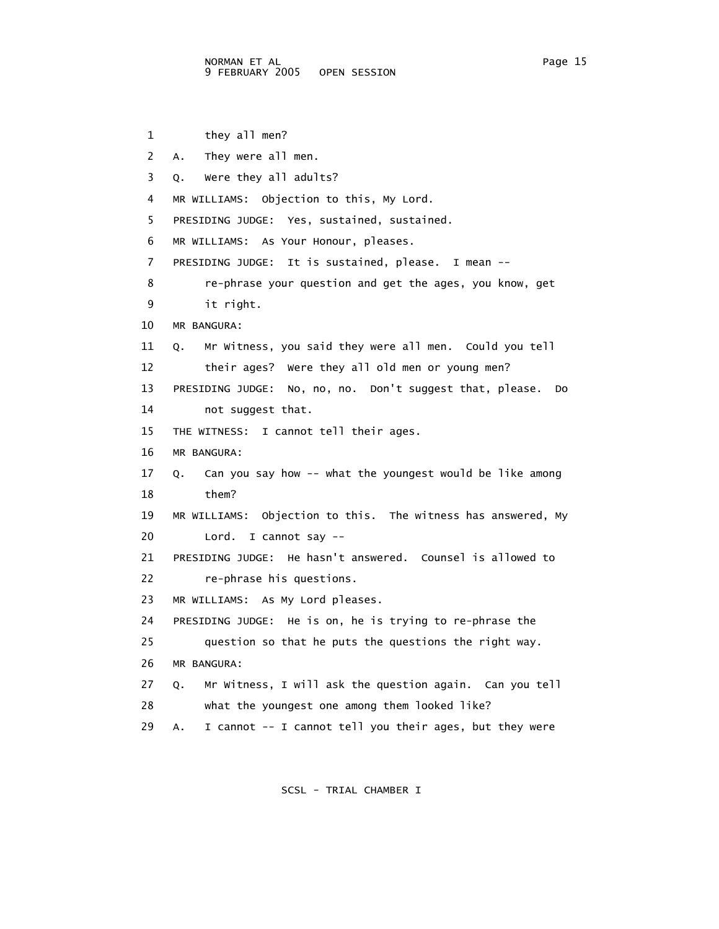```
 1 they all men? 
 2 A. They were all men. 
 3 Q. Were they all adults? 
 4 MR WILLIAMS: Objection to this, My Lord. 
  5 PRESIDING JUDGE: Yes, sustained, sustained. 
 6 MR WILLIAMS: As Your Honour, pleases. 
 7 PRESIDING JUDGE: It is sustained, please. I mean -- 
 8 re-phrase your question and get the ages, you know, get 
 9 it right. 
 10 MR BANGURA: 
 11 Q. Mr Witness, you said they were all men. Could you tell 
 12 their ages? Were they all old men or young men? 
 13 PRESIDING JUDGE: No, no, no. Don't suggest that, please. Do 
 14 not suggest that. 
 15 THE WITNESS: I cannot tell their ages. 
 16 MR BANGURA: 
 17 Q. Can you say how -- what the youngest would be like among 
 18 them? 
 19 MR WILLIAMS: Objection to this. The witness has answered, My 
 20 Lord. I cannot say -- 
 21 PRESIDING JUDGE: He hasn't answered. Counsel is allowed to 
 22 re-phrase his questions. 
 23 MR WILLIAMS: As My Lord pleases. 
 24 PRESIDING JUDGE: He is on, he is trying to re-phrase the 
 25 question so that he puts the questions the right way. 
 26 MR BANGURA: 
 27 Q. Mr Witness, I will ask the question again. Can you tell 
 28 what the youngest one among them looked like? 
 29 A. I cannot -- I cannot tell you their ages, but they were
```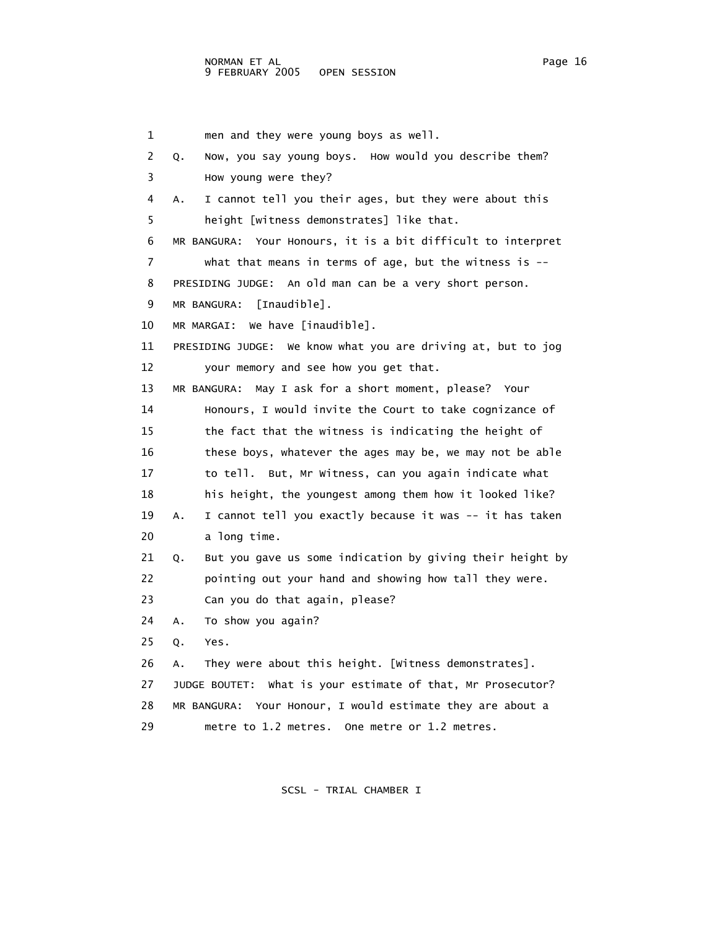1 men and they were young boys as well. 2 Q. Now, you say young boys. How would you describe them? 3 How young were they? 4 A. I cannot tell you their ages, but they were about this 5 height [witness demonstrates] like that. 6 MR BANGURA: Your Honours, it is a bit difficult to interpret 7 what that means in terms of age, but the witness is -- 8 PRESIDING JUDGE: An old man can be a very short person. 9 MR BANGURA: [Inaudible]. 10 MR MARGAI: We have [inaudible]. 11 PRESIDING JUDGE: We know what you are driving at, but to jog 12 your memory and see how you get that. 13 MR BANGURA: May I ask for a short moment, please? Your 14 Honours, I would invite the Court to take cognizance of 15 the fact that the witness is indicating the height of 16 these boys, whatever the ages may be, we may not be able 17 to tell. But, Mr Witness, can you again indicate what 18 his height, the youngest among them how it looked like? 19 A. I cannot tell you exactly because it was -- it has taken 20 a long time. 21 Q. But you gave us some indication by giving their height by 22 pointing out your hand and showing how tall they were. 23 Can you do that again, please? 24 A. To show you again? 25 Q. Yes. 26 A. They were about this height. [Witness demonstrates]. 27 JUDGE BOUTET: What is your estimate of that, Mr Prosecutor? 28 MR BANGURA: Your Honour, I would estimate they are about a 29 metre to 1.2 metres. One metre or 1.2 metres.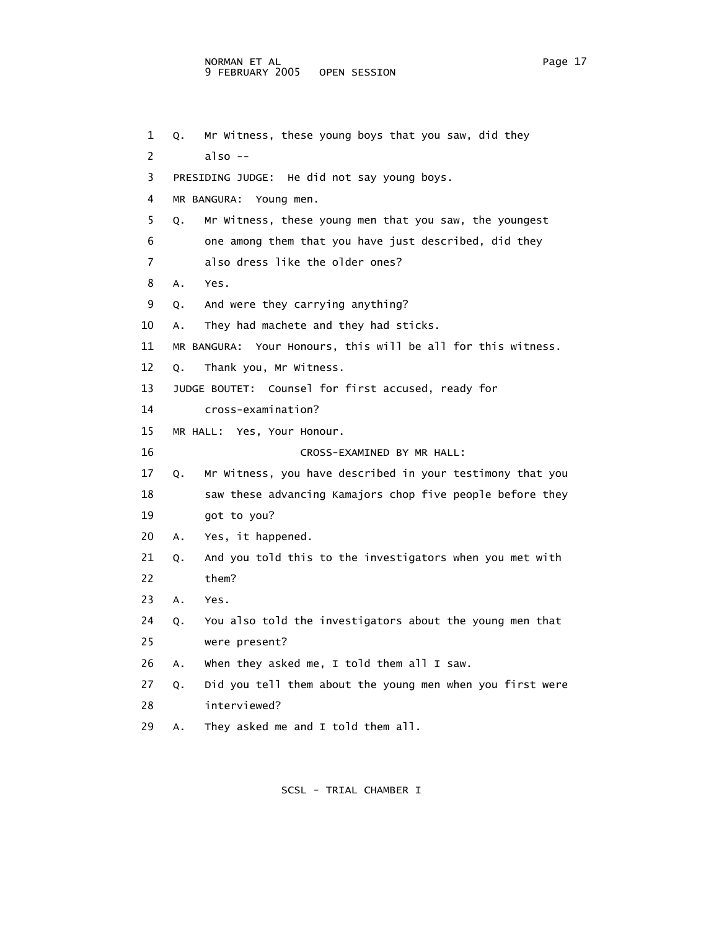## NORMAN ET AL Page 17 9 FEBRUARY 2005 OPEN SESSION

```
 1 Q. Mr Witness, these young boys that you saw, did they 
2 also - 3 PRESIDING JUDGE: He did not say young boys. 
 4 MR BANGURA: Young men. 
 5 Q. Mr Witness, these young men that you saw, the youngest 
 6 one among them that you have just described, did they 
 7 also dress like the older ones? 
 8 A. Yes. 
 9 Q. And were they carrying anything? 
 10 A. They had machete and they had sticks. 
 11 MR BANGURA: Your Honours, this will be all for this witness. 
 12 Q. Thank you, Mr Witness. 
 13 JUDGE BOUTET: Counsel for first accused, ready for 
 14 cross-examination? 
 15 MR HALL: Yes, Your Honour. 
 16 CROSS-EXAMINED BY MR HALL: 
 17 Q. Mr Witness, you have described in your testimony that you 
18 saw these advancing Kamajors chop five people before they
 19 got to you? 
 20 A. Yes, it happened. 
 21 Q. And you told this to the investigators when you met with 
 22 them? 
 23 A. Yes. 
 24 Q. You also told the investigators about the young men that 
 25 were present? 
 26 A. When they asked me, I told them all I saw. 
 27 Q. Did you tell them about the young men when you first were 
 28 interviewed? 
 29 A. They asked me and I told them all.
```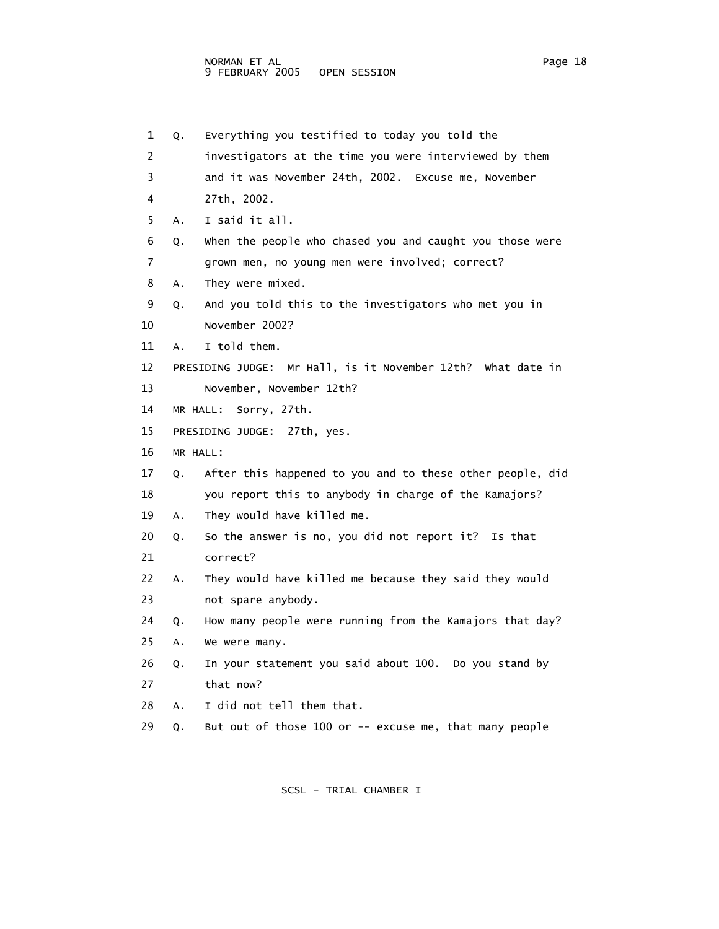| 1  | Q.       | Everything you testified to today you told the              |
|----|----------|-------------------------------------------------------------|
| 2  |          | investigators at the time you were interviewed by them      |
| 3  |          | and it was November 24th, 2002. Excuse me, November         |
| 4  |          | 27th, 2002.                                                 |
| 5  | Α.       | I said it all.                                              |
| 6  | Q.       | when the people who chased you and caught you those were    |
| 7  |          | grown men, no young men were involved; correct?             |
| 8  | Α.       | They were mixed.                                            |
| 9  | Q.       | And you told this to the investigators who met you in       |
| 10 |          | November 2002?                                              |
| 11 | А.       | I told them.                                                |
| 12 |          | PRESIDING JUDGE: Mr Hall, is it November 12th? What date in |
| 13 |          | November, November 12th?                                    |
| 14 |          | MR HALL:<br>Sorry, 27th.                                    |
| 15 |          | PRESIDING JUDGE: 27th, yes.                                 |
| 16 | MR HALL: |                                                             |
| 17 | Q.       | After this happened to you and to these other people, did   |
| 18 |          | you report this to anybody in charge of the Kamajors?       |
| 19 | Α.       | They would have killed me.                                  |
| 20 | Q.       | So the answer is no, you did not report it? Is that         |
| 21 |          | correct?                                                    |
| 22 | Α.       | They would have killed me because they said they would      |
| 23 |          | not spare anybody.                                          |
| 24 | Q.       | How many people were running from the Kamajors that day?    |
| 25 | Α.       | We were many.                                               |
| 26 | Q.       | In your statement you said about 100. Do you stand by       |
| 27 |          | that now?                                                   |
| 28 | Α.       | I did not tell them that.                                   |
| 29 | Q.       | But out of those 100 or -- excuse me, that many people      |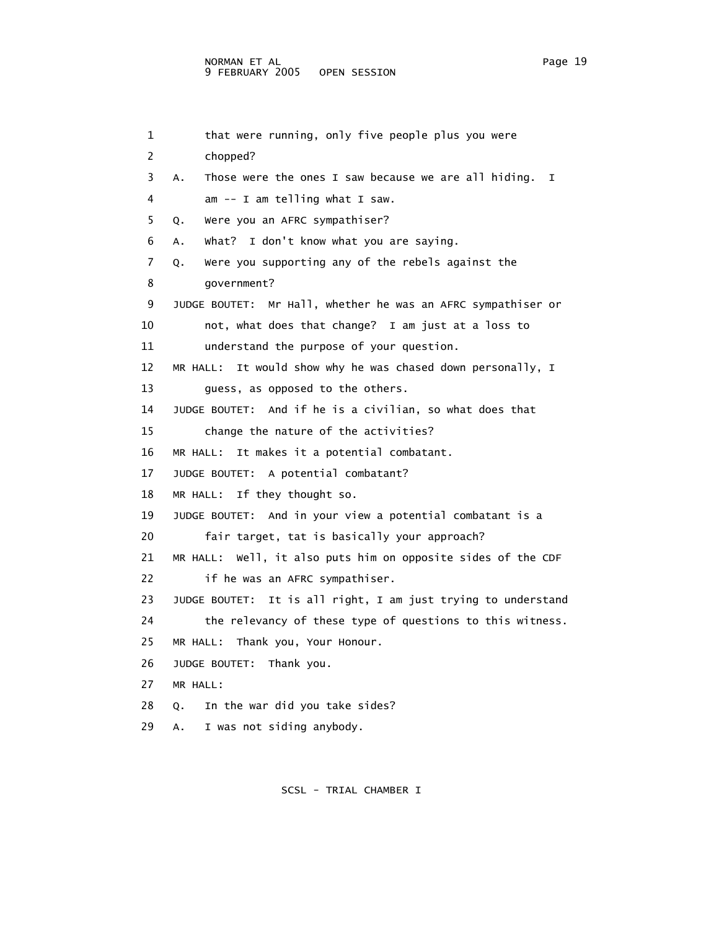```
1 that were running, only five people plus you were
 2 chopped? 
 3 A. Those were the ones I saw because we are all hiding. I 
 4 am -- I am telling what I saw. 
 5 Q. Were you an AFRC sympathiser? 
 6 A. What? I don't know what you are saying. 
 7 Q. Were you supporting any of the rebels against the 
 8 government? 
 9 JUDGE BOUTET: Mr Hall, whether he was an AFRC sympathiser or 
 10 not, what does that change? I am just at a loss to 
 11 understand the purpose of your question. 
 12 MR HALL: It would show why he was chased down personally, I 
 13 guess, as opposed to the others. 
 14 JUDGE BOUTET: And if he is a civilian, so what does that 
 15 change the nature of the activities? 
 16 MR HALL: It makes it a potential combatant. 
 17 JUDGE BOUTET: A potential combatant? 
 18 MR HALL: If they thought so. 
 19 JUDGE BOUTET: And in your view a potential combatant is a 
 20 fair target, tat is basically your approach? 
 21 MR HALL: Well, it also puts him on opposite sides of the CDF 
 22 if he was an AFRC sympathiser. 
 23 JUDGE BOUTET: It is all right, I am just trying to understand 
 24 the relevancy of these type of questions to this witness. 
 25 MR HALL: Thank you, Your Honour. 
 26 JUDGE BOUTET: Thank you. 
 27 MR HALL: 
 28 Q. In the war did you take sides? 
 29 A. I was not siding anybody.
```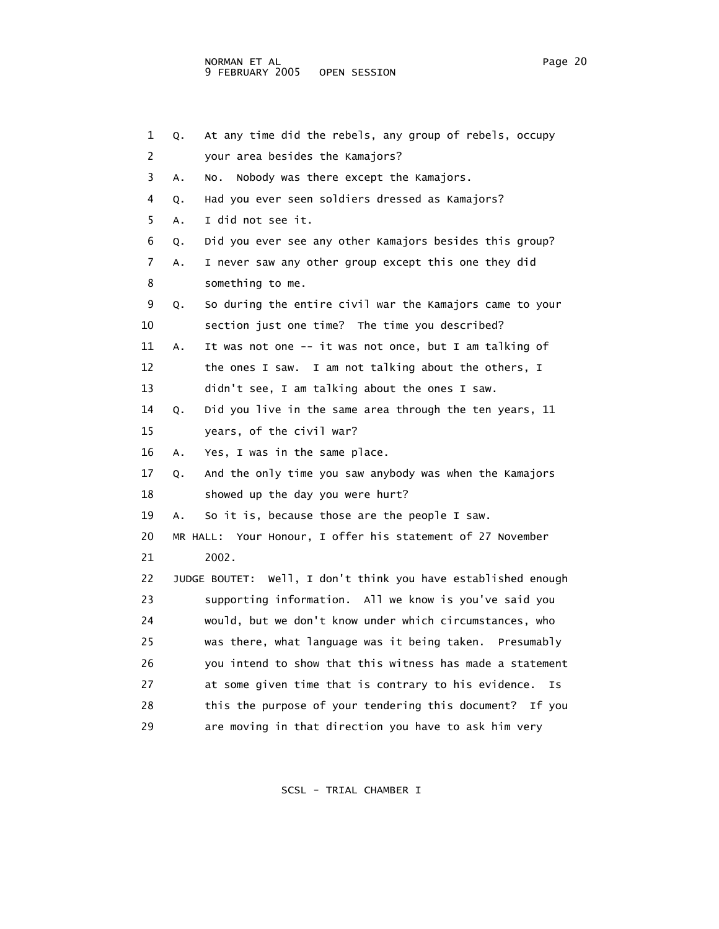| 1  | Q. | At any time did the rebels, any group of rebels, occupy       |
|----|----|---------------------------------------------------------------|
| 2  |    | your area besides the Kamajors?                               |
| 3  | А. | Nobody was there except the Kamajors.<br>NO.                  |
| 4  | Q. | Had you ever seen soldiers dressed as Kamajors?               |
| 5  | Α. | ɪ did not see it.                                             |
| 6  | Q. | Did you ever see any other Kamajors besides this group?       |
| 7  | Α. | I never saw any other group except this one they did          |
| 8  |    | something to me.                                              |
| 9  | Q. | So during the entire civil war the Kamajors came to your      |
| 10 |    | section just one time? The time you described?                |
| 11 | Α. | It was not one -- it was not once, but I am talking of        |
| 12 |    | the ones I saw. I am not talking about the others, I          |
| 13 |    | didn't see, I am talking about the ones I saw.                |
| 14 | Q. | Did you live in the same area through the ten years, 11       |
| 15 |    | years, of the civil war?                                      |
| 16 | Α. | Yes, I was in the same place.                                 |
| 17 | Q. | And the only time you saw anybody was when the Kamajors       |
| 18 |    | showed up the day you were hurt?                              |
| 19 | Α. | So it is, because those are the people I saw.                 |
| 20 |    | MR HALL: Your Honour, I offer his statement of 27 November    |
| 21 |    | 2002.                                                         |
| 22 |    | JUDGE BOUTET: Well, I don't think you have established enough |
| 23 |    | supporting information. All we know is you've said you        |
| 24 |    | would, but we don't know under which circumstances, who       |
| 25 |    | was there, what language was it being taken. Presumably       |
| 26 |    | you intend to show that this witness has made a statement     |
| 27 |    | at some given time that is contrary to his evidence.<br>Ιs    |
| 28 |    | this the purpose of your tendering this document? If you      |
| 29 |    | are moving in that direction you have to ask him very         |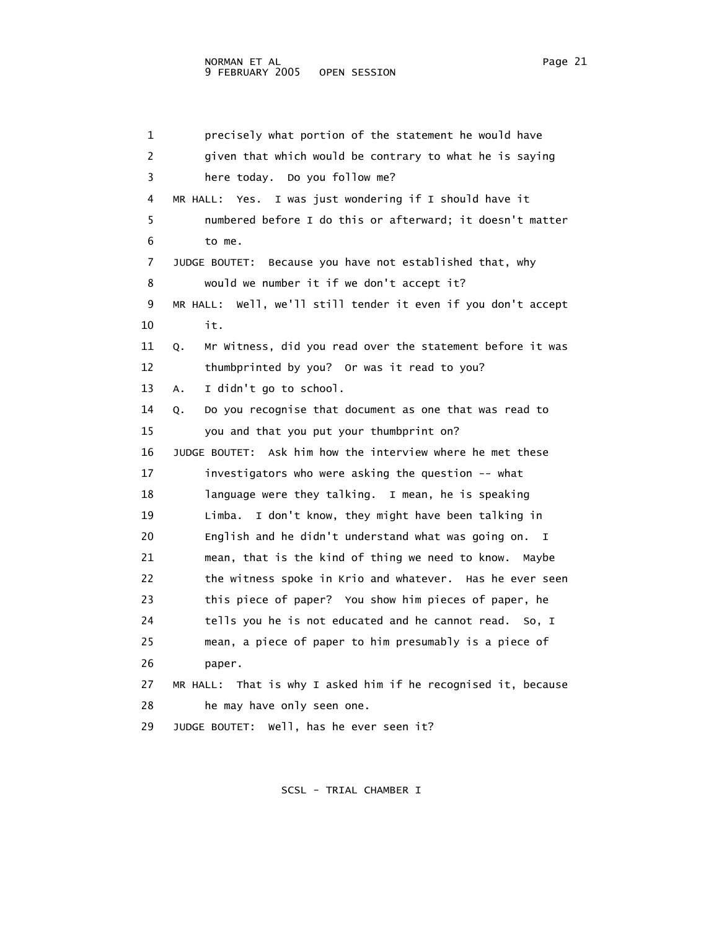1 precisely what portion of the statement he would have 2 given that which would be contrary to what he is saying 3 here today. Do you follow me? 4 MR HALL: Yes. I was just wondering if I should have it 5 numbered before I do this or afterward; it doesn't matter 6 to me. 7 JUDGE BOUTET: Because you have not established that, why 8 would we number it if we don't accept it? 9 MR HALL: Well, we'll still tender it even if you don't accept 10 it. 11 Q. Mr Witness, did you read over the statement before it was 12 thumbprinted by you? Or was it read to you? 13 A. I didn't go to school. 14 Q. Do you recognise that document as one that was read to 15 you and that you put your thumbprint on? 16 JUDGE BOUTET: Ask him how the interview where he met these 17 investigators who were asking the question -- what 18 language were they talking. I mean, he is speaking 19 Limba. I don't know, they might have been talking in 20 English and he didn't understand what was going on. I 21 mean, that is the kind of thing we need to know. Maybe 22 the witness spoke in Krio and whatever. Has he ever seen 23 this piece of paper? You show him pieces of paper, he 24 tells you he is not educated and he cannot read. So, I 25 mean, a piece of paper to him presumably is a piece of 26 paper. 27 MR HALL: That is why I asked him if he recognised it, because 28 he may have only seen one. 29 JUDGE BOUTET: Well, has he ever seen it?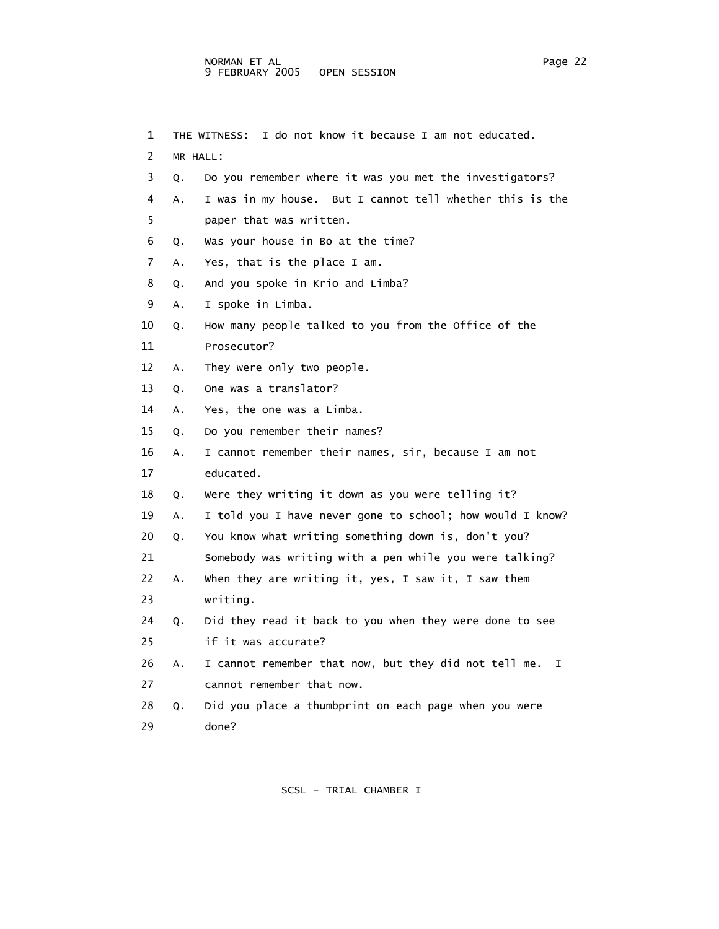1 THE WITNESS: I do not know it because I am not educated. 2 MR HALL: 3 Q. Do you remember where it was you met the investigators? 4 A. I was in my house. But I cannot tell whether this is the 5 paper that was written. 6 Q. Was your house in Bo at the time? 7 A. Yes, that is the place I am. 8 Q. And you spoke in Krio and Limba? 9 A. I spoke in Limba. 10 Q. How many people talked to you from the Office of the 11 Prosecutor? 12 A. They were only two people. 13 Q. One was a translator? 14 A. Yes, the one was a Limba. 15 Q. Do you remember their names? 16 A. I cannot remember their names, sir, because I am not 17 educated. 18 Q. Were they writing it down as you were telling it? 19 A. I told you I have never gone to school; how would I know? 20 Q. You know what writing something down is, don't you? 21 Somebody was writing with a pen while you were talking? 22 A. When they are writing it, yes, I saw it, I saw them 23 writing. 24 Q. Did they read it back to you when they were done to see 25 if it was accurate? 26 A. I cannot remember that now, but they did not tell me. I 27 cannot remember that now. 28 Q. Did you place a thumbprint on each page when you were 29 done?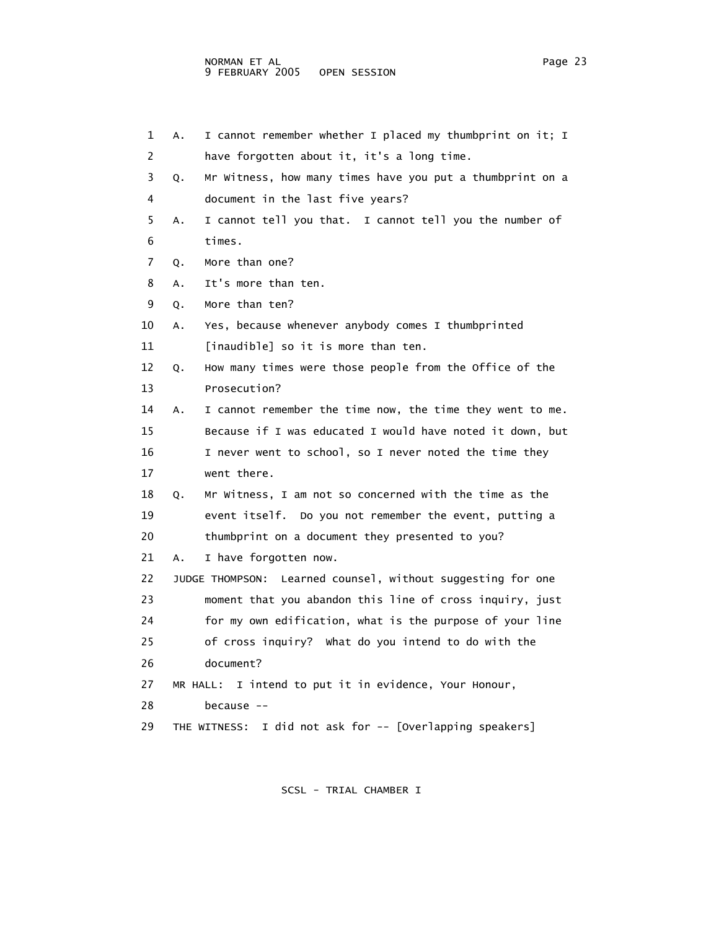| 1  | А. | I cannot remember whether I placed my thumbprint on it; I   |
|----|----|-------------------------------------------------------------|
| 2  |    | have forgotten about it, it's a long time.                  |
| 3  | Q. | Mr Witness, how many times have you put a thumbprint on a   |
| 4  |    | document in the last five years?                            |
| 5  | Α. | I cannot tell you that. I cannot tell you the number of     |
| 6  |    | times.                                                      |
| 7  | Q. | More than one?                                              |
| 8  | A. | It's more than ten.                                         |
| 9  | Q. | More than ten?                                              |
| 10 | Α. | Yes, because whenever anybody comes I thumbprinted          |
| 11 |    | [inaudible] so it is more than ten.                         |
| 12 | Q. | How many times were those people from the Office of the     |
| 13 |    | Prosecution?                                                |
| 14 | Α. | I cannot remember the time now, the time they went to me.   |
| 15 |    | Because if I was educated I would have noted it down, but   |
| 16 |    | I never went to school, so I never noted the time they      |
| 17 |    | went there.                                                 |
| 18 | Q. | Mr Witness, I am not so concerned with the time as the      |
| 19 |    | event itself. Do you not remember the event, putting a      |
| 20 |    | thumbprint on a document they presented to you?             |
| 21 | A. | I have forgotten now.                                       |
| 22 |    | JUDGE THOMPSON: Learned counsel, without suggesting for one |
| 23 |    | moment that you abandon this line of cross inquiry, just    |
| 24 |    | for my own edification, what is the purpose of your line    |
| 25 |    | of cross inquiry? What do you intend to do with the         |
| 26 |    | document?                                                   |
| 27 |    | I intend to put it in evidence, Your Honour,<br>MR HALL:    |
| 28 |    | because --                                                  |
| 29 |    | I did not ask for -- [Overlapping speakers]<br>THE WITNESS: |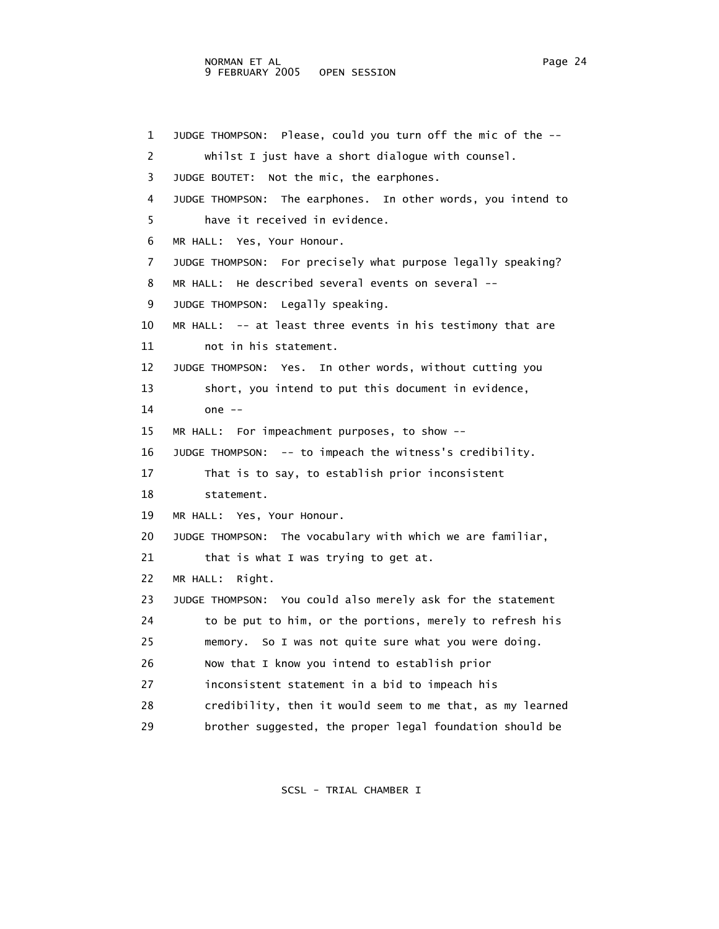1 JUDGE THOMPSON: Please, could you turn off the mic of the -- 2 whilst I just have a short dialogue with counsel. 3 JUDGE BOUTET: Not the mic, the earphones. 4 JUDGE THOMPSON: The earphones. In other words, you intend to 5 have it received in evidence. 6 MR HALL: Yes, Your Honour. 7 JUDGE THOMPSON: For precisely what purpose legally speaking? 8 MR HALL: He described several events on several -- 9 JUDGE THOMPSON: Legally speaking. 10 MR HALL: -- at least three events in his testimony that are 11 not in his statement. 12 JUDGE THOMPSON: Yes. In other words, without cutting you 13 short, you intend to put this document in evidence, 14 one -- 15 MR HALL: For impeachment purposes, to show -- 16 JUDGE THOMPSON: -- to impeach the witness's credibility. 17 That is to say, to establish prior inconsistent 18 statement. 19 MR HALL: Yes, Your Honour. 20 JUDGE THOMPSON: The vocabulary with which we are familiar, 21 that is what I was trying to get at. 22 MR HALL: Right. 23 JUDGE THOMPSON: You could also merely ask for the statement 24 to be put to him, or the portions, merely to refresh his 25 memory. So I was not quite sure what you were doing. 26 Now that I know you intend to establish prior 27 inconsistent statement in a bid to impeach his 28 credibility, then it would seem to me that, as my learned 29 brother suggested, the proper legal foundation should be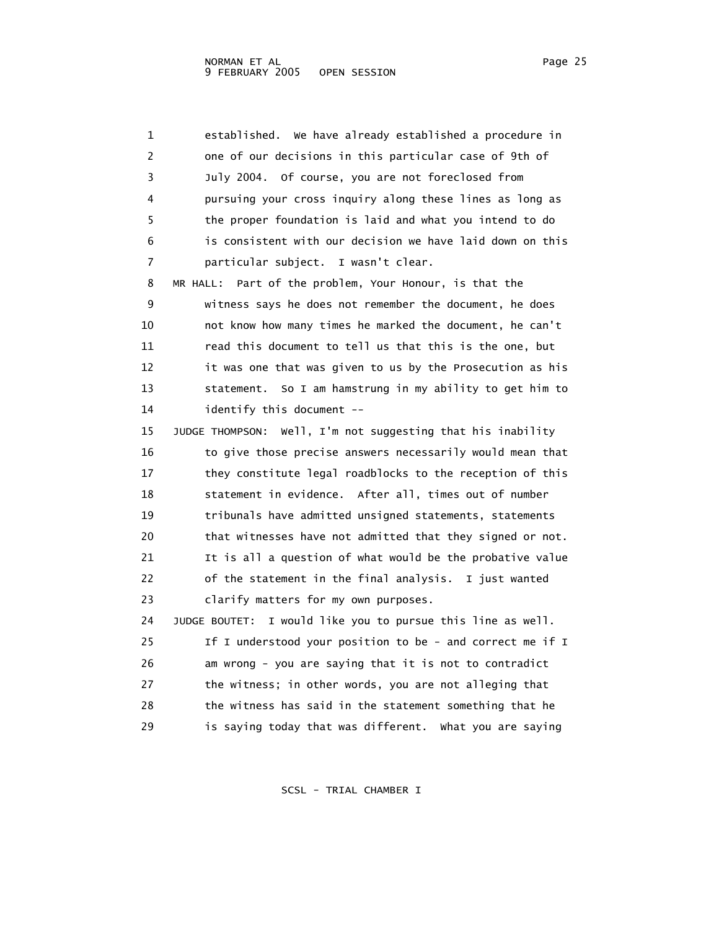1 established. We have already established a procedure in 2 one of our decisions in this particular case of 9th of 3 July 2004. Of course, you are not foreclosed from 4 pursuing your cross inquiry along these lines as long as 5 the proper foundation is laid and what you intend to do 6 is consistent with our decision we have laid down on this 7 particular subject. I wasn't clear. 8 MR HALL: Part of the problem, Your Honour, is that the 9 witness says he does not remember the document, he does 10 not know how many times he marked the document, he can't 11 read this document to tell us that this is the one, but 12 it was one that was given to us by the Prosecution as his 13 statement. So I am hamstrung in my ability to get him to 14 identify this document -- 15 JUDGE THOMPSON: Well, I'm not suggesting that his inability 16 to give those precise answers necessarily would mean that 17 they constitute legal roadblocks to the reception of this 18 statement in evidence. After all, times out of number 19 tribunals have admitted unsigned statements, statements 20 that witnesses have not admitted that they signed or not. 21 It is all a question of what would be the probative value 22 of the statement in the final analysis. I just wanted 23 clarify matters for my own purposes. 24 JUDGE BOUTET: I would like you to pursue this line as well. 25 If I understood your position to be - and correct me if I 26 am wrong - you are saying that it is not to contradict 27 the witness; in other words, you are not alleging that 28 the witness has said in the statement something that he 29 is saying today that was different. What you are saying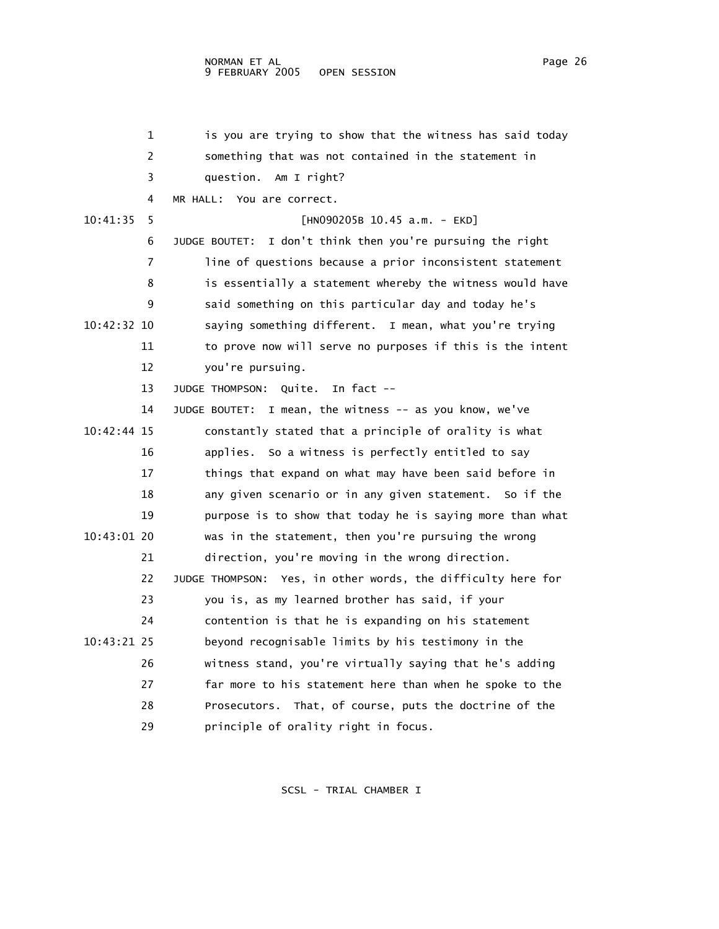## NORMAN ET AL Page 26 and the state of the state of the state of the state of the state of the state of the state of the state of the state of the state of the state of the state of the state of the state of the state of th 9 FEBRUARY 2005 OPEN SESSION

|             | 1  | is you are trying to show that the witness has said today     |
|-------------|----|---------------------------------------------------------------|
|             | 2  | something that was not contained in the statement in          |
|             | 3  | question. Am I right?                                         |
|             | 4  | MR HALL: You are correct.                                     |
| 10:41:35    | 5  | $[HM090205B 10.45 a.m. - EKD]$                                |
|             | 6  | I don't think then you're pursuing the right<br>JUDGE BOUTET: |
|             | 7  | line of questions because a prior inconsistent statement      |
|             | 8  | is essentially a statement whereby the witness would have     |
|             | 9  | said something on this particular day and today he's          |
| 10:42:32 10 |    | saying something different. I mean, what you're trying        |
|             | 11 | to prove now will serve no purposes if this is the intent     |
|             | 12 | you're pursuing.                                              |
|             | 13 | Quite.<br>In fact $-$<br>JUDGE THOMPSON:                      |
|             | 14 | JUDGE BOUTET: I mean, the witness -- as you know, we've       |
| 10:42:44 15 |    | constantly stated that a principle of orality is what         |
|             | 16 | applies. So a witness is perfectly entitled to say            |
|             | 17 | things that expand on what may have been said before in       |
|             | 18 | any given scenario or in any given statement. So if the       |
|             | 19 | purpose is to show that today he is saying more than what     |
| 10:43:01 20 |    | was in the statement, then you're pursuing the wrong          |
|             | 21 | direction, you're moving in the wrong direction.              |
|             | 22 | JUDGE THOMPSON: Yes, in other words, the difficulty here for  |
|             | 23 | you is, as my learned brother has said, if your               |
|             | 24 | contention is that he is expanding on his statement           |
| 10:43:21 25 |    | beyond recognisable limits by his testimony in the            |
|             | 26 | witness stand, you're virtually saying that he's adding       |
|             | 27 | far more to his statement here than when he spoke to the      |
|             | 28 | Prosecutors. That, of course, puts the doctrine of the        |
|             | 29 | principle of orality right in focus.                          |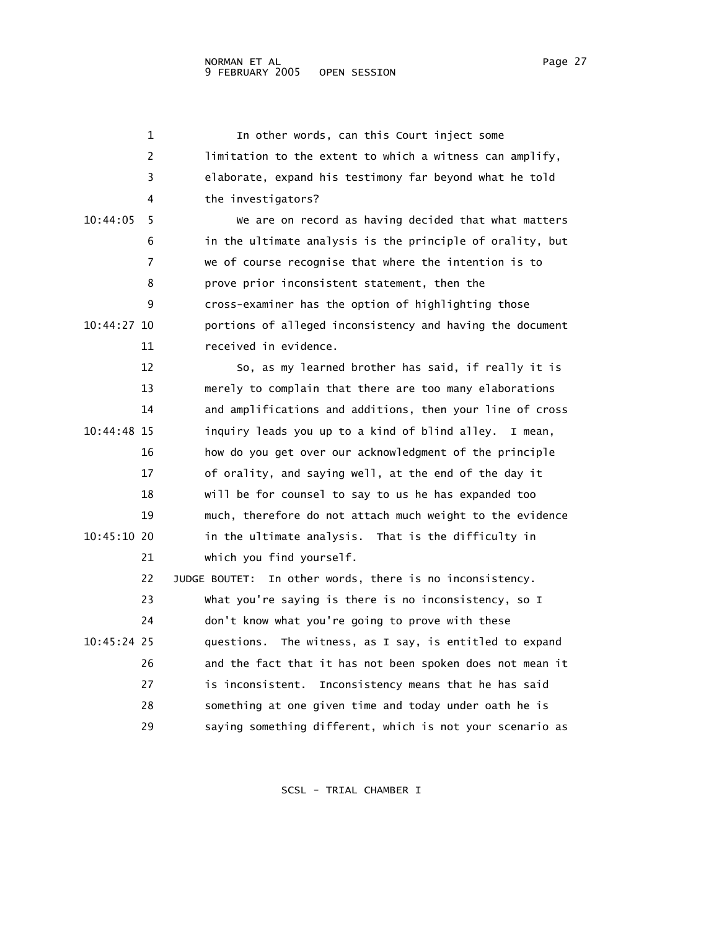|               | 1  | In other words, can this Court inject some                  |
|---------------|----|-------------------------------------------------------------|
|               | 2  | limitation to the extent to which a witness can amplify,    |
|               | 3  | elaborate, expand his testimony far beyond what he told     |
|               | 4  | the investigators?                                          |
| 10:44:05      | 5  | We are on record as having decided that what matters        |
|               | 6  | in the ultimate analysis is the principle of orality, but   |
|               | 7  | we of course recognise that where the intention is to       |
|               | 8  | prove prior inconsistent statement, then the                |
|               | 9  | cross-examiner has the option of highlighting those         |
| $10:44:27$ 10 |    | portions of alleged inconsistency and having the document   |
|               | 11 | received in evidence.                                       |
|               | 12 | So, as my learned brother has said, if really it is         |
|               | 13 | merely to complain that there are too many elaborations     |
|               | 14 | and amplifications and additions, then your line of cross   |
| $10:44:48$ 15 |    | inquiry leads you up to a kind of blind alley.<br>I mean,   |
|               | 16 | how do you get over our acknowledgment of the principle     |
|               | 17 | of orality, and saying well, at the end of the day it       |
|               | 18 | will be for counsel to say to us he has expanded too        |
|               | 19 | much, therefore do not attach much weight to the evidence   |
| 10:45:10 20   |    | in the ultimate analysis. That is the difficulty in         |
|               | 21 | which you find yourself.                                    |
|               | 22 | In other words, there is no inconsistency.<br>JUDGE BOUTET: |
|               | 23 | What you're saying is there is no inconsistency, so I       |
|               | 24 | don't know what you're going to prove with these            |
| 10:45:24 25   |    | questions. The witness, as I say, is entitled to expand     |
|               | 26 | and the fact that it has not been spoken does not mean it   |
|               | 27 | is inconsistent. Inconsistency means that he has said       |
|               | 28 | something at one given time and today under oath he is      |
|               | 29 | saying something different, which is not your scenario as   |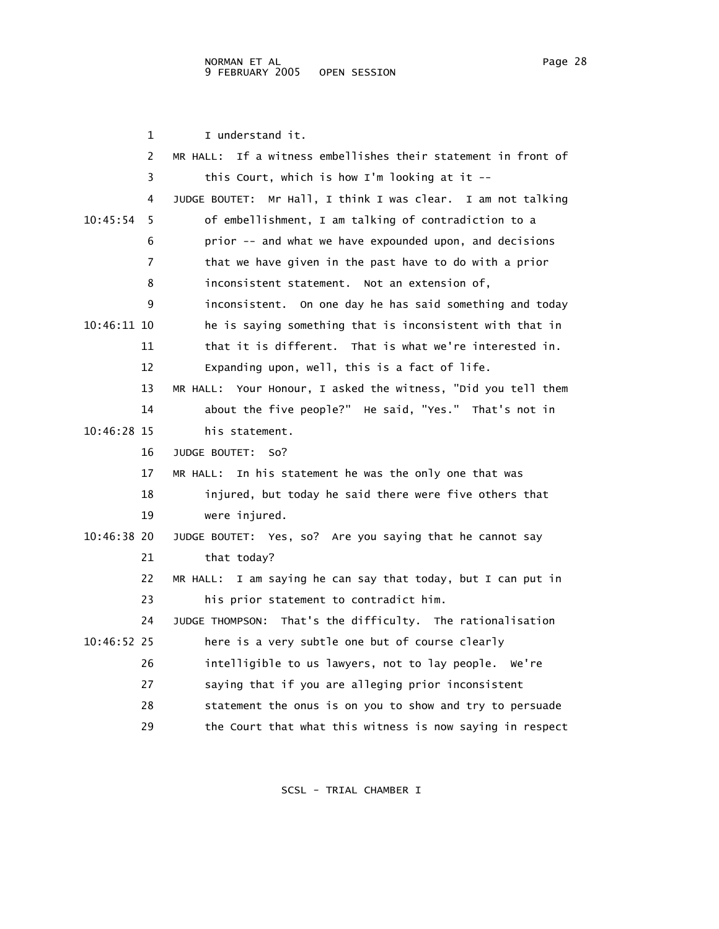|               | 1  | I understand it.                                                 |
|---------------|----|------------------------------------------------------------------|
|               | 2  | If a witness embellishes their statement in front of<br>MR HALL: |
|               | 3  | this Court, which is how $I'm$ looking at it --                  |
|               | 4  | JUDGE BOUTET: Mr Hall, I think I was clear. I am not talking     |
| 10:45:54      | 5. | of embellishment, I am talking of contradiction to a             |
|               | 6  | prior -- and what we have expounded upon, and decisions          |
|               | 7  | that we have given in the past have to do with a prior           |
|               | 8  | inconsistent statement. Not an extension of,                     |
|               | 9  | inconsistent. On one day he has said something and today         |
| 10:46:11 10   |    | he is saying something that is inconsistent with that in         |
|               | 11 | that it is different. That is what we're interested in.          |
|               | 12 | Expanding upon, well, this is a fact of life.                    |
|               | 13 | MR HALL: Your Honour, I asked the witness, "Did you tell them    |
|               | 14 | about the five people?" He said, "Yes." That's not in            |
| 10:46:28 15   |    | his statement.                                                   |
|               | 16 | JUDGE BOUTET: So?                                                |
|               | 17 | In his statement he was the only one that was<br>MR HALL:        |
|               | 18 | injured, but today he said there were five others that           |
|               | 19 | were injured.                                                    |
| $10:46:38$ 20 |    | JUDGE BOUTET: Yes, so? Are you saying that he cannot say         |
|               | 21 | that today?                                                      |
|               | 22 | MR HALL: I am saying he can say that today, but I can put in     |
|               | 23 | his prior statement to contradict him.                           |
|               | 24 | JUDGE THOMPSON: That's the difficulty. The rationalisation       |
| 10:46:52 25   |    | here is a very subtle one but of course clearly                  |
|               | 26 | intelligible to us lawyers, not to lay people. We're             |
|               | 27 | saying that if you are alleging prior inconsistent               |
|               | 28 | statement the onus is on you to show and try to persuade         |
|               | 29 | the Court that what this witness is now saying in respect        |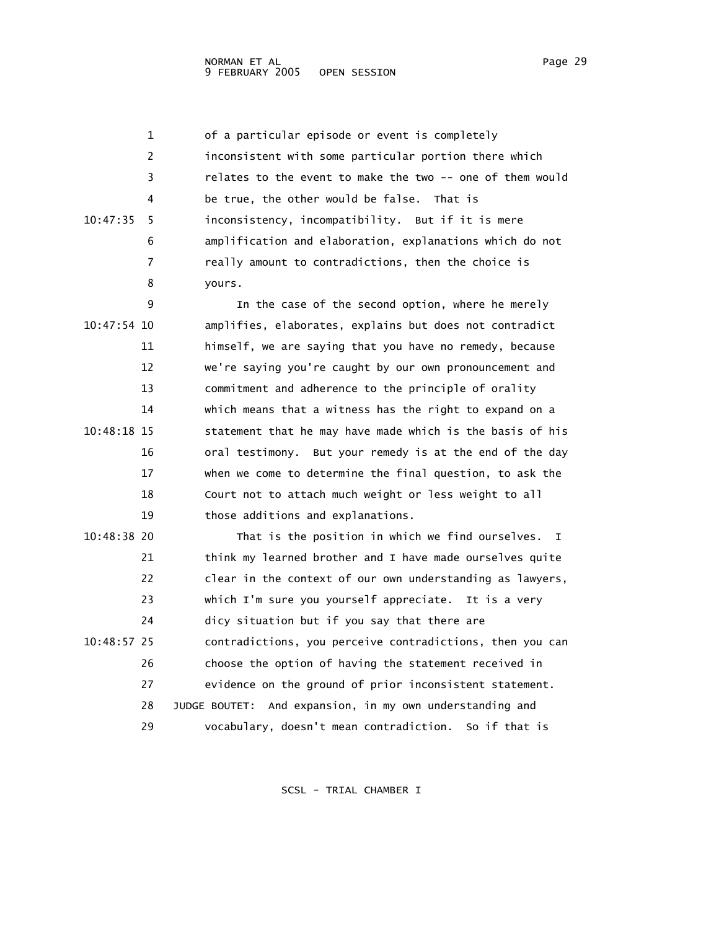1 of a particular episode or event is completely 2 inconsistent with some particular portion there which 3 relates to the event to make the two -- one of them would 4 be true, the other would be false. That is 10:47:35 5 inconsistency, incompatibility. But if it is mere 6 amplification and elaboration, explanations which do not 7 really amount to contradictions, then the choice is 8 yours. 9 In the case of the second option, where he merely 10:47:54 10 amplifies, elaborates, explains but does not contradict 11 himself, we are saying that you have no remedy, because 12 we're saying you're caught by our own pronouncement and 13 commitment and adherence to the principle of orality 14 which means that a witness has the right to expand on a 10:48:18 15 statement that he may have made which is the basis of his 16 oral testimony. But your remedy is at the end of the day 17 when we come to determine the final question, to ask the 18 Court not to attach much weight or less weight to all 19 those additions and explanations. 10:48:38 20 That is the position in which we find ourselves. I 21 think my learned brother and I have made ourselves quite 22 clear in the context of our own understanding as lawyers, 23 which I'm sure you yourself appreciate. It is a very 24 dicy situation but if you say that there are 10:48:57 25 contradictions, you perceive contradictions, then you can 26 choose the option of having the statement received in 27 evidence on the ground of prior inconsistent statement. 28 JUDGE BOUTET: And expansion, in my own understanding and 29 vocabulary, doesn't mean contradiction. So if that is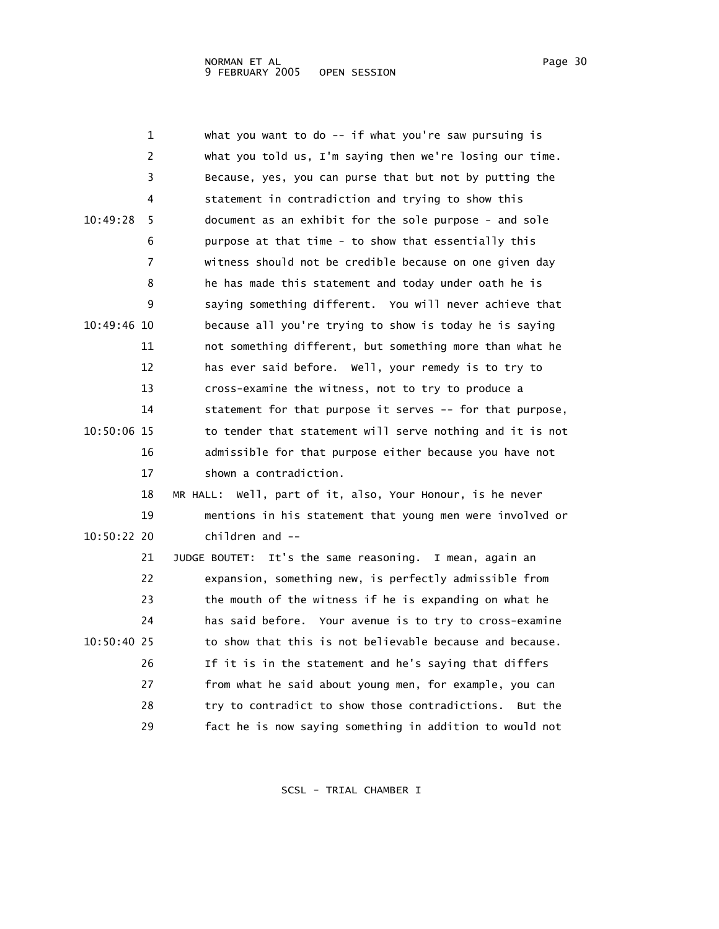|             | 1  | what you want to do -- if what you're saw pursuing is         |
|-------------|----|---------------------------------------------------------------|
|             | 2  | what you told us, I'm saying then we're losing our time.      |
|             | 3  | Because, yes, you can purse that but not by putting the       |
|             | 4  | statement in contradiction and trying to show this            |
| 10:49:28    | 5  | document as an exhibit for the sole purpose - and sole        |
|             | 6  | purpose at that time - to show that essentially this          |
|             | 7  | witness should not be credible because on one given day       |
|             | 8  | he has made this statement and today under oath he is         |
|             | 9  | saying something different. You will never achieve that       |
| 10:49:46 10 |    | because all you're trying to show is today he is saying       |
|             | 11 | not something different, but something more than what he      |
|             | 12 | has ever said before. Well, your remedy is to try to          |
|             | 13 | cross-examine the witness, not to try to produce a            |
|             | 14 | statement for that purpose it serves -- for that purpose,     |
| 10:50:06 15 |    | to tender that statement will serve nothing and it is not     |
|             | 16 | admissible for that purpose either because you have not       |
|             | 17 | shown a contradiction.                                        |
|             | 18 | MR HALL: Well, part of it, also, Your Honour, is he never     |
|             | 19 | mentions in his statement that young men were involved or     |
| 10:50:22 20 |    | $children$ and $-$                                            |
|             | 21 | It's the same reasoning.<br>JUDGE BOUTET:<br>I mean, again an |
|             | 22 | expansion, something new, is perfectly admissible from        |
|             | 23 | the mouth of the witness if he is expanding on what he        |
|             | 24 | has said before. Your avenue is to try to cross-examine       |
| 10:50:40 25 |    | to show that this is not believable because and because.      |
|             | 26 | If it is in the statement and he's saying that differs        |
|             | 27 | from what he said about young men, for example, you can       |
|             | 28 | try to contradict to show those contradictions.<br>But the    |
|             | 29 | fact he is now saying something in addition to would not      |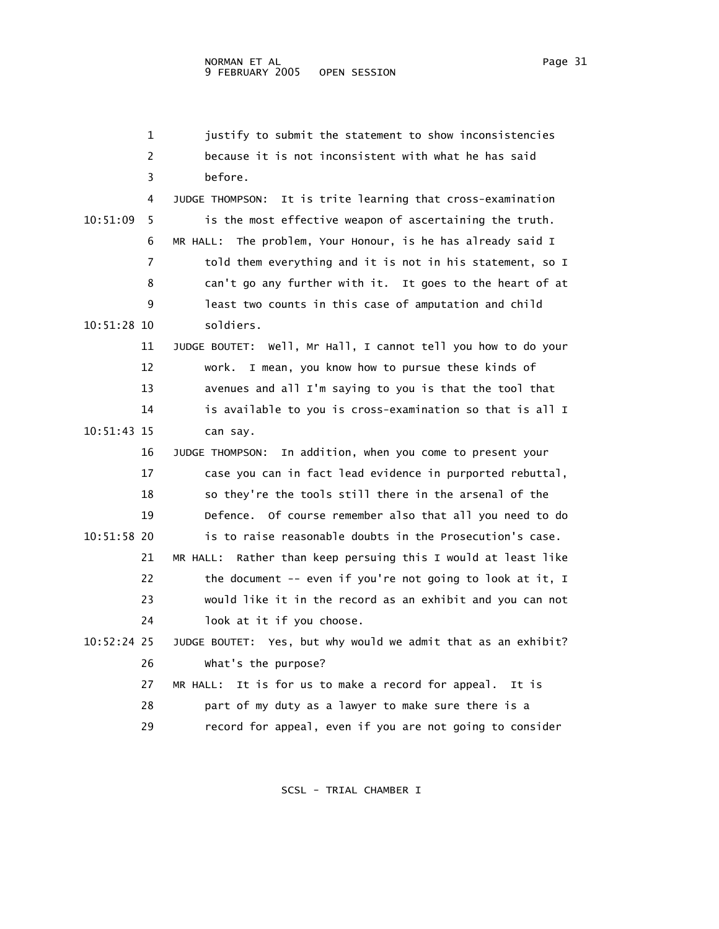|             | $\mathbf{1}$ | justify to submit the statement to show inconsistencies       |
|-------------|--------------|---------------------------------------------------------------|
|             | 2            | because it is not inconsistent with what he has said          |
|             | 3            | before.                                                       |
|             | 4            | JUDGE THOMPSON: It is trite learning that cross-examination   |
| 10:51:09    | 5.           | is the most effective weapon of ascertaining the truth.       |
|             | 6            | MR HALL: The problem, Your Honour, is he has already said I   |
|             | 7            | told them everything and it is not in his statement, so I     |
|             | 8            | can't go any further with it. It goes to the heart of at      |
|             | 9            | least two counts in this case of amputation and child         |
| 10:51:28 10 |              | soldiers.                                                     |
|             | 11           | JUDGE BOUTET: Well, Mr Hall, I cannot tell you how to do your |
|             | 12           | I mean, you know how to pursue these kinds of<br>work.        |
|             | 13           | avenues and all I'm saying to you is that the tool that       |
|             | 14           | is available to you is cross-examination so that is all I     |
| 10:51:43 15 |              | can say.                                                      |
|             | 16           | In addition, when you come to present your<br>JUDGE THOMPSON: |
|             | 17           | case you can in fact lead evidence in purported rebuttal,     |
|             | 18           | so they're the tools still there in the arsenal of the        |
|             | 19           | Defence. Of course remember also that all you need to do      |
| 10:51:58 20 |              | is to raise reasonable doubts in the Prosecution's case.      |
|             | 21           | MR HALL: Rather than keep persuing this I would at least like |
|             | 22           | the document -- even if you're not going to look at it, I     |
|             | 23           | would like it in the record as an exhibit and you can not     |
|             | 24           | look at it if you choose.                                     |
| 10:52:24 25 |              | JUDGE BOUTET: Yes, but why would we admit that as an exhibit? |
|             | 26           | what's the purpose?                                           |
|             | 27           | It is for us to make a record for appeal. It is<br>MR HALL:   |
|             | 28           | part of my duty as a lawyer to make sure there is a           |
|             | 29           | record for appeal, even if you are not going to consider      |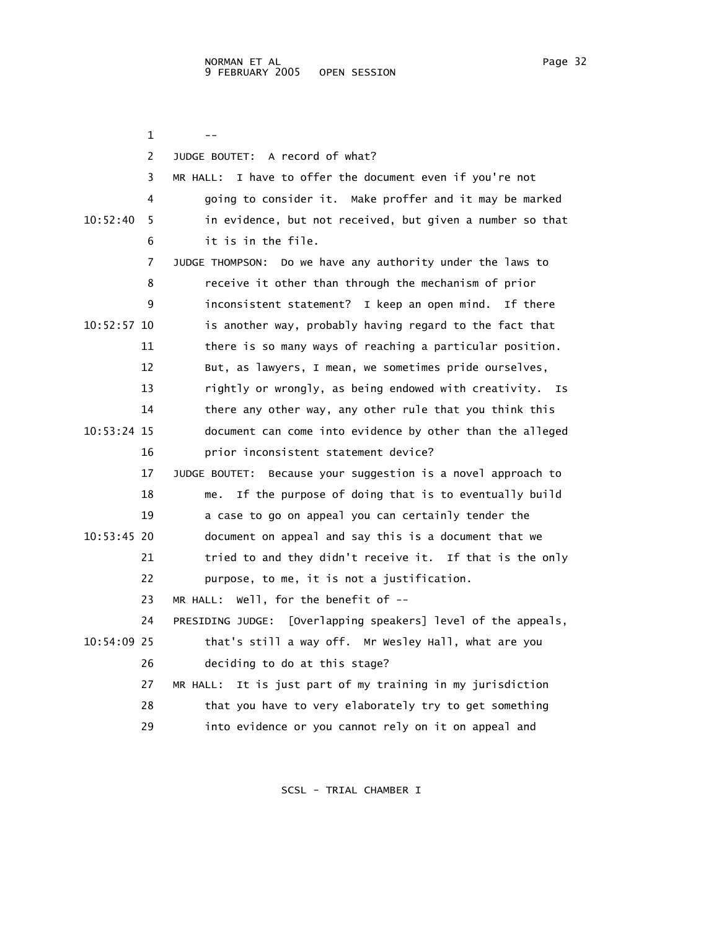$1$  -- 2 JUDGE BOUTET: A record of what? 3 MR HALL: I have to offer the document even if you're not 4 going to consider it. Make proffer and it may be marked 10:52:40 5 in evidence, but not received, but given a number so that 6 it is in the file. 7 JUDGE THOMPSON: Do we have any authority under the laws to 8 receive it other than through the mechanism of prior 9 inconsistent statement? I keep an open mind. If there 10:52:57 10 is another way, probably having regard to the fact that 11 there is so many ways of reaching a particular position. 12 But, as lawyers, I mean, we sometimes pride ourselves, 13 rightly or wrongly, as being endowed with creativity. Is 14 there any other way, any other rule that you think this 10:53:24 15 document can come into evidence by other than the alleged 16 prior inconsistent statement device? 17 JUDGE BOUTET: Because your suggestion is a novel approach to 18 me. If the purpose of doing that is to eventually build 19 a case to go on appeal you can certainly tender the 10:53:45 20 document on appeal and say this is a document that we 21 tried to and they didn't receive it. If that is the only 22 purpose, to me, it is not a justification. 23 MR HALL: Well, for the benefit of -- 24 PRESIDING JUDGE: [Overlapping speakers] level of the appeals, 10:54:09 25 that's still a way off. Mr Wesley Hall, what are you 26 deciding to do at this stage? 27 MR HALL: It is just part of my training in my jurisdiction 28 that you have to very elaborately try to get something 29 into evidence or you cannot rely on it on appeal and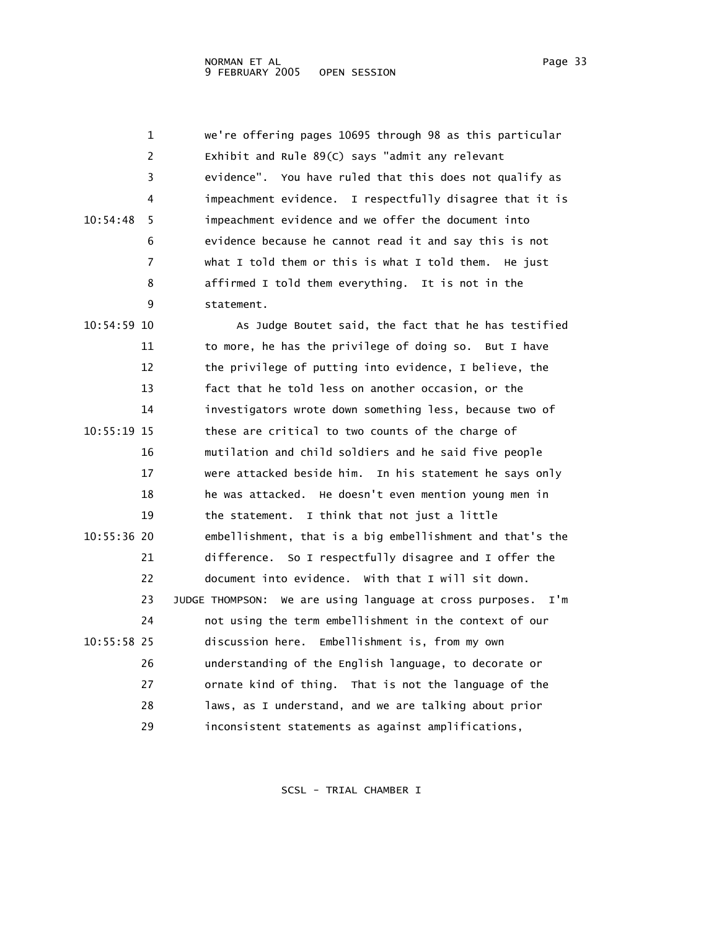1 we're offering pages 10695 through 98 as this particular 2 Exhibit and Rule 89(C) says "admit any relevant 3 evidence". You have ruled that this does not qualify as 4 impeachment evidence. I respectfully disagree that it is 10:54:48 5 impeachment evidence and we offer the document into 6 evidence because he cannot read it and say this is not 7 what I told them or this is what I told them. He just 8 affirmed I told them everything. It is not in the 9 statement. 10:54:59 10 As Judge Boutet said, the fact that he has testified 11 to more, he has the privilege of doing so. But I have 12 the privilege of putting into evidence, I believe, the 13 fact that he told less on another occasion, or the 14 investigators wrote down something less, because two of 10:55:19 15 these are critical to two counts of the charge of 16 mutilation and child soldiers and he said five people 17 were attacked beside him. In his statement he says only 18 he was attacked. He doesn't even mention young men in 19 the statement. I think that not just a little 10:55:36 20 embellishment, that is a big embellishment and that's the 21 difference. So I respectfully disagree and I offer the 22 document into evidence. With that I will sit down. 23 JUDGE THOMPSON: We are using language at cross purposes. I'm 24 not using the term embellishment in the context of our 10:55:58 25 discussion here. Embellishment is, from my own 26 understanding of the English language, to decorate or 27 ornate kind of thing. That is not the language of the 28 laws, as I understand, and we are talking about prior 29 inconsistent statements as against amplifications,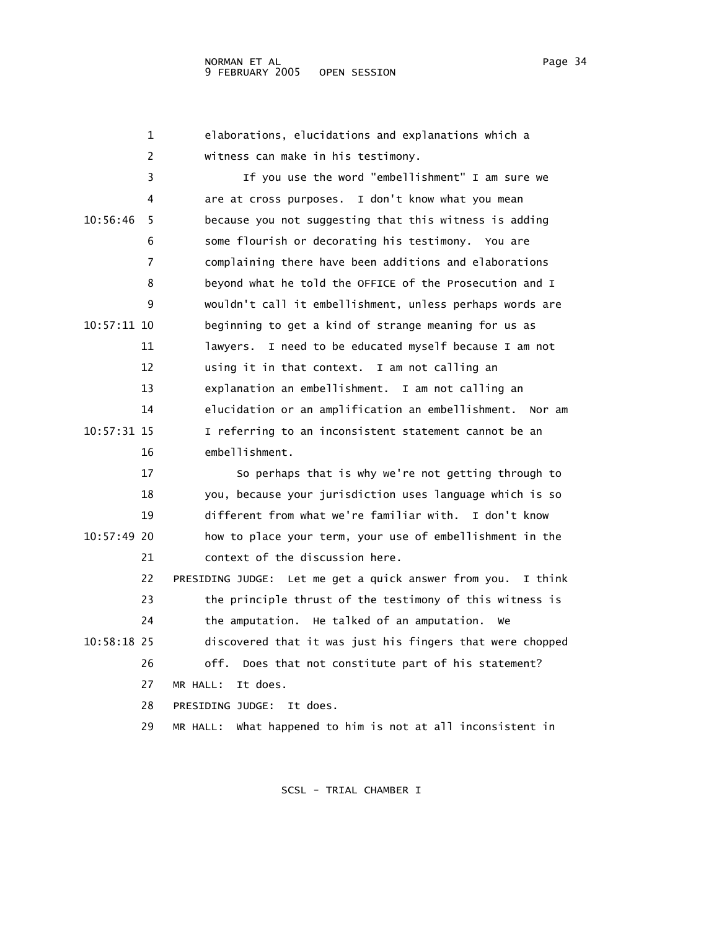1 elaborations, elucidations and explanations which a 2 witness can make in his testimony.

 3 If you use the word "embellishment" I am sure we 4 are at cross purposes. I don't know what you mean 10:56:46 5 because you not suggesting that this witness is adding 6 some flourish or decorating his testimony. You are 7 complaining there have been additions and elaborations 8 beyond what he told the OFFICE of the Prosecution and I 9 wouldn't call it embellishment, unless perhaps words are 10:57:11 10 beginning to get a kind of strange meaning for us as 11 lawyers. I need to be educated myself because I am not 12 using it in that context. I am not calling an 13 explanation an embellishment. I am not calling an 14 elucidation or an amplification an embellishment. Nor am 10:57:31 15 I referring to an inconsistent statement cannot be an 16 embellishment. 17 So perhaps that is why we're not getting through to 18 you, because your jurisdiction uses language which is so

 19 different from what we're familiar with. I don't know 10:57:49 20 how to place your term, your use of embellishment in the 21 context of the discussion here.

 22 PRESIDING JUDGE: Let me get a quick answer from you. I think 23 the principle thrust of the testimony of this witness is 24 the amputation. He talked of an amputation. We 10:58:18 25 discovered that it was just his fingers that were chopped 26 off. Does that not constitute part of his statement? 27 MR HALL: It does. 28 PRESIDING JUDGE: It does.

29 MR HALL: What happened to him is not at all inconsistent in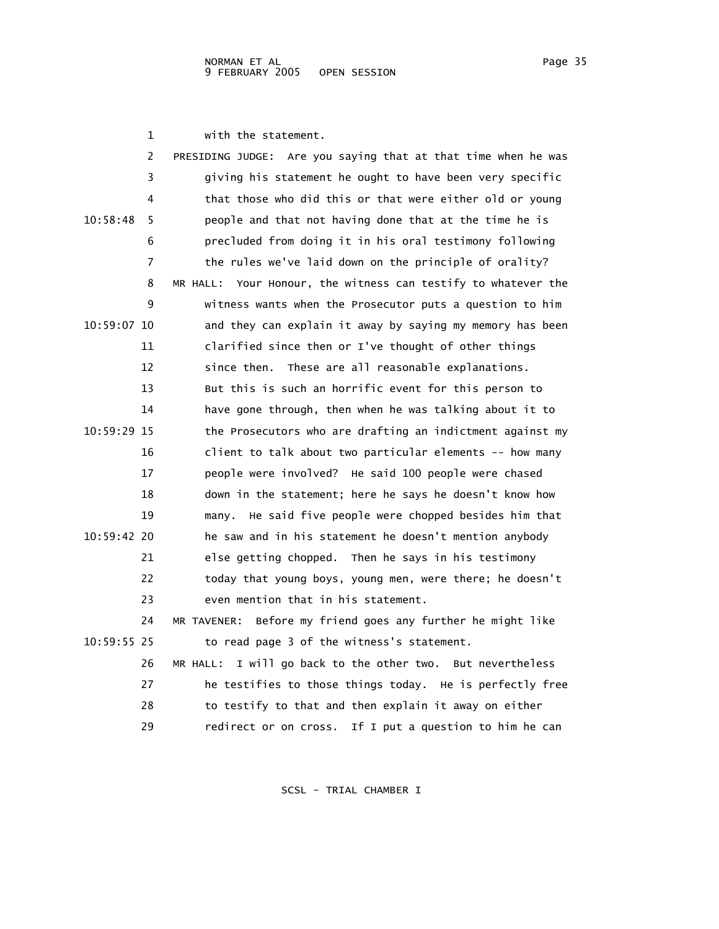1 with the statement.

|             | 2<br>PRESIDING JUDGE: Are you saying that at that time when he was |
|-------------|--------------------------------------------------------------------|
|             | 3<br>giving his statement he ought to have been very specific      |
|             | that those who did this or that were either old or young<br>4      |
| 10:58:48    | people and that not having done that at the time he is<br>5        |
|             | precluded from doing it in his oral testimony following<br>6       |
|             | 7<br>the rules we've laid down on the principle of orality?        |
|             | MR HALL: Your Honour, the witness can testify to whatever the<br>8 |
|             | 9<br>witness wants when the Prosecutor puts a question to him      |
| 10:59:07 10 | and they can explain it away by saying my memory has been          |
| 11          | clarified since then or I've thought of other things               |
| 12          | These are all reasonable explanations.<br>since then.              |
| 13          | But this is such an horrific event for this person to              |
| 14          | have gone through, then when he was talking about it to            |
| 10:59:29 15 | the Prosecutors who are drafting an indictment against my          |
| 16          | client to talk about two particular elements -- how many           |
| 17          | people were involved? He said 100 people were chased               |
| 18          | down in the statement; here he says he doesn't know how            |
| 19          | many. He said five people were chopped besides him that            |
| 10:59:42 20 | he saw and in his statement he doesn't mention anybody             |
| 21          | else getting chopped. Then he says in his testimony                |
| 22          | today that young boys, young men, were there; he doesn't           |
| 23          | even mention that in his statement.                                |
| 24          | Before my friend goes any further he might like<br>MR TAVENER:     |
| 10:59:55 25 | to read page 3 of the witness's statement.                         |
| 26          | MR HALL: I will go back to the other two. But nevertheless         |
| 27          | he testifies to those things today. He is perfectly free           |
| 28          | to testify to that and then explain it away on either              |
| 29          | If I put a question to him he can<br>redirect or on cross.         |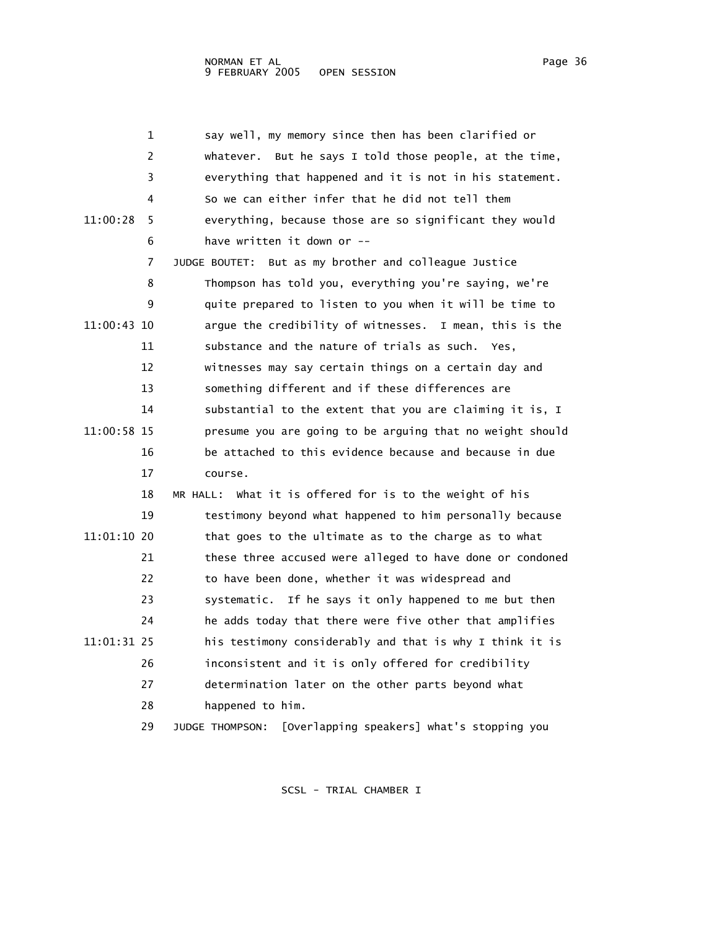| $\mathbf{1}$  | say well, my memory since then has been clarified or          |
|---------------|---------------------------------------------------------------|
| 2             | whatever. But he says I told those people, at the time,       |
| 3             | everything that happened and it is not in his statement.      |
| 4             | So we can either infer that he did not tell them              |
| 11:00:28<br>5 | everything, because those are so significant they would       |
| 6             | have written it down or --                                    |
| 7             | JUDGE BOUTET: But as my brother and colleague Justice         |
| 8             | Thompson has told you, everything you're saying, we're        |
| 9             | quite prepared to listen to you when it will be time to       |
| 11:00:43 10   | argue the credibility of witnesses. I mean, this is the       |
| 11            | substance and the nature of trials as such. Yes,              |
| 12            | witnesses may say certain things on a certain day and         |
| 13            | something different and if these differences are              |
| 14            | substantial to the extent that you are claiming it is, I      |
| 11:00:58 15   | presume you are going to be arguing that no weight should     |
| 16            | be attached to this evidence because and because in due       |
| 17            | course.                                                       |
| 18            | MR HALL: What it is offered for is to the weight of his       |
| 19            | testimony beyond what happened to him personally because      |
| 11:01:10 20   | that goes to the ultimate as to the charge as to what         |
| 21            | these three accused were alleged to have done or condoned     |
| 22            | to have been done, whether it was widespread and              |
| 23            | systematic. If he says it only happened to me but then        |
| 24            | he adds today that there were five other that amplifies       |
| 11:01:31 25   | his testimony considerably and that is why I think it is      |
| 26            | inconsistent and it is only offered for credibility           |
| 27            | determination later on the other parts beyond what            |
| 28            | happened to him.                                              |
| 29            | [Overlapping speakers] what's stopping you<br>JUDGE THOMPSON: |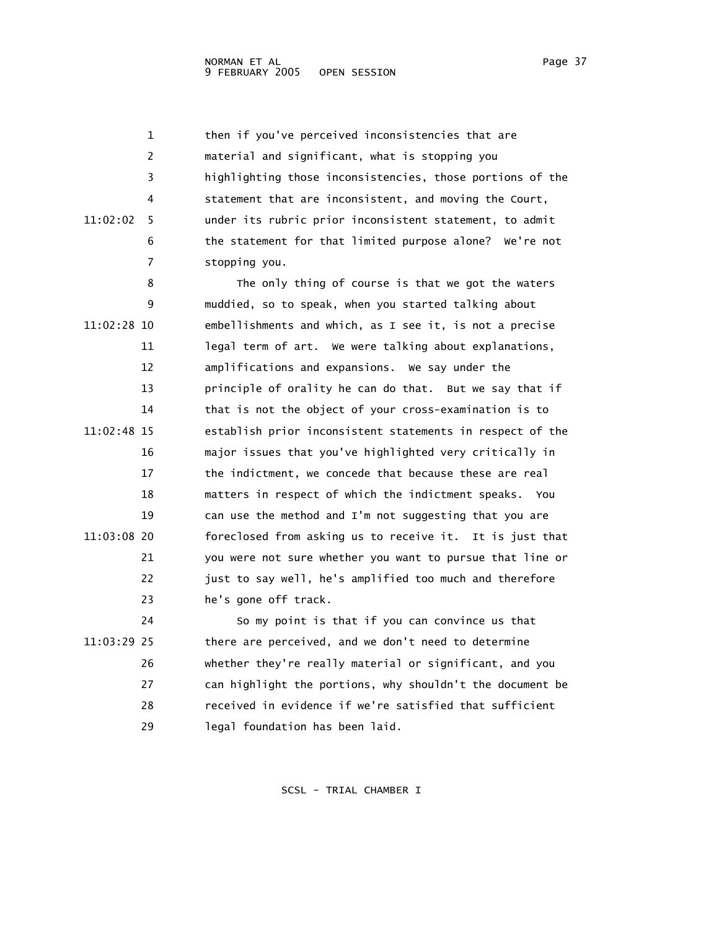1 then if you've perceived inconsistencies that are 2 material and significant, what is stopping you 3 highlighting those inconsistencies, those portions of the 4 statement that are inconsistent, and moving the Court, 11:02:02 5 under its rubric prior inconsistent statement, to admit 6 the statement for that limited purpose alone? We're not 7 stopping you. 8 The only thing of course is that we got the waters 9 muddied, so to speak, when you started talking about 11:02:28 10 embellishments and which, as I see it, is not a precise 11 legal term of art. We were talking about explanations, 12 amplifications and expansions. We say under the 13 principle of orality he can do that. But we say that if 14 that is not the object of your cross-examination is to 11:02:48 15 establish prior inconsistent statements in respect of the 16 major issues that you've highlighted very critically in 17 the indictment, we concede that because these are real 18 matters in respect of which the indictment speaks. You 19 can use the method and I'm not suggesting that you are 11:03:08 20 foreclosed from asking us to receive it. It is just that 21 you were not sure whether you want to pursue that line or 22 just to say well, he's amplified too much and therefore 23 he's gone off track. 24 So my point is that if you can convince us that 11:03:29 25 there are perceived, and we don't need to determine 26 whether they're really material or significant, and you 27 can highlight the portions, why shouldn't the document be

> 28 received in evidence if we're satisfied that sufficient 29 legal foundation has been laid.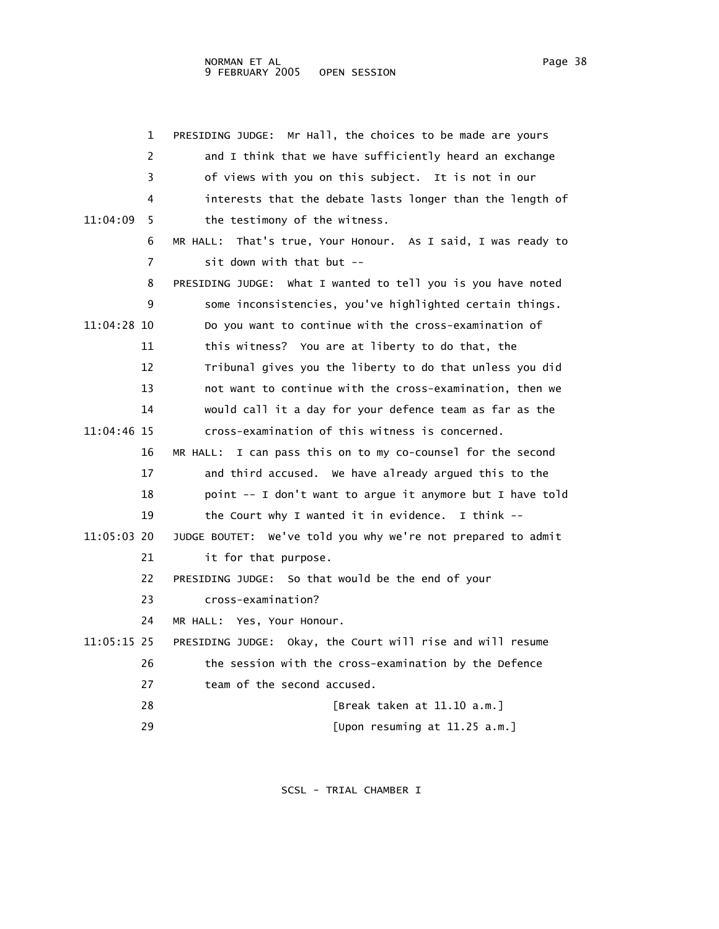|             | 1  | Mr Hall, the choices to be made are yours<br>PRESIDING JUDGE: |
|-------------|----|---------------------------------------------------------------|
|             | 2  | and I think that we have sufficiently heard an exchange       |
|             | 3  | of views with you on this subject. It is not in our           |
|             | 4  | interests that the debate lasts longer than the length of     |
| 11:04:09    | 5  | the testimony of the witness.                                 |
|             | 6  | MR HALL: That's true, Your Honour. As I said, I was ready to  |
|             | 7  | sit down with that but --                                     |
|             | 8  | PRESIDING JUDGE: What I wanted to tell you is you have noted  |
|             | 9  | some inconsistencies, you've highlighted certain things.      |
| 11:04:28 10 |    | Do you want to continue with the cross-examination of         |
|             | 11 | this witness? You are at liberty to do that, the              |
|             | 12 | Tribunal gives you the liberty to do that unless you did      |
|             | 13 | not want to continue with the cross-examination, then we      |
|             | 14 | would call it a day for your defence team as far as the       |
| 11:04:46 15 |    | cross-examination of this witness is concerned.               |
|             | 16 | MR HALL: I can pass this on to my co-counsel for the second   |
|             | 17 | and third accused. We have already argued this to the         |
|             | 18 | point -- I don't want to argue it anymore but I have told     |
|             | 19 | the Court why I wanted it in evidence. I think --             |
| 11:05:03 20 |    | JUDGE BOUTET: We've told you why we're not prepared to admit  |
|             | 21 | it for that purpose.                                          |
|             | 22 | PRESIDING JUDGE: So that would be the end of your             |
|             | 23 | cross-examination?                                            |
|             | 24 | MR HALL: Yes, Your Honour.                                    |
| 11:05:15 25 |    | PRESIDING JUDGE: Okay, the Court will rise and will resume    |
|             | 26 | the session with the cross-examination by the Defence         |
|             | 27 | team of the second accused.                                   |
|             | 28 | [Break taken at 11.10 a.m.]                                   |
|             | 29 | [Upon resuming at 11.25 a.m.]                                 |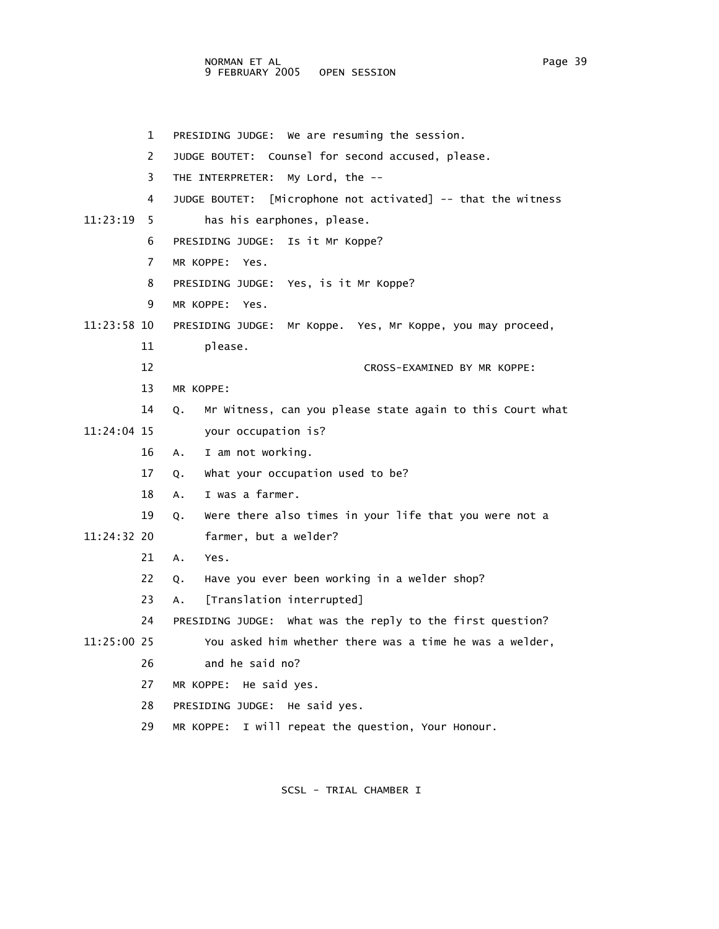NORMAN ET AL Page 39 9 FEBRUARY 2005 OPEN SESSION

 1 PRESIDING JUDGE: We are resuming the session. 2 JUDGE BOUTET: Counsel for second accused, please. 3 THE INTERPRETER: My Lord, the -- 4 JUDGE BOUTET: [Microphone not activated] -- that the witness 11:23:19 5 has his earphones, please. 6 PRESIDING JUDGE: Is it Mr Koppe? 7 MR KOPPE: Yes. 8 PRESIDING JUDGE: Yes, is it Mr Koppe? 9 MR KOPPE: Yes. 11:23:58 10 PRESIDING JUDGE: Mr Koppe. Yes, Mr Koppe, you may proceed, 11 please. 12 CROSS-EXAMINED BY MR KOPPE: 13 MR KOPPE: 14 Q. Mr Witness, can you please state again to this Court what 11:24:04 15 your occupation is? 16 A. I am not working. 17 Q. What your occupation used to be? 18 A. I was a farmer. 19 Q. Were there also times in your life that you were not a 11:24:32 20 farmer, but a welder? 21 A. Yes. 22 Q. Have you ever been working in a welder shop? 23 A. [Translation interrupted] 24 PRESIDING JUDGE: What was the reply to the first question? 11:25:00 25 You asked him whether there was a time he was a welder, 26 and he said no? 27 MR KOPPE: He said yes. 28 PRESIDING JUDGE: He said yes. 29 MR KOPPE: I will repeat the question, Your Honour.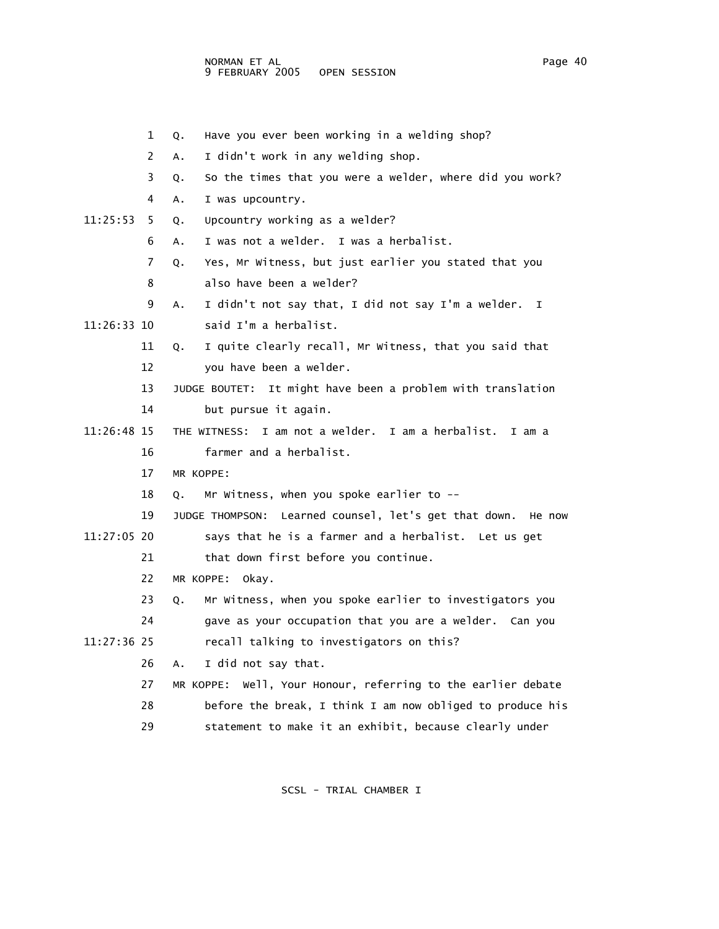1 Q. Have you ever been working in a welding shop? 2 A. I didn't work in any welding shop. 3 Q. So the times that you were a welder, where did you work? 4 A. I was upcountry. 11:25:53 5 Q. Upcountry working as a welder? 6 A. I was not a welder. I was a herbalist. 7 Q. Yes, Mr Witness, but just earlier you stated that you 8 also have been a welder? 9 A. I didn't not say that, I did not say I'm a welder. I 11:26:33 10 said I'm a herbalist. 11 Q. I quite clearly recall, Mr Witness, that you said that 12 you have been a welder. 13 JUDGE BOUTET: It might have been a problem with translation 14 but pursue it again. 11:26:48 15 THE WITNESS: I am not a welder. I am a herbalist. I am a 16 farmer and a herbalist. 17 MR KOPPE: 18 Q. Mr Witness, when you spoke earlier to -- 19 JUDGE THOMPSON: Learned counsel, let's get that down. He now 11:27:05 20 says that he is a farmer and a herbalist. Let us get 21 that down first before you continue. 22 MR KOPPE: Okay. 23 Q. Mr Witness, when you spoke earlier to investigators you 24 gave as your occupation that you are a welder. Can you 11:27:36 25 recall talking to investigators on this? 26 A. I did not say that. 27 MR KOPPE: Well, Your Honour, referring to the earlier debate 28 before the break, I think I am now obliged to produce his 29 statement to make it an exhibit, because clearly under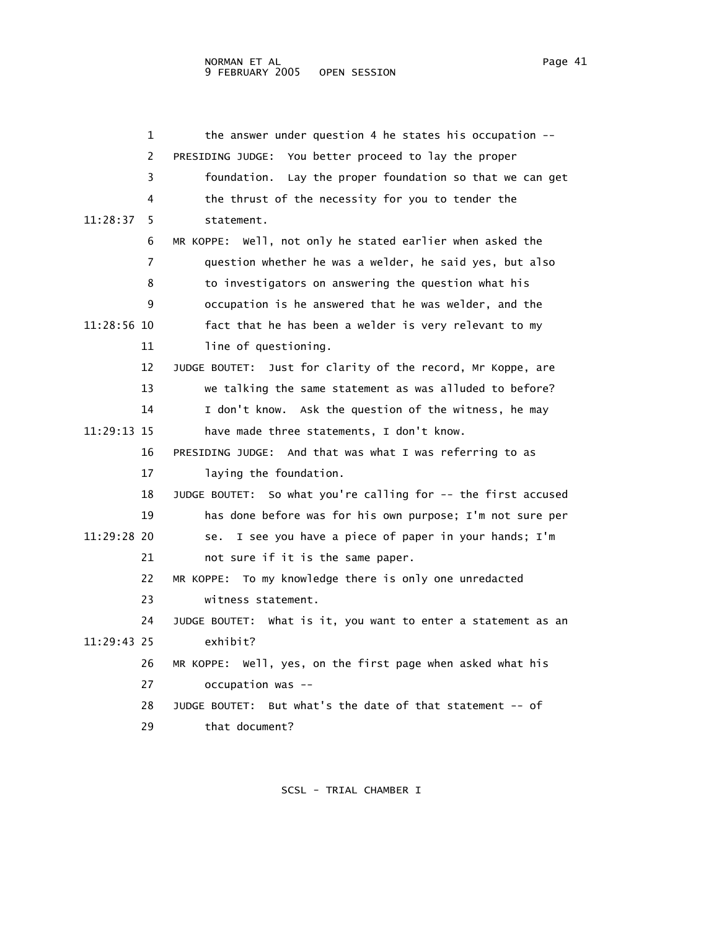| 1              | the answer under question 4 he states his occupation --       |
|----------------|---------------------------------------------------------------|
| $\overline{c}$ | PRESIDING JUDGE: You better proceed to lay the proper         |
| 3              | foundation. Lay the proper foundation so that we can get      |
| 4              | the thrust of the necessity for you to tender the             |
| 11:28:37<br>5. | statement.                                                    |
| 6              | MR KOPPE: Well, not only he stated earlier when asked the     |
| 7              | question whether he was a welder, he said yes, but also       |
| 8              | to investigators on answering the question what his           |
| 9              | occupation is he answered that he was welder, and the         |
| 11:28:56 10    | fact that he has been a welder is very relevant to my         |
| 11             | line of questioning.                                          |
| 12             | JUDGE BOUTET: Just for clarity of the record, Mr Koppe, are   |
| 13             | we talking the same statement as was alluded to before?       |
| 14             | I don't know. Ask the question of the witness, he may         |
| 11:29:13 15    | have made three statements, I don't know.                     |
| 16             | PRESIDING JUDGE: And that was what I was referring to as      |
| 17             | laying the foundation.                                        |
| 18             | JUDGE BOUTET: So what you're calling for -- the first accused |
| 19             | has done before was for his own purpose; I'm not sure per     |
| 11:29:28 20    | I see you have a piece of paper in your hands; I'm<br>se.     |
| 21             | not sure if it is the same paper.                             |
| 22             | To my knowledge there is only one unredacted<br>MR KOPPE:     |
| 23             | witness statement.                                            |
| 24             | JUDGE BOUTET: what is it, you want to enter a statement as an |
| 11:29:43 25    | exhibit?                                                      |
| 26             | MR KOPPE: Well, yes, on the first page when asked what his    |
| 27             | occupation was --                                             |
| 28             | But what's the date of that statement -- of<br>JUDGE BOUTET:  |
| 29             | that document?                                                |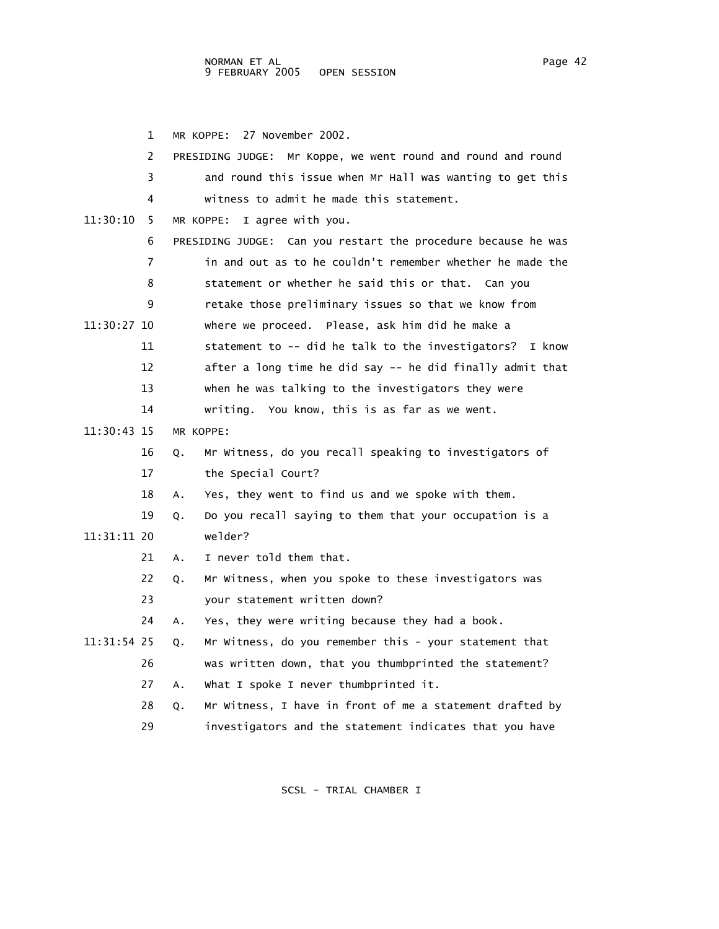1 MR KOPPE: 27 November 2002. 2 PRESIDING JUDGE: Mr Koppe, we went round and round and round 3 and round this issue when Mr Hall was wanting to get this 4 witness to admit he made this statement. 11:30:10 5 MR KOPPE: I agree with you. 6 PRESIDING JUDGE: Can you restart the procedure because he was 7 in and out as to he couldn't remember whether he made the 8 statement or whether he said this or that. Can you 9 retake those preliminary issues so that we know from 11:30:27 10 where we proceed. Please, ask him did he make a 11 statement to -- did he talk to the investigators? I know 12 after a long time he did say -- he did finally admit that 13 when he was talking to the investigators they were 14 writing. You know, this is as far as we went. 11:30:43 15 MR KOPPE: 16 Q. Mr Witness, do you recall speaking to investigators of 17 the Special Court? 18 A. Yes, they went to find us and we spoke with them. 19 Q. Do you recall saying to them that your occupation is a 11:31:11 20 welder? 21 A. I never told them that. 22 Q. Mr Witness, when you spoke to these investigators was 23 your statement written down? 24 A. Yes, they were writing because they had a book. 11:31:54 25 Q. Mr Witness, do you remember this - your statement that 26 was written down, that you thumbprinted the statement? 27 A. What I spoke I never thumbprinted it. 28 Q. Mr Witness, I have in front of me a statement drafted by 29 investigators and the statement indicates that you have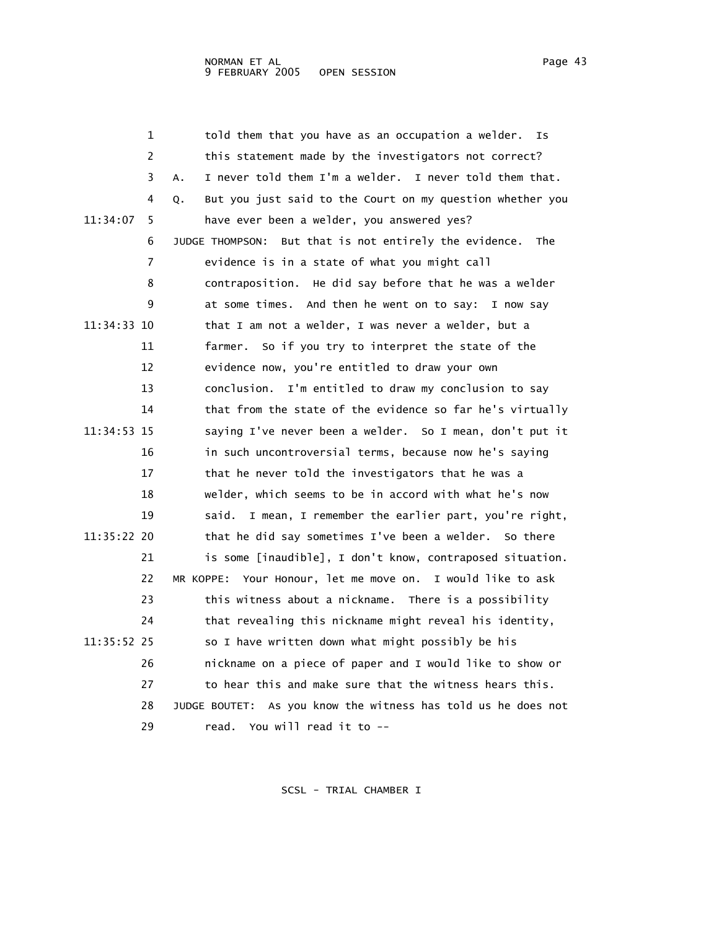|             | 1  | told them that you have as an occupation a welder.              | Ιs  |
|-------------|----|-----------------------------------------------------------------|-----|
|             | 2  | this statement made by the investigators not correct?           |     |
|             | 3  | I never told them I'm a welder. I never told them that.<br>Α.   |     |
|             | 4  | But you just said to the Court on my question whether you<br>Q. |     |
| 11:34:07    | 5  | have ever been a welder, you answered yes?                      |     |
|             | 6  | But that is not entirely the evidence.<br>JUDGE THOMPSON:       | The |
|             | 7  | evidence is in a state of what you might call                   |     |
|             | 8  | contraposition. He did say before that he was a welder          |     |
|             | 9  | at some times. And then he went on to say: I now say            |     |
| 11:34:33 10 |    | that I am not a welder, I was never a welder, but a             |     |
|             | 11 | farmer.<br>So if you try to interpret the state of the          |     |
|             | 12 | evidence now, you're entitled to draw your own                  |     |
|             | 13 | conclusion. I'm entitled to draw my conclusion to say           |     |
|             | 14 | that from the state of the evidence so far he's virtually       |     |
| 11:34:53 15 |    | saying I've never been a welder. So I mean, don't put it        |     |
|             | 16 | in such uncontroversial terms, because now he's saying          |     |
|             | 17 | that he never told the investigators that he was a              |     |
|             | 18 | welder, which seems to be in accord with what he's now          |     |
|             | 19 | I mean, I remember the earlier part, you're right,<br>said.     |     |
| 11:35:22 20 |    | that he did say sometimes I've been a welder. So there          |     |
|             | 21 | is some [inaudible], I don't know, contraposed situation.       |     |
|             | 22 | Your Honour, let me move on. I would like to ask<br>MR KOPPE:   |     |
|             | 23 | this witness about a nickname. There is a possibility           |     |
|             | 24 | that revealing this nickname might reveal his identity,         |     |
| 11:35:52 25 |    | so I have written down what might possibly be his               |     |
|             | 26 | nickname on a piece of paper and I would like to show or        |     |
|             | 27 | to hear this and make sure that the witness hears this.         |     |
|             | 28 | JUDGE BOUTET: As you know the witness has told us he does not   |     |
|             | 29 | read. You will read it to --                                    |     |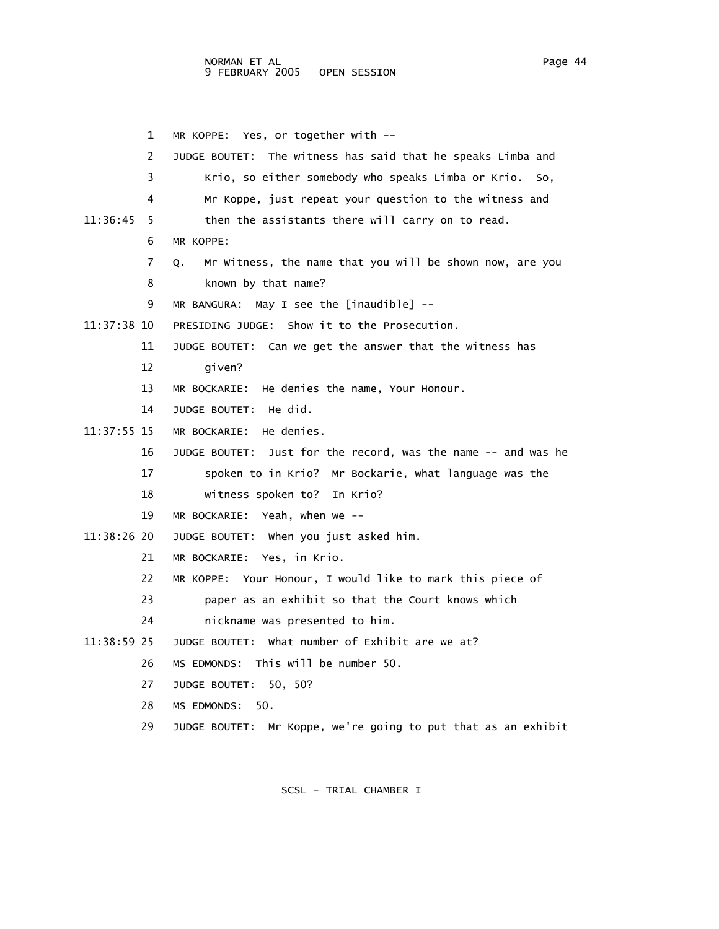1 MR KOPPE: Yes, or together with -- 2 JUDGE BOUTET: The witness has said that he speaks Limba and 3 Krio, so either somebody who speaks Limba or Krio. So, 4 Mr Koppe, just repeat your question to the witness and 11:36:45 5 then the assistants there will carry on to read. 6 MR KOPPE: 7 Q. Mr Witness, the name that you will be shown now, are you 8 known by that name? 9 MR BANGURA: May I see the [inaudible] -- 11:37:38 10 PRESIDING JUDGE: Show it to the Prosecution. 11 JUDGE BOUTET: Can we get the answer that the witness has 12 given? 13 MR BOCKARIE: He denies the name, Your Honour. 14 JUDGE BOUTET: He did. 11:37:55 15 MR BOCKARIE: He denies. 16 JUDGE BOUTET: Just for the record, was the name -- and was he 17 spoken to in Krio? Mr Bockarie, what language was the 18 witness spoken to? In Krio? 19 MR BOCKARIE: Yeah, when we -- 11:38:26 20 JUDGE BOUTET: When you just asked him. 21 MR BOCKARIE: Yes, in Krio. 22 MR KOPPE: Your Honour, I would like to mark this piece of 23 paper as an exhibit so that the Court knows which 24 nickname was presented to him. 11:38:59 25 JUDGE BOUTET: What number of Exhibit are we at? 26 MS EDMONDS: This will be number 50. 27 JUDGE BOUTET: 50, 50? 28 MS EDMONDS: 50. 29 JUDGE BOUTET: Mr Koppe, we're going to put that as an exhibit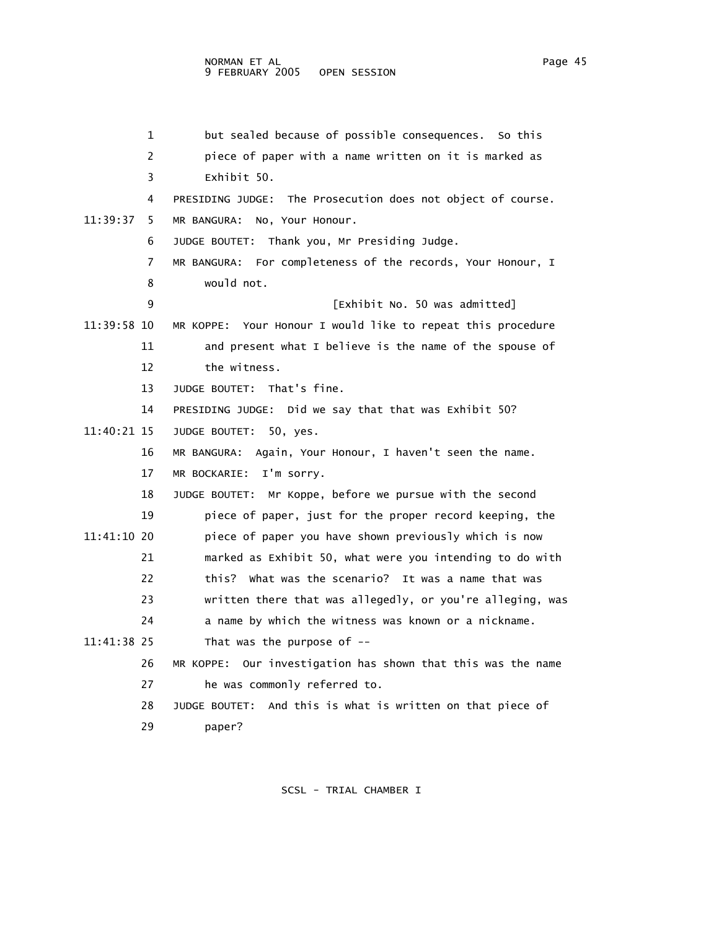1 but sealed because of possible consequences. So this 2 piece of paper with a name written on it is marked as 3 Exhibit 50. 4 PRESIDING JUDGE: The Prosecution does not object of course. 11:39:37 5 MR BANGURA: No, Your Honour. 6 JUDGE BOUTET: Thank you, Mr Presiding Judge. 7 MR BANGURA: For completeness of the records, Your Honour, I 8 would not. 9 [Exhibit No. 50 was admitted] 11:39:58 10 MR KOPPE: Your Honour I would like to repeat this procedure 11 and present what I believe is the name of the spouse of 12 the witness. 13 JUDGE BOUTET: That's fine. 14 PRESIDING JUDGE: Did we say that that was Exhibit 50? 11:40:21 15 JUDGE BOUTET: 50, yes. 16 MR BANGURA: Again, Your Honour, I haven't seen the name. 17 MR BOCKARIE: I'm sorry. 18 JUDGE BOUTET: Mr Koppe, before we pursue with the second 19 piece of paper, just for the proper record keeping, the 11:41:10 20 piece of paper you have shown previously which is now 21 marked as Exhibit 50, what were you intending to do with 22 this? What was the scenario? It was a name that was 23 written there that was allegedly, or you're alleging, was 24 a name by which the witness was known or a nickname. 11:41:38 25 That was the purpose of -- 26 MR KOPPE: Our investigation has shown that this was the name 27 he was commonly referred to.

 28 JUDGE BOUTET: And this is what is written on that piece of 29 paper?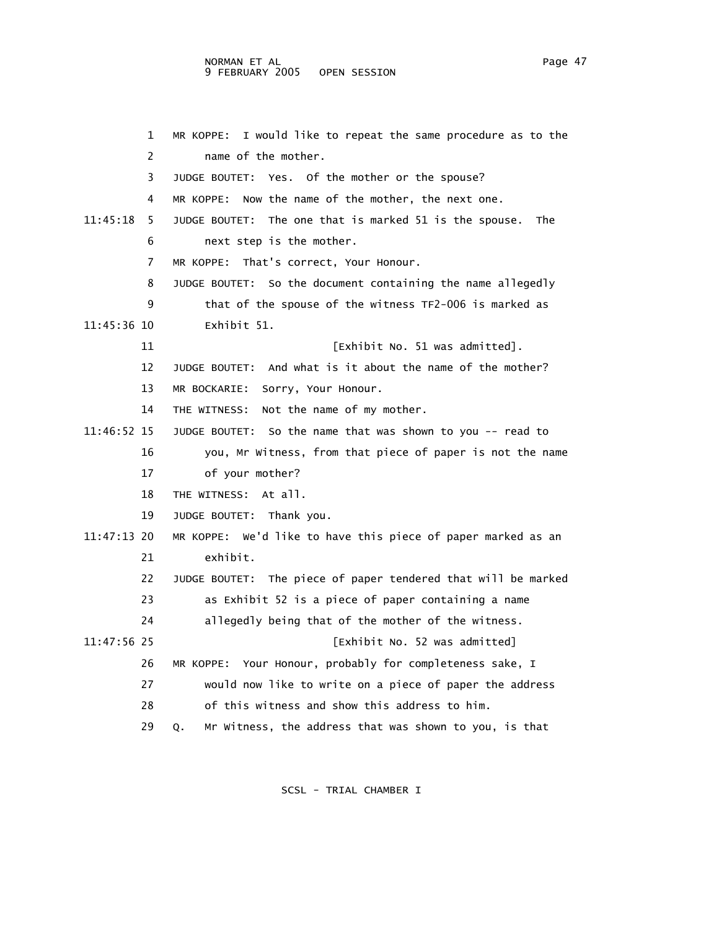## NORMAN ET AL Page 47 9 FEBRUARY 2005 OPEN SESSION

 1 MR KOPPE: I would like to repeat the same procedure as to the 2 name of the mother. 3 JUDGE BOUTET: Yes. Of the mother or the spouse? 4 MR KOPPE: Now the name of the mother, the next one. 11:45:18 5 JUDGE BOUTET: The one that is marked 51 is the spouse. The 6 next step is the mother. 7 MR KOPPE: That's correct, Your Honour. 8 JUDGE BOUTET: So the document containing the name allegedly 9 that of the spouse of the witness TF2-006 is marked as 11:45:36 10 Exhibit 51. 11 **11 Exhibit No. 51 was admitted**. 12 JUDGE BOUTET: And what is it about the name of the mother? 13 MR BOCKARIE: Sorry, Your Honour. 14 THE WITNESS: Not the name of my mother. 11:46:52 15 JUDGE BOUTET: So the name that was shown to you -- read to 16 you, Mr Witness, from that piece of paper is not the name 17 of your mother? 18 THE WITNESS: At all. 19 JUDGE BOUTET: Thank you. 11:47:13 20 MR KOPPE: We'd like to have this piece of paper marked as an 21 exhibit. 22 JUDGE BOUTET: The piece of paper tendered that will be marked 23 as Exhibit 52 is a piece of paper containing a name 24 allegedly being that of the mother of the witness. 11:47:56 25 [Exhibit No. 52 was admitted] 26 MR KOPPE: Your Honour, probably for completeness sake, I 27 would now like to write on a piece of paper the address 28 of this witness and show this address to him. 29 Q. Mr Witness, the address that was shown to you, is that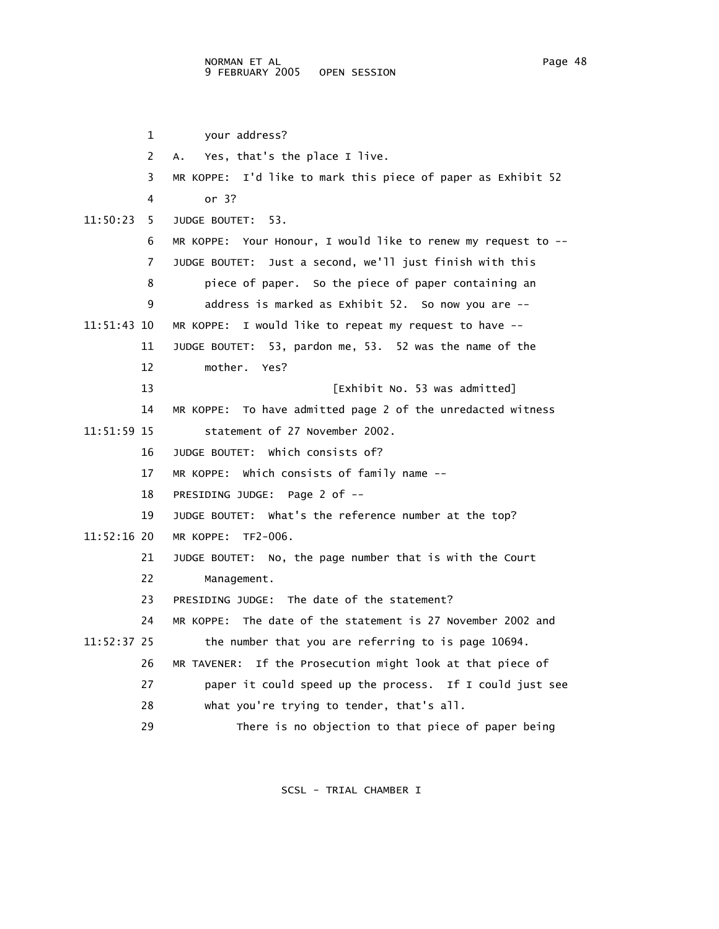|             | 1  | your address?                                                 |
|-------------|----|---------------------------------------------------------------|
|             | 2  | Yes, that's the place I live.<br>A.,                          |
|             | 3  | MR KOPPE: I'd like to mark this piece of paper as Exhibit 52  |
|             | 4  | or $3?$                                                       |
| 11:50:23    | 5. | JUDGE BOUTET: 53.                                             |
|             | 6  | MR KOPPE: Your Honour, I would like to renew my request to -- |
|             | 7  | JUDGE BOUTET: Just a second, we'll just finish with this      |
|             | 8  | piece of paper. So the piece of paper containing an           |
|             | 9  | address is marked as Exhibit 52. So now you are --            |
| 11:51:43 10 |    | MR KOPPE: I would like to repeat my request to have --        |
|             | 11 | JUDGE BOUTET: 53, pardon me, 53. 52 was the name of the       |
|             | 12 | mother. Yes?                                                  |
|             | 13 | [Exhibit No. 53 was admitted]                                 |
|             | 14 | MR KOPPE: To have admitted page 2 of the unredacted witness   |
| 11:51:59 15 |    | statement of 27 November 2002.                                |
|             | 16 | JUDGE BOUTET: Which consists of?                              |
|             | 17 | MR KOPPE: Which consists of family name --                    |
|             | 18 | PRESIDING JUDGE: Page 2 of --                                 |
|             | 19 | JUDGE BOUTET: What's the reference number at the top?         |
| 11:52:16 20 |    | MR KOPPE: TF2-006.                                            |
|             | 21 | JUDGE BOUTET: No, the page number that is with the Court      |
|             | 22 | Management.                                                   |
|             | 23 | PRESIDING JUDGE: The date of the statement?                   |
|             | 24 | MR KOPPE: The date of the statement is 27 November 2002 and   |
| 11:52:37 25 |    | the number that you are referring to is page 10694.           |
|             | 26 | If the Prosecution might look at that piece of<br>MR TAVENER: |
|             | 27 | paper it could speed up the process. If I could just see      |
|             | 28 | what you're trying to tender, that's all.                     |
|             | 29 | There is no objection to that piece of paper being            |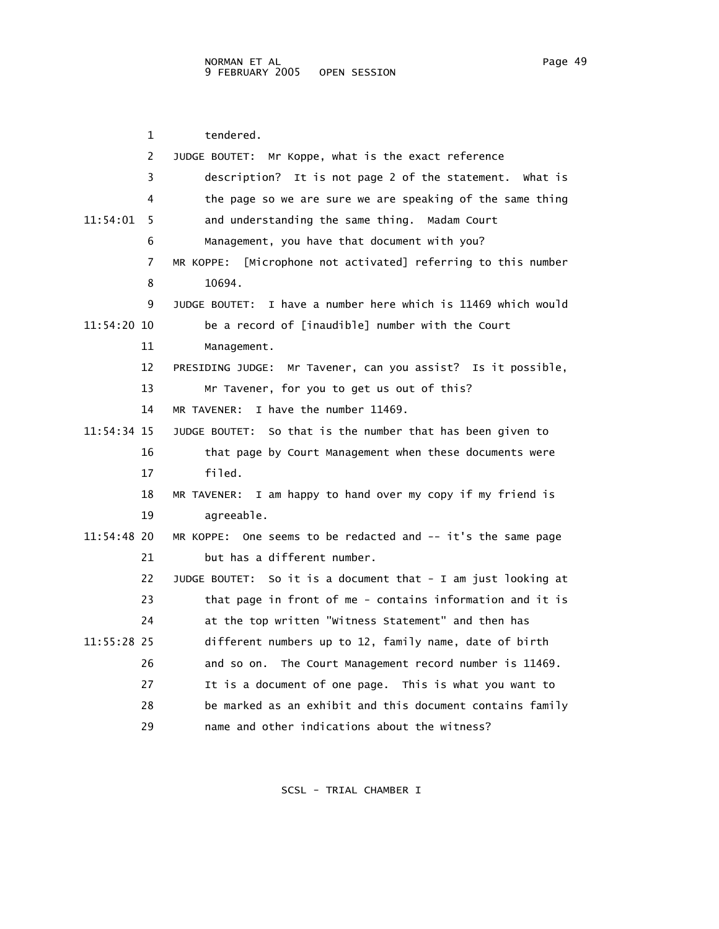| 1             | tendered.                                                        |
|---------------|------------------------------------------------------------------|
| 2             | JUDGE BOUTET: Mr Koppe, what is the exact reference              |
| 3             |                                                                  |
|               | description? It is not page 2 of the statement. What is          |
| 4             | the page so we are sure we are speaking of the same thing        |
| 11:54:01<br>5 | and understanding the same thing.<br>Madam Court                 |
| 6             | Management, you have that document with you?                     |
| 7             | [Microphone not activated] referring to this number<br>MR KOPPE: |
| 8             | 10694.                                                           |
| 9             | JUDGE BOUTET: I have a number here which is 11469 which would    |
| 11:54:20 10   | be a record of [inaudible] number with the Court                 |
| 11            | Management.                                                      |
| 12            | PRESIDING JUDGE: Mr Tavener, can you assist? Is it possible,     |
| 13            | Mr Tavener, for you to get us out of this?                       |
| 14            | I have the number 11469.<br>MR TAVENER:                          |
| 11:54:34 15   | So that is the number that has been given to<br>JUDGE BOUTET:    |
| 16            | that page by Court Management when these documents were          |
| 17            | filed.                                                           |
| 18            | I am happy to hand over my copy if my friend is<br>MR TAVENER:   |
| 19            | agreeable.                                                       |
| 11:54:48 20   | MR KOPPE: One seems to be redacted and -- it's the same page     |
| 21            | but has a different number.                                      |
| 22            | JUDGE BOUTET: So it is a document that - I am just looking at    |
| 23            | that page in front of me - contains information and it is        |
| 24            | at the top written "witness Statement" and then has              |
| 11:55:28 25   | different numbers up to 12, family name, date of birth           |
| 26            | and so on. The Court Management record number is 11469.          |
| 27            | It is a document of one page. This is what you want to           |
| 28            | be marked as an exhibit and this document contains family        |
| 29            | name and other indications about the witness?                    |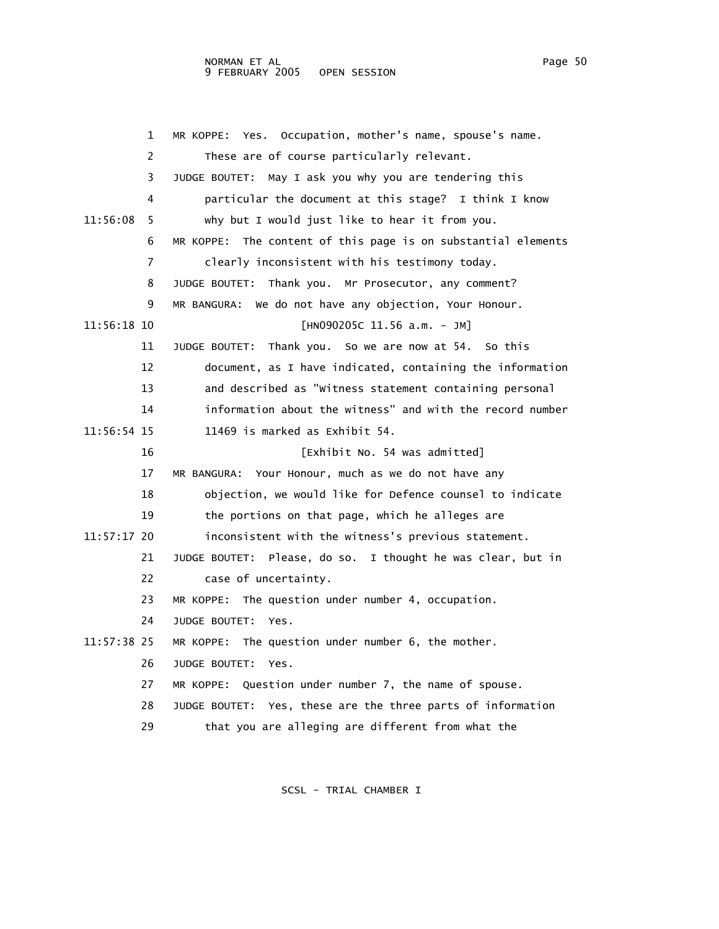## NORMAN ET AL Page 50 9 FEBRUARY 2005 OPEN SESSION

 1 MR KOPPE: Yes. Occupation, mother's name, spouse's name. 2 These are of course particularly relevant. 3 JUDGE BOUTET: May I ask you why you are tendering this 4 particular the document at this stage? I think I know 11:56:08 5 why but I would just like to hear it from you. 6 MR KOPPE: The content of this page is on substantial elements 7 clearly inconsistent with his testimony today. 8 JUDGE BOUTET: Thank you. Mr Prosecutor, any comment? 9 MR BANGURA: We do not have any objection, Your Honour. 11:56:18 10 [HN090205C 11.56 a.m. - JM] 11 JUDGE BOUTET: Thank you. So we are now at 54. So this 12 document, as I have indicated, containing the information 13 and described as "Witness statement containing personal 14 information about the witness" and with the record number 11:56:54 15 11469 is marked as Exhibit 54. 16 [Exhibit No. 54 was admitted] 17 MR BANGURA: Your Honour, much as we do not have any 18 objection, we would like for Defence counsel to indicate 19 the portions on that page, which he alleges are 11:57:17 20 inconsistent with the witness's previous statement. 21 JUDGE BOUTET: Please, do so. I thought he was clear, but in 22 case of uncertainty. 23 MR KOPPE: The question under number 4, occupation. 24 JUDGE BOUTET: Yes. 11:57:38 25 MR KOPPE: The question under number 6, the mother. 26 JUDGE BOUTET: Yes. 27 MR KOPPE: Question under number 7, the name of spouse. 28 JUDGE BOUTET: Yes, these are the three parts of information 29 that you are alleging are different from what the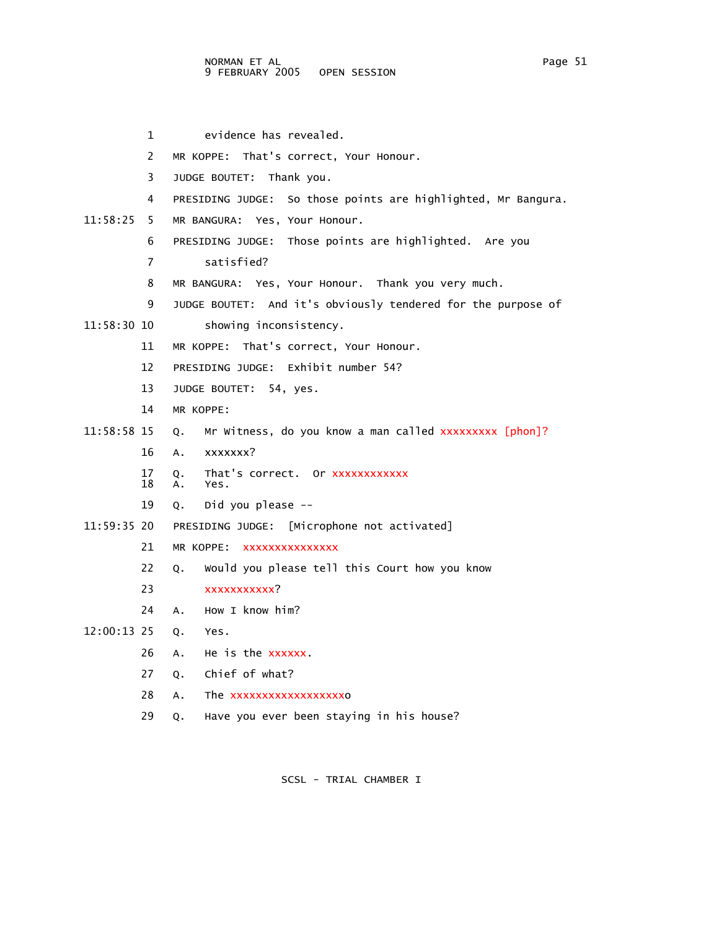1 evidence has revealed. 2 MR KOPPE: That's correct, Your Honour. 3 JUDGE BOUTET: Thank you. 4 PRESIDING JUDGE: So those points are highlighted, Mr Bangura. 11:58:25 5 MR BANGURA: Yes, Your Honour. 6 PRESIDING JUDGE: Those points are highlighted. Are you 7 satisfied? 8 MR BANGURA: Yes, Your Honour. Thank you very much. 9 JUDGE BOUTET: And it's obviously tendered for the purpose of 11:58:30 10 showing inconsistency. 11 MR KOPPE: That's correct, Your Honour. 12 PRESIDING JUDGE: Exhibit number 54? 13 JUDGE BOUTET: 54, yes. 14 MR KOPPE: 11:58:58 15 Q. Mr Witness, do you know a man called xxxxxxxxx [phon]? 16 A. xxxxxxx? 17 Q. That's correct. Or xxxxxxxxxxxx A. Yes. 19 Q. Did you please -- 11:59:35 20 PRESIDING JUDGE: [Microphone not activated] 21 MR KOPPE: xxxxxxxxxxxxxxx 22 Q. Would you please tell this Court how you know 23 xxxxxxxxxxx? 24 A. How I know him? 12:00:13 25 Q. Yes. 26 A. He is the xxxxxx. 27 Q. Chief of what? 28 A. The xxxxxxxxxxxxxxxxxxo 29 Q. Have you ever been staying in his house?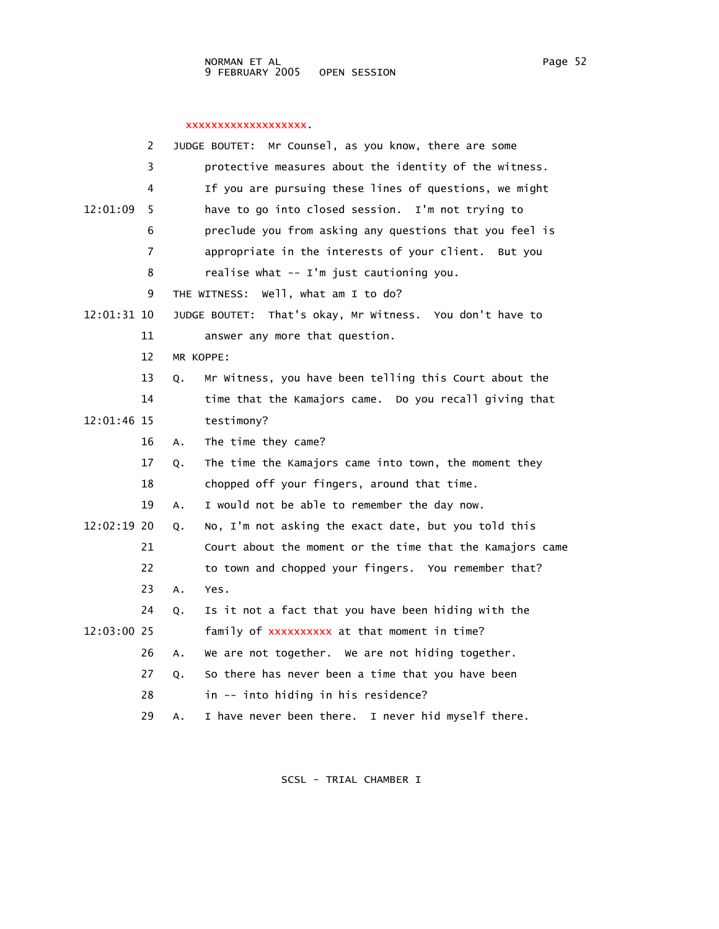## xxxxxxxxxxxxxxxxxxx.

|             | 2  |    | Mr Counsel, as you know, there are some<br>JUDGE BOUTET:  |
|-------------|----|----|-----------------------------------------------------------|
|             | 3  |    | protective measures about the identity of the witness.    |
|             | 4  |    | If you are pursuing these lines of questions, we might    |
| 12:01:09    | 5  |    | have to go into closed session. I'm not trying to         |
|             | 6  |    | preclude you from asking any questions that you feel is   |
|             | 7  |    | appropriate in the interests of your client. But you      |
|             | 8  |    | realise what -- I'm just cautioning you.                  |
|             | 9  |    | well, what am I to do?<br>THE WITNESS:                    |
| 12:01:31 10 |    |    | JUDGE BOUTET: That's okay, Mr Witness. You don't have to  |
|             | 11 |    | answer any more that question.                            |
|             | 12 |    | MR KOPPE:                                                 |
|             | 13 | Q. | Mr Witness, you have been telling this Court about the    |
|             | 14 |    | time that the Kamajors came. Do you recall giving that    |
| 12:01:46 15 |    |    | testimony?                                                |
|             | 16 | Α. | The time they came?                                       |
|             | 17 | Q. | The time the Kamajors came into town, the moment they     |
|             | 18 |    | chopped off your fingers, around that time.               |
|             | 19 | Α. | I would not be able to remember the day now.              |
| 12:02:19 20 |    | Q. | No, I'm not asking the exact date, but you told this      |
|             | 21 |    | Court about the moment or the time that the Kamajors came |
|             | 22 |    | to town and chopped your fingers. You remember that?      |
|             | 23 | A. | Yes.                                                      |
|             | 24 | Q. | Is it not a fact that you have been hiding with the       |
| 12:03:00 25 |    |    | family of xxxxxxxxxx at that moment in time?              |
|             | 26 | А. | We are not together. We are not hiding together.          |
|             | 27 | Q. | So there has never been a time that you have been         |
|             | 28 |    | in -- into hiding in his residence?                       |
|             | 29 | А. | I have never been there. I never hid myself there.        |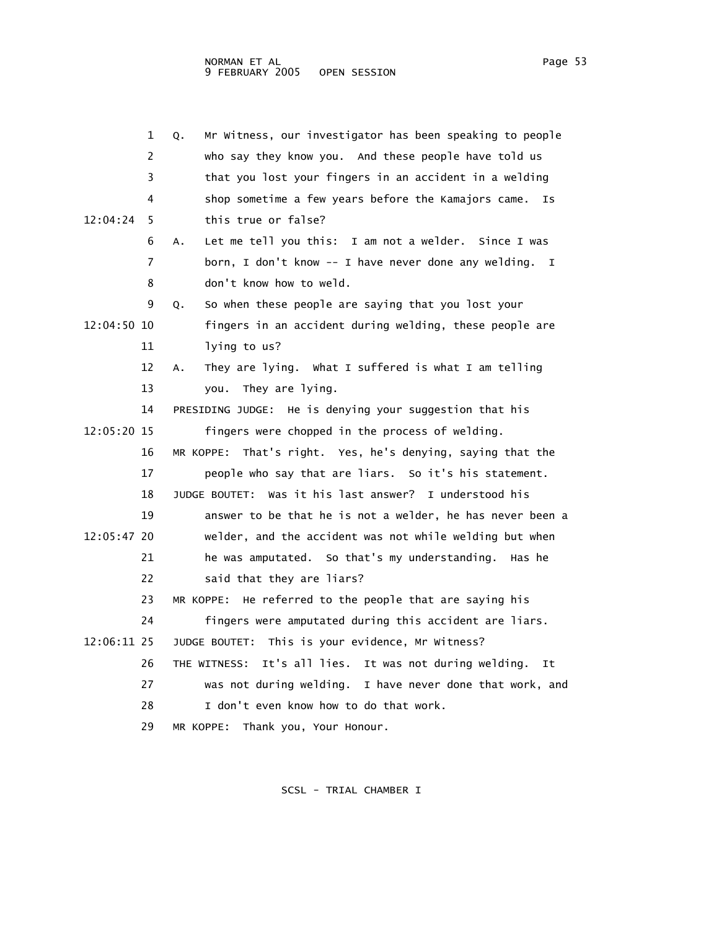|             | 1  | Mr Witness, our investigator has been speaking to people<br>Q.      |
|-------------|----|---------------------------------------------------------------------|
|             | 2  | who say they know you. And these people have told us                |
|             | 3  | that you lost your fingers in an accident in a welding              |
|             | 4  | shop sometime a few years before the Kamajors came.<br>Is           |
| 12:04:24    | 5  | this true or false?                                                 |
|             | 6  | Let me tell you this: I am not a welder. Since I was<br>А.          |
|             | 7  | born, I don't know -- I have never done any welding.<br>$\mathbf I$ |
|             | 8  | don't know how to weld.                                             |
|             | 9  | So when these people are saying that you lost your<br>Q.            |
| 12:04:50 10 |    | fingers in an accident during welding, these people are             |
|             | 11 | lying to us?                                                        |
|             | 12 | They are lying. What I suffered is what I am telling<br>А.          |
|             | 13 | They are lying.<br>you.                                             |
|             | 14 | PRESIDING JUDGE: He is denying your suggestion that his             |
| 12:05:20 15 |    | fingers were chopped in the process of welding.                     |
|             | 16 | MR KOPPE: That's right. Yes, he's denying, saying that the          |
|             | 17 | people who say that are liars. So it's his statement.               |
|             | 18 | JUDGE BOUTET: Was it his last answer? I understood his              |
|             | 19 | answer to be that he is not a welder, he has never been a           |
| 12:05:47 20 |    | welder, and the accident was not while welding but when             |
|             | 21 | he was amputated. So that's my understanding. Has he                |
|             | 22 | said that they are liars?                                           |
|             | 23 | MR KOPPE: He referred to the people that are saying his             |
|             | 24 | fingers were amputated during this accident are liars.              |
| 12:06:11 25 |    | JUDGE BOUTET: This is your evidence, Mr Witness?                    |
|             | 26 | It's all lies. It was not during welding.<br>THE WITNESS:<br>It     |
|             | 27 | was not during welding. I have never done that work, and            |
|             | 28 | I don't even know how to do that work.                              |
|             | 29 | MR KOPPE: Thank you, Your Honour.                                   |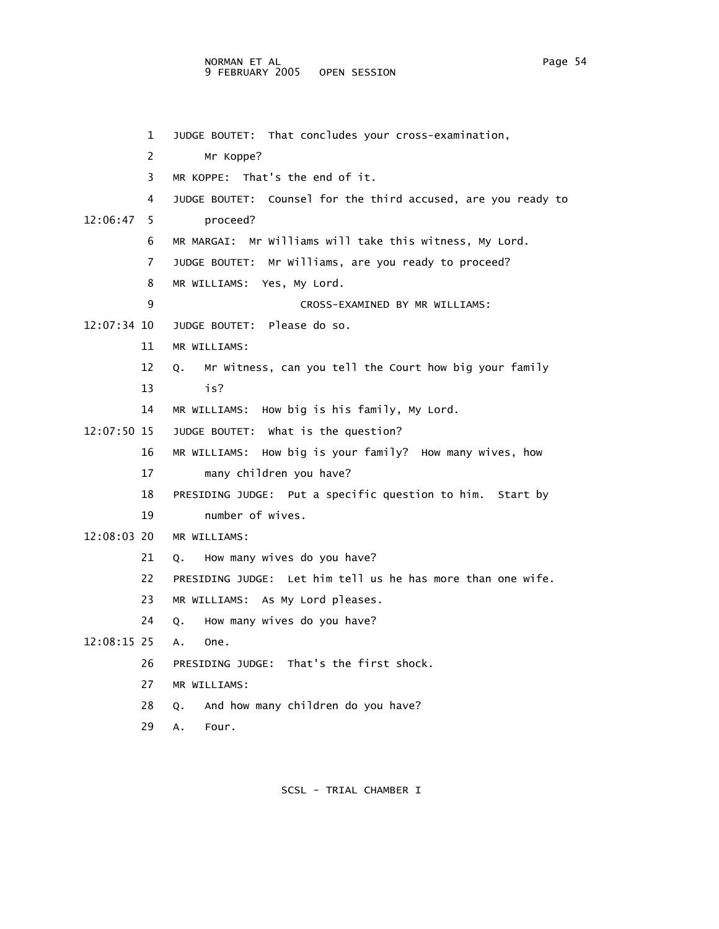NORMAN ET AL Page 54 9 FEBRUARY 2005 OPEN SESSION

|               | 1  | JUDGE BOUTET: That concludes your cross-examination,             |
|---------------|----|------------------------------------------------------------------|
|               | 2  | Mr Koppe?                                                        |
|               | 3  | MR KOPPE: That's the end of it.                                  |
|               | 4  | Counsel for the third accused, are you ready to<br>JUDGE BOUTET: |
| 12:06:47      | 5  | proceed?                                                         |
|               | 6  | MR MARGAI: Mr Williams will take this witness, My Lord.          |
|               | 7  | JUDGE BOUTET: Mr Williams, are you ready to proceed?             |
|               | 8  | MR WILLIAMS: Yes, My Lord.                                       |
|               | 9  | CROSS-EXAMINED BY MR WILLIAMS:                                   |
| 12:07:34 10   |    | JUDGE BOUTET: Please do so.                                      |
|               | 11 | MR WILLIAMS:                                                     |
|               | 12 | Mr Witness, can you tell the Court how big your family<br>Q.     |
|               | 13 | is?                                                              |
|               | 14 | MR WILLIAMS: How big is his family, My Lord.                     |
| 12:07:50 15   |    | JUDGE BOUTET: What is the question?                              |
|               | 16 | MR WILLIAMS: How big is your family? How many wives, how         |
|               | 17 | many children you have?                                          |
|               | 18 | PRESIDING JUDGE: Put a specific question to him. Start by        |
|               | 19 | number of wives.                                                 |
| $12:08:03$ 20 |    | MR WILLIAMS:                                                     |
|               | 21 | How many wives do you have?<br>0.                                |
|               | 22 | PRESIDING JUDGE: Let him tell us he has more than one wife.      |
|               | 23 | MR WILLIAMS: As My Lord pleases.                                 |
|               | 24 | How many wives do you have?<br>Q.                                |
| 12:08:15 25   |    | A.<br>One.                                                       |
|               | 26 | PRESIDING JUDGE: That's the first shock.                         |
|               | 27 | MR WILLIAMS:                                                     |
|               | 28 | And how many children do you have?<br>0.                         |
|               | 29 | А.<br>Four.                                                      |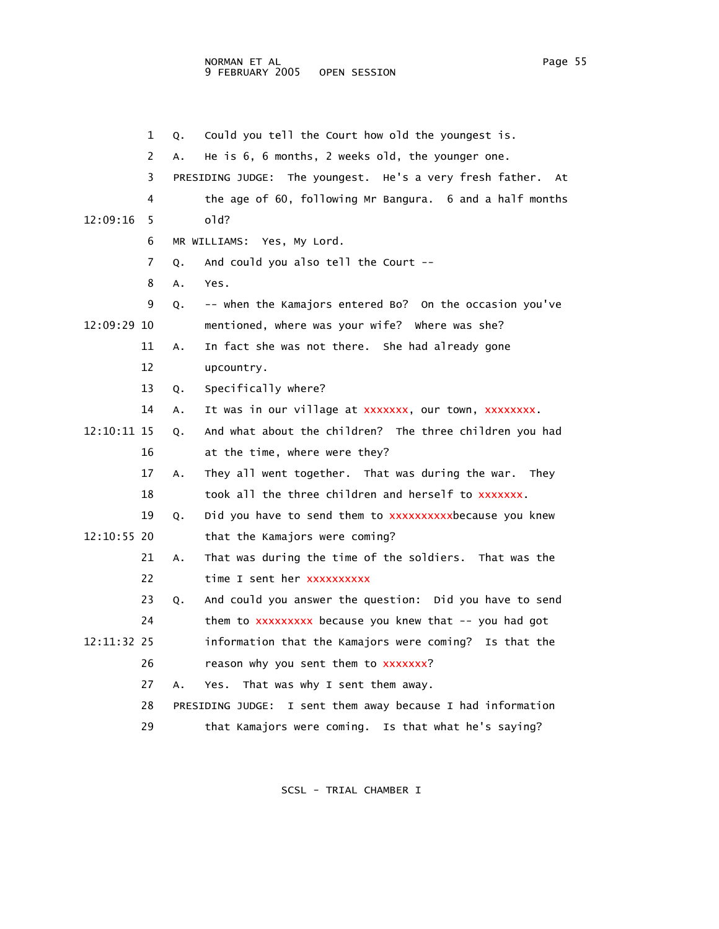1 Q. Could you tell the Court how old the youngest is. 2 A. He is 6, 6 months, 2 weeks old, the younger one. 3 PRESIDING JUDGE: The youngest. He's a very fresh father. At 4 the age of 60, following Mr Bangura. 6 and a half months 12:09:16 5 old? 6 MR WILLIAMS: Yes, My Lord. 7 Q. And could you also tell the Court -- 8 A. Yes. 9 Q. -- when the Kamajors entered Bo? On the occasion you've 12:09:29 10 mentioned, where was your wife? Where was she? 11 A. In fact she was not there. She had already gone 12 upcountry. 13 Q. Specifically where? 14 A. It was in our village at xxxxxxx, our town, xxxxxxxx. 12:10:11 15 Q. And what about the children? The three children you had 16 at the time, where were they? 17 A. They all went together. That was during the war. They 18 took all the three children and herself to xxxxxxx. 19 Q. Did you have to send them to xxxxxxxxxxxbecause you knew 12:10:55 20 that the Kamajors were coming? 21 A. That was during the time of the soldiers. That was the 22 time I sent her xxxxxxxxxx 23 Q. And could you answer the question: Did you have to send 24 them to xxxxxxxxx because you knew that -- you had got 12:11:32 25 information that the Kamajors were coming? Is that the 26 reason why you sent them to xxxxxxx? 27 A. Yes. That was why I sent them away. 28 PRESIDING JUDGE: I sent them away because I had information 29 that Kamajors were coming. Is that what he's saying?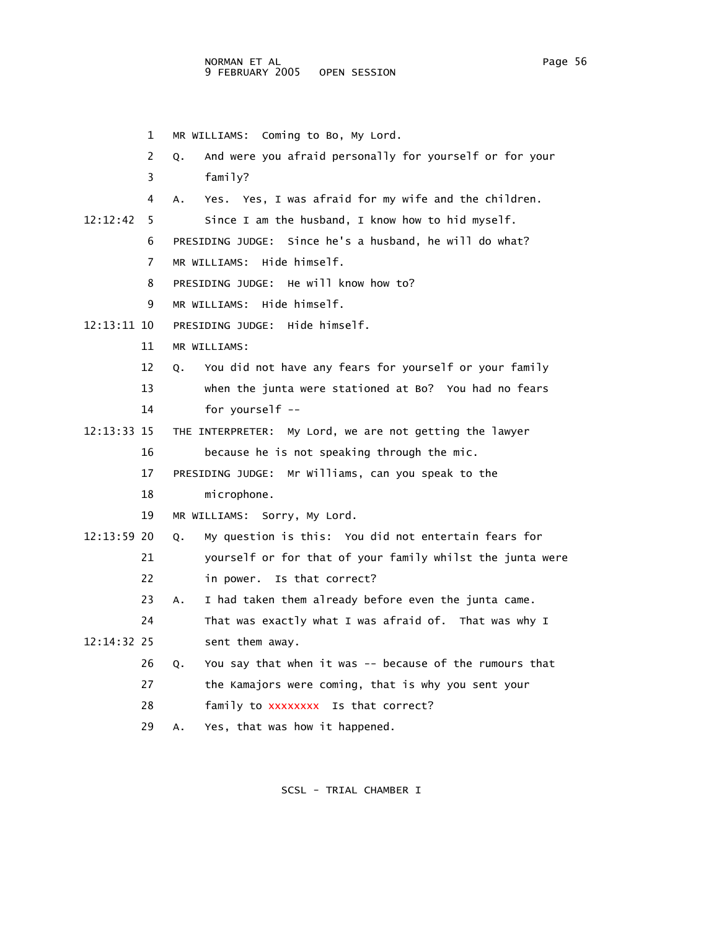1 MR WILLIAMS: Coming to Bo, My Lord. 2 Q. And were you afraid personally for yourself or for your 3 family? 4 A. Yes. Yes, I was afraid for my wife and the children. 12:12:42 5 Since I am the husband, I know how to hid myself. 6 PRESIDING JUDGE: Since he's a husband, he will do what? 7 MR WILLIAMS: Hide himself. 8 PRESIDING JUDGE: He will know how to? 9 MR WILLIAMS: Hide himself. 12:13:11 10 PRESIDING JUDGE: Hide himself. 11 MR WILLIAMS: 12 Q. You did not have any fears for yourself or your family 13 when the junta were stationed at Bo? You had no fears 14 for yourself -- 12:13:33 15 THE INTERPRETER: My Lord, we are not getting the lawyer 16 because he is not speaking through the mic. 17 PRESIDING JUDGE: Mr Williams, can you speak to the 18 microphone. 19 MR WILLIAMS: Sorry, My Lord. 12:13:59 20 Q. My question is this: You did not entertain fears for 21 yourself or for that of your family whilst the junta were 22 in power. Is that correct? 23 A. I had taken them already before even the junta came. 24 That was exactly what I was afraid of. That was why I 12:14:32 25 sent them away. 26 Q. You say that when it was -- because of the rumours that 27 the Kamajors were coming, that is why you sent your 28 family to xxxxxxxx Is that correct? 29 A. Yes, that was how it happened.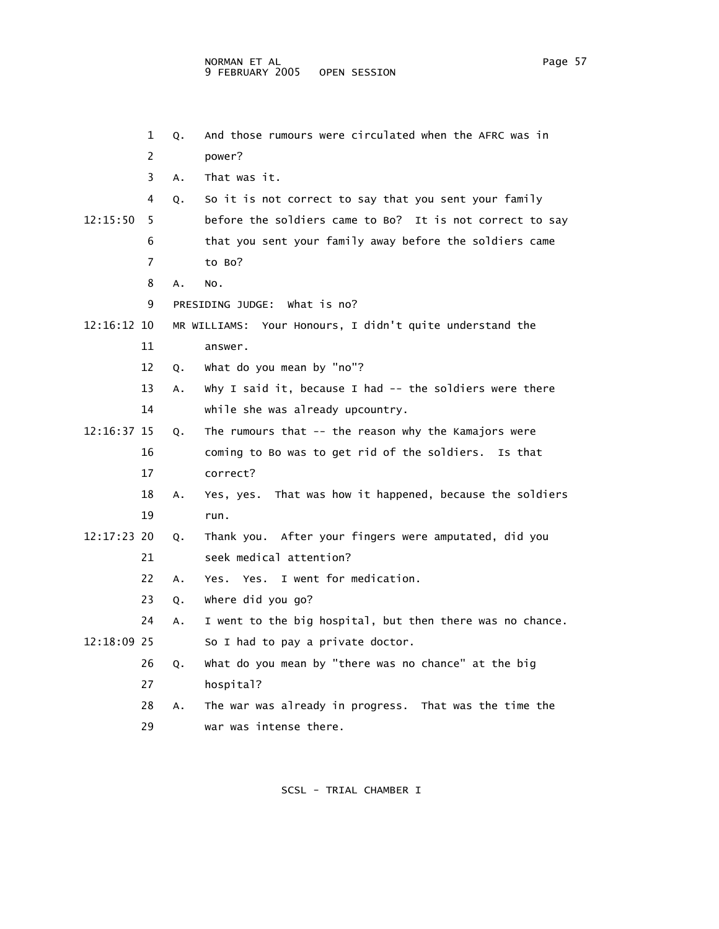| 1              | Q. | And those rumours were circulated when the AFRC was in      |
|----------------|----|-------------------------------------------------------------|
| 2              |    | power?                                                      |
| 3              | Α. | That was it.                                                |
| 4              | Q. | So it is not correct to say that you sent your family       |
| 12:15:50<br>5  |    | before the soldiers came to Bo? It is not correct to say    |
| 6              |    | that you sent your family away before the soldiers came     |
| $\overline{7}$ |    | to Bo?                                                      |
| 8              | Α. | NO.                                                         |
| 9              |    | PRESIDING JUDGE: What is no?                                |
| 12:16:12 10    |    | MR WILLIAMS: Your Honours, I didn't quite understand the    |
| 11             |    | answer.                                                     |
| 12             | Q. | what do you mean by "no"?                                   |
| 13             | Α. | Why I said it, because I had $-$ - the soldiers were there  |
| 14             |    | while she was already upcountry.                            |
| 12:16:37 15    | Q. | The rumours that -- the reason why the Kamajors were        |
| 16             |    | coming to Bo was to get rid of the soldiers. Is that        |
| 17             |    | correct?                                                    |
| 18             | Α. | That was how it happened, because the soldiers<br>Yes, yes. |
| 19             |    | run.                                                        |
| 12:17:23 20    | Q. | Thank you. After your fingers were amputated, did you       |
| 21             |    | seek medical attention?                                     |
| 22             | Α. | Yes. Yes. I went for medication.                            |
| 23             | Q. | where did you go?                                           |
| 24             | Α. | I went to the big hospital, but then there was no chance.   |
| 12:18:09 25    |    | So I had to pay a private doctor.                           |
| 26             | Q. | what do you mean by "there was no chance" at the big        |
| 27             |    | hospital?                                                   |
| 28             | А. | The war was already in progress. That was the time the      |
| 29             |    | war was intense there.                                      |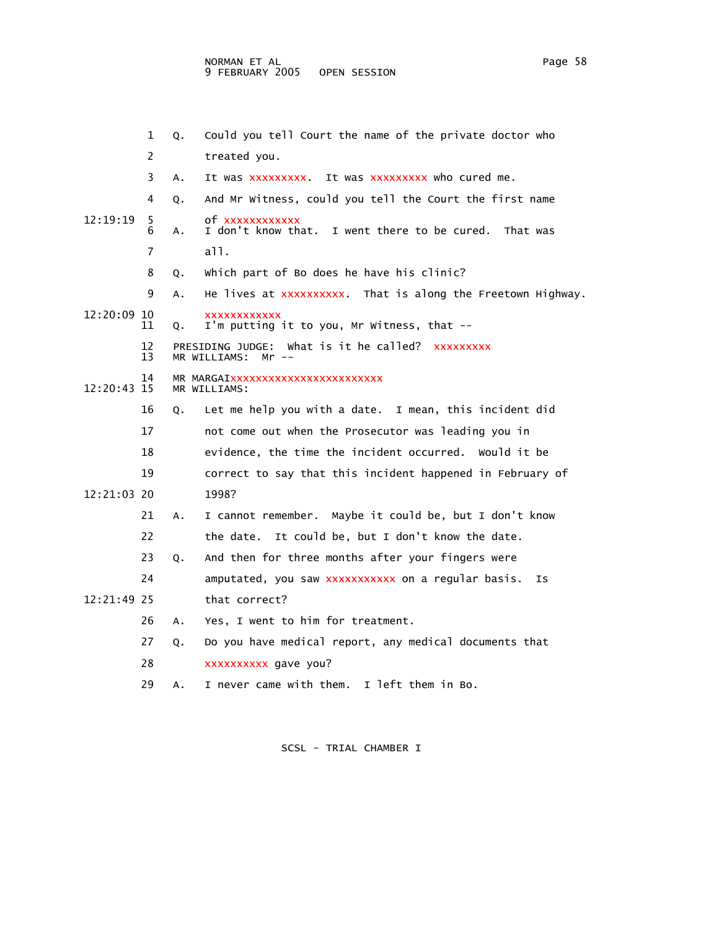|               | 1              | Q. | Could you tell Court the name of the private doctor who                      |
|---------------|----------------|----|------------------------------------------------------------------------------|
|               | $\overline{c}$ |    | treated you.                                                                 |
|               | 3              | Α. | It was xxxxxxxxx. It was xxxxxxxxx who cured me.                             |
|               | 4              | Q. | And Mr Witness, could you tell the Court the first name                      |
| 12:19:19      | 5.<br>6        | А. | of xxxxxxxxxxx<br>I don't know that. I went there to be cured.<br>That was   |
|               | 7              |    | a11.                                                                         |
|               | 8              | Q. | which part of Bo does he have his clinic?                                    |
|               | 9              | Α. | He lives at xxxxxxxxxx. That is along the Freetown Highway.                  |
| $12:20:09$ 10 | 11             | Q. | <b>XXXXXXXXXXX</b><br>I'm putting it to you, Mr Witness, that --             |
|               | 12<br>13       |    | PRESIDING JUDGE: What is it he called? XXXXXXXXX<br>MR WILLIAMS:<br>$Mr$ $-$ |
| $12:20:43$ 15 | 14             |    | MR MARGAIXXXXXXXXXXXXXXXXXXXXXXXX<br>MR WILLIAMS:                            |
|               | 16             | 0. | Let me help you with a date. I mean, this incident did                       |
|               | 17             |    | not come out when the Prosecutor was leading you in                          |
|               | 18             |    | evidence, the time the incident occurred. Would it be                        |
|               | 19             |    | correct to say that this incident happened in February of                    |
| 12:21:03 20   |                |    | 1998?                                                                        |
|               | 21             | А. | I cannot remember. Maybe it could be, but I don't know                       |
|               | 22             |    | It could be, but I don't know the date.<br>the date.                         |
|               | 23             | Q. | And then for three months after your fingers were                            |
|               | 24             |    | amputated, you saw xxxxxxxxxxx on a regular basis.<br>ΙS                     |
| 12:21:49.25   |                |    | that correct?                                                                |
|               | 26             | А. | Yes, I went to him for treatment.                                            |
|               | 27             | Q. | Do you have medical report, any medical documents that                       |
|               | 28             |    | xxxxxxxxx gave you?                                                          |
|               | 29             | Α. | I left them in Bo.<br>I never came with them.                                |
|               |                |    |                                                                              |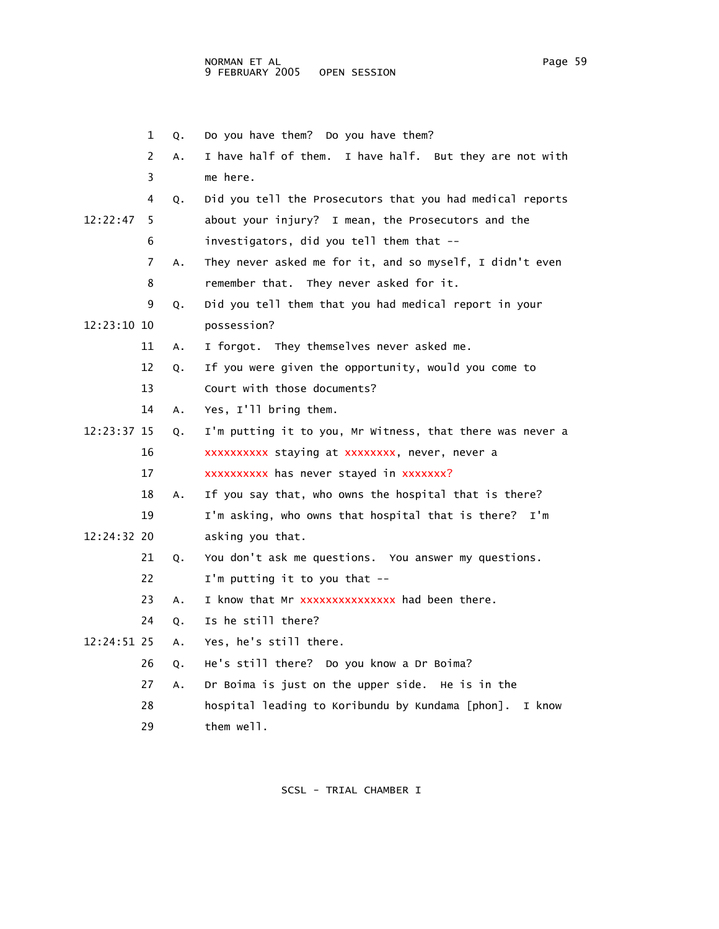|             | 1  | Q. | Do you have them? Do you have them?                        |
|-------------|----|----|------------------------------------------------------------|
|             | 2  | А. | I have half of them. I have half. But they are not with    |
|             | 3  |    | me here.                                                   |
|             | 4  | Q. | Did you tell the Prosecutors that you had medical reports  |
| 12:22:47    | 5  |    | about your injury? I mean, the Prosecutors and the         |
|             | 6  |    | investigators, did you tell them that --                   |
|             | 7  | A. | They never asked me for it, and so myself, I didn't even   |
|             | 8  |    | remember that. They never asked for it.                    |
|             | 9  | Q. | Did you tell them that you had medical report in your      |
| 12:23:10 10 |    |    | possession?                                                |
|             | 11 | Α. | I forgot. They themselves never asked me.                  |
|             | 12 | Q. | If you were given the opportunity, would you come to       |
|             | 13 |    | Court with those documents?                                |
|             | 14 | Α. | Yes, I'll bring them.                                      |
| 12:23:37 15 |    | Q. | I'm putting it to you, Mr Witness, that there was never a  |
|             | 16 |    | xxxxxxxxxx staying at xxxxxxxx, never, never a             |
|             | 17 |    | xxxxxxxxx has never stayed in xxxxxxx?                     |
|             | 18 | А. | If you say that, who owns the hospital that is there?      |
|             | 19 |    | I'm asking, who owns that hospital that is there? I'm      |
| 12:24:32 20 |    |    | asking you that.                                           |
|             | 21 | Q. | You don't ask me questions. You answer my questions.       |
|             | 22 |    | I'm putting it to you that --                              |
|             | 23 | A. | I know that Mr xxxxxxxxxxxxxx had been there.              |
|             | 24 | Q. | Is he still there?                                         |
| 12:24:51 25 |    | A. | Yes, he's still there.                                     |
|             | 26 | Q. | He's still there? Do you know a Dr Boima?                  |
|             | 27 | А. | Dr Boima is just on the upper side. He is in the           |
|             | 28 |    | hospital leading to Koribundu by Kundama [phon].<br>I know |
|             | 29 |    | them well.                                                 |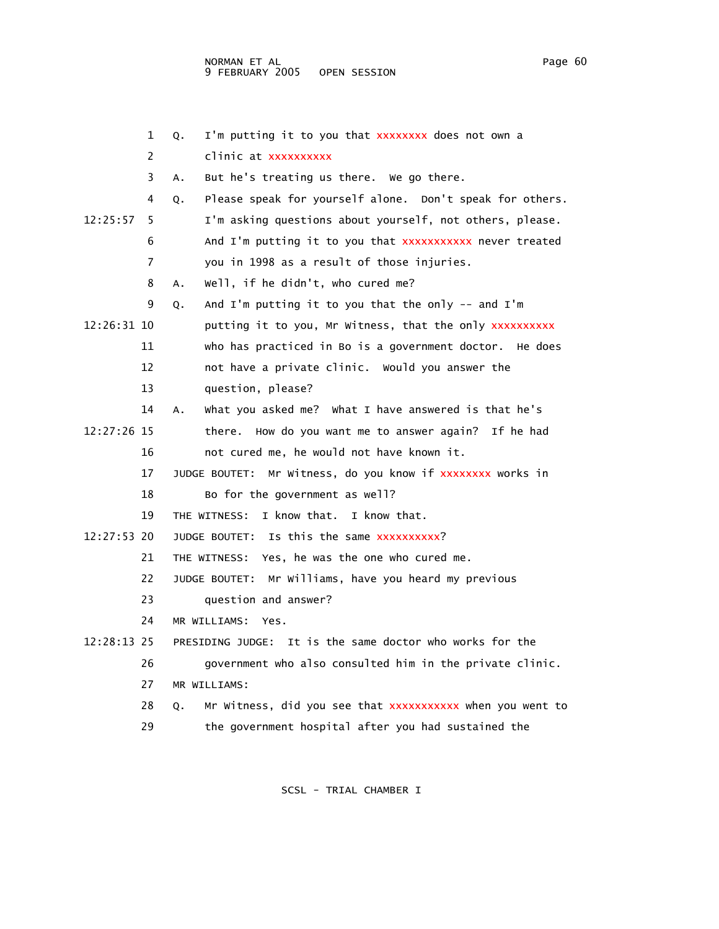|             | 1  | I'm putting it to you that XXXXXXXX does not own a<br>Q.       |
|-------------|----|----------------------------------------------------------------|
|             | 2  | clinic at xxxxxxxxxx                                           |
|             | 3  | But he's treating us there. We go there.<br>Α.                 |
|             | 4  | Please speak for yourself alone. Don't speak for others.<br>Q. |
| 12:25:57    | 5  | I'm asking questions about yourself, not others, please.       |
|             | 6  | And I'm putting it to you that XXXXXXXXXX never treated        |
|             | 7  | you in 1998 as a result of those injuries.                     |
|             | 8  | well, if he didn't, who cured me?<br>Α.                        |
|             | 9  | And I'm putting it to you that the only $-$ and I'm<br>Q.      |
| 12:26:31 10 |    | putting it to you, Mr Witness, that the only xxxxxxxxxx        |
|             | 11 | who has practiced in Bo is a government doctor. He does        |
|             | 12 | not have a private clinic. Would you answer the                |
|             | 13 | question, please?                                              |
|             | 14 | what you asked me? what I have answered is that he's<br>А.     |
| 12:27:26 15 |    | there. How do you want me to answer again? If he had           |
|             | 16 | not cured me, he would not have known it.                      |
|             | 17 | Mr Witness, do you know if xxxxxxxx works in<br>JUDGE BOUTET:  |
|             | 18 | Bo for the government as well?                                 |
|             | 19 | I know that. I know that.<br>THE WITNESS:                      |
| 12:27:53 20 |    | JUDGE BOUTET: Is this the same xxxxxxxxxx?                     |
|             | 21 | THE WITNESS: Yes, he was the one who cured me.                 |
|             | 22 | JUDGE BOUTET: Mr Williams, have you heard my previous          |
|             | 23 | question and answer?                                           |
|             | 24 | MR WILLIAMS:<br>Yes.                                           |
| 12:28:13 25 |    | It is the same doctor who works for the<br>PRESIDING JUDGE:    |
|             | 26 | government who also consulted him in the private clinic.       |
|             | 27 | MR WILLIAMS:                                                   |
|             | 28 | Mr Witness, did you see that XXXXXXXXXX when you went to<br>О. |
|             | 29 | the government hospital after you had sustained the            |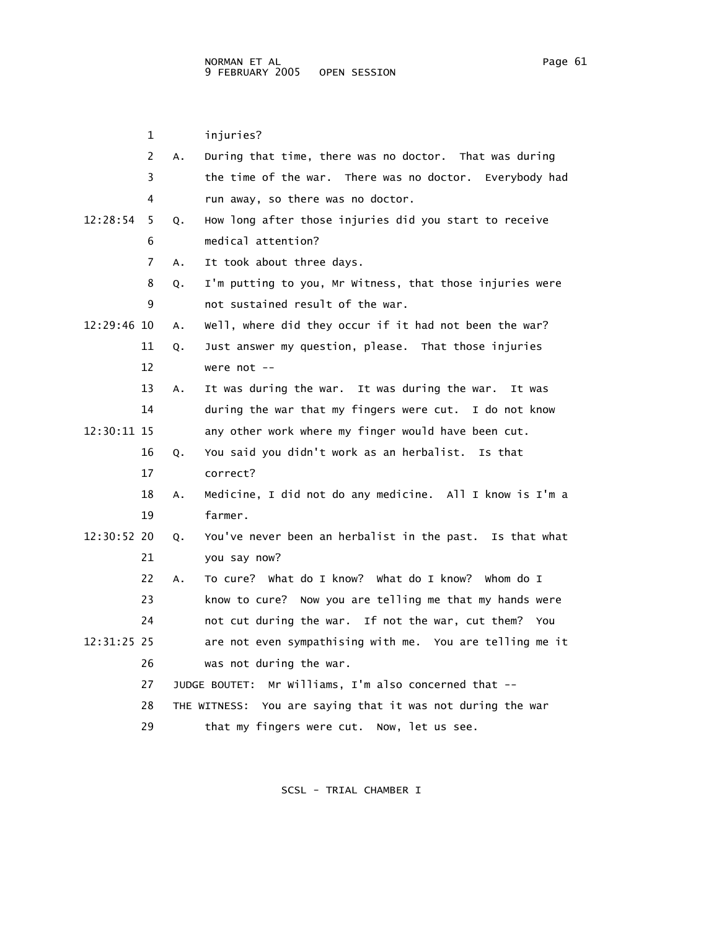1 injuries? 2 A. During that time, there was no doctor. That was during 3 the time of the war. There was no doctor. Everybody had 4 run away, so there was no doctor. 12:28:54 5 Q. How long after those injuries did you start to receive 6 medical attention? 7 A. It took about three days. 8 Q. I'm putting to you, Mr Witness, that those injuries were 9 not sustained result of the war. 12:29:46 10 A. Well, where did they occur if it had not been the war? 11 Q. Just answer my question, please. That those injuries 12 were not -- 13 A. It was during the war. It was during the war. It was 14 during the war that my fingers were cut. I do not know 12:30:11 15 any other work where my finger would have been cut. 16 Q. You said you didn't work as an herbalist. Is that 17 correct? 18 A. Medicine, I did not do any medicine. All I know is I'm a 19 farmer. 12:30:52 20 Q. You've never been an herbalist in the past. Is that what 21 you say now? 22 A. To cure? What do I know? What do I know? Whom do I 23 know to cure? Now you are telling me that my hands were 24 not cut during the war. If not the war, cut them? You 12:31:25 25 are not even sympathising with me. You are telling me it 26 was not during the war. 27 JUDGE BOUTET: Mr Williams, I'm also concerned that -- 28 THE WITNESS: You are saying that it was not during the war 29 that my fingers were cut. Now, let us see.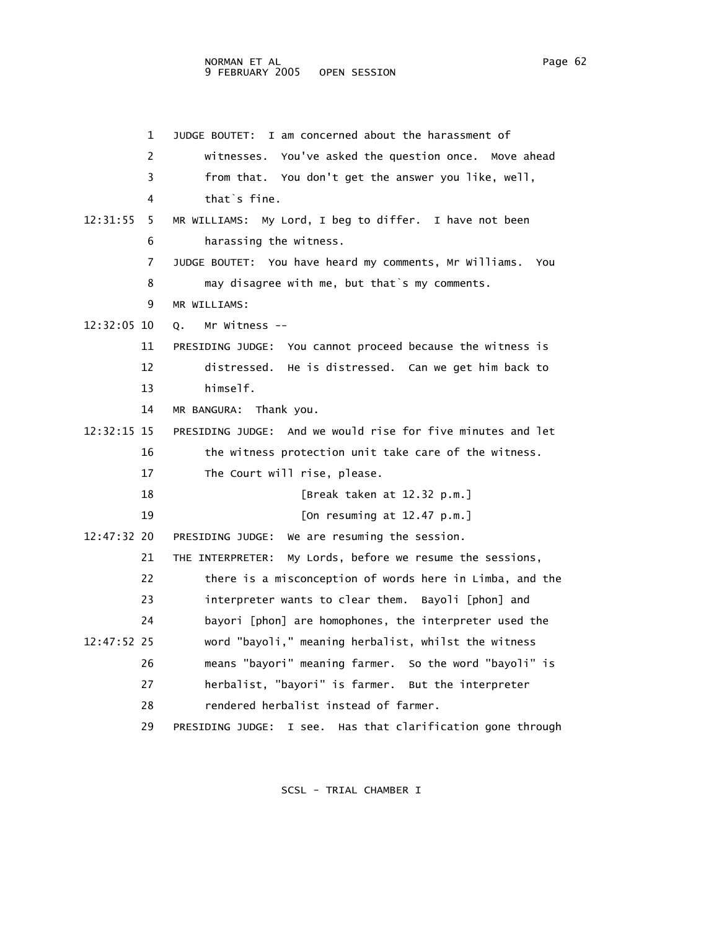## NORMAN ET AL Page 62 9 FEBRUARY 2005 OPEN SESSION

 1 JUDGE BOUTET: I am concerned about the harassment of 2 witnesses. You've asked the question once. Move ahead 3 from that. You don't get the answer you like, well, 4 that`s fine. 12:31:55 5 MR WILLIAMS: My Lord, I beg to differ. I have not been 6 harassing the witness. 7 JUDGE BOUTET: You have heard my comments, Mr Williams. You 8 may disagree with me, but that`s my comments. 9 MR WILLIAMS: 12:32:05 10 Q. Mr Witness -- 11 PRESIDING JUDGE: You cannot proceed because the witness is 12 distressed. He is distressed. Can we get him back to 13 himself. 14 MR BANGURA: Thank you. 12:32:15 15 PRESIDING JUDGE: And we would rise for five minutes and let 16 the witness protection unit take care of the witness. 17 The Court will rise, please. 18 [Break taken at 12.32 p.m.] 19 [On resuming at 12.47 p.m.] 12:47:32 20 PRESIDING JUDGE: We are resuming the session. 21 THE INTERPRETER: My Lords, before we resume the sessions, 22 there is a misconception of words here in Limba, and the 23 interpreter wants to clear them. Bayoli [phon] and 24 bayori [phon] are homophones, the interpreter used the 12:47:52 25 word "bayoli," meaning herbalist, whilst the witness 26 means "bayori" meaning farmer. So the word "bayoli" is 27 herbalist, "bayori" is farmer. But the interpreter 28 rendered herbalist instead of farmer. 29 PRESIDING JUDGE: I see. Has that clarification gone through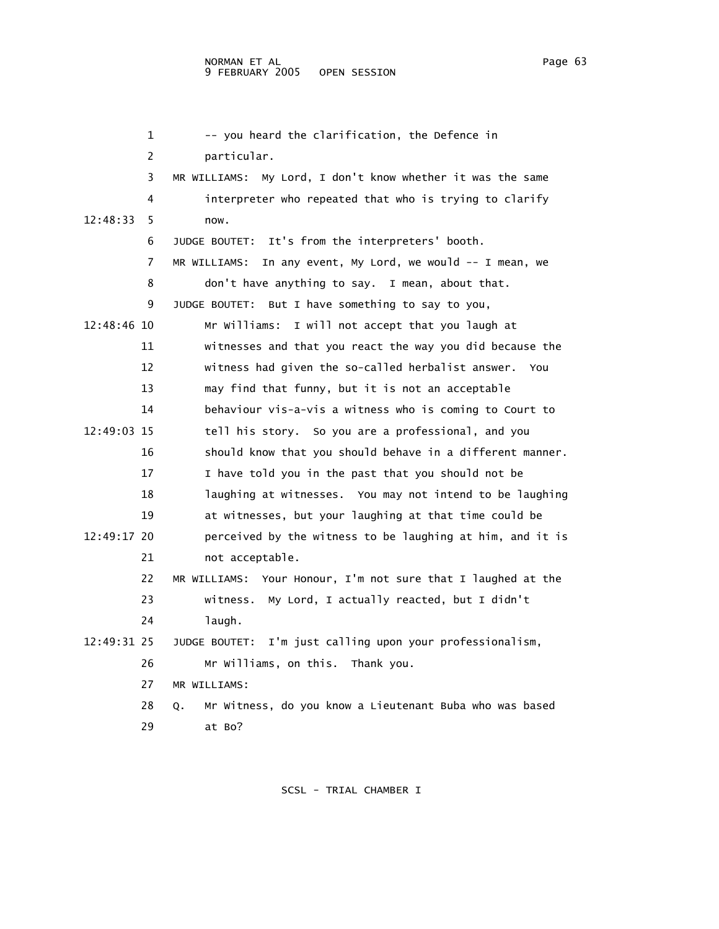|             | $\mathbf{1}$ | -- you heard the clarification, the Defence in                |
|-------------|--------------|---------------------------------------------------------------|
|             | 2            | particular.                                                   |
|             | 3            | MR WILLIAMS: My Lord, I don't know whether it was the same    |
|             | 4            | interpreter who repeated that who is trying to clarify        |
| 12:48:33    | 5            | now.                                                          |
|             | 6            | JUDGE BOUTET: It's from the interpreters' booth.              |
|             | 7            | MR WILLIAMS: In any event, My Lord, we would -- I mean, we    |
|             | 8            | don't have anything to say. I mean, about that.               |
|             | 9            | JUDGE BOUTET: But I have something to say to you,             |
| 12:48:46 10 |              | Mr Williams: I will not accept that you laugh at              |
|             | 11           | witnesses and that you react the way you did because the      |
|             | 12           | witness had given the so-called herbalist answer.<br>You      |
|             | 13           | may find that funny, but it is not an acceptable              |
|             | 14           | behaviour vis-a-vis a witness who is coming to Court to       |
| 12:49:03 15 |              | tell his story. So you are a professional, and you            |
|             | 16           | should know that you should behave in a different manner.     |
|             | 17           | I have told you in the past that you should not be            |
|             | 18           | laughing at witnesses. You may not intend to be laughing      |
|             | 19           | at witnesses, but your laughing at that time could be         |
| 12:49:17 20 |              | perceived by the witness to be laughing at him, and it is     |
|             | 21           | not acceptable.                                               |
|             | 22           | MR WILLIAMS: Your Honour, I'm not sure that I laughed at the  |
|             | 23           | witness. My Lord, I actually reacted, but I didn't            |
|             | 24           | laugh.                                                        |
| 12:49:31 25 |              | I'm just calling upon your professionalism,<br>JUDGE BOUTET:  |
|             | 26           | Mr Williams, on this. Thank you.                              |
|             | 27           | MR WILLIAMS:                                                  |
|             | 28           | Mr Witness, do you know a Lieutenant Buba who was based<br>Q. |
|             | 29           | at Bo?                                                        |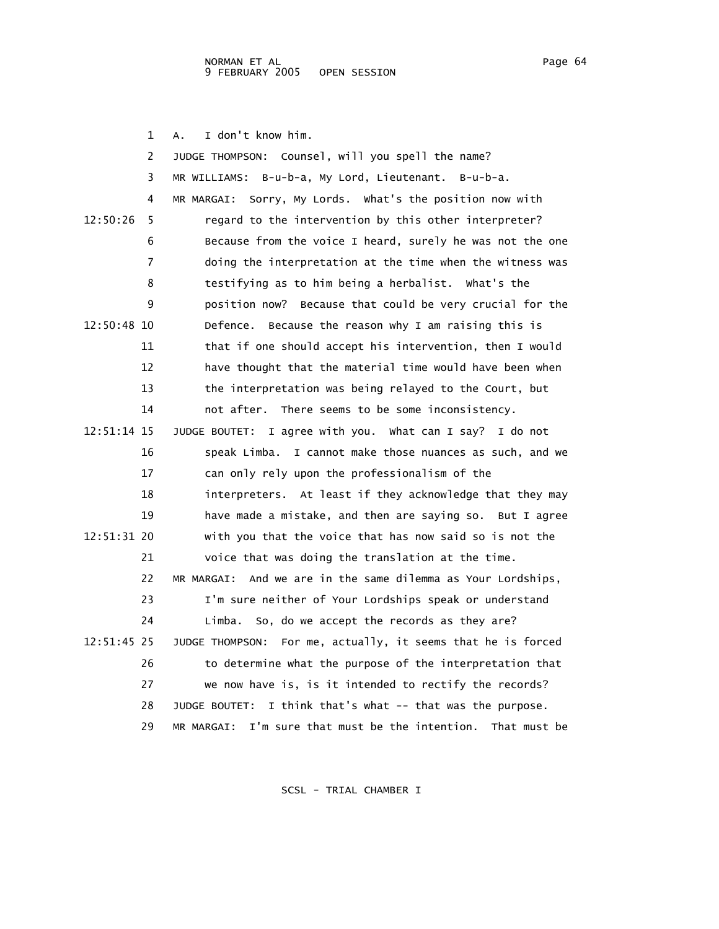1 A. I don't know him.

 2 JUDGE THOMPSON: Counsel, will you spell the name? 3 MR WILLIAMS: B-u-b-a, My Lord, Lieutenant. B-u-b-a. 4 MR MARGAI: Sorry, My Lords. What's the position now with 12:50:26 5 regard to the intervention by this other interpreter? 6 Because from the voice I heard, surely he was not the one 7 doing the interpretation at the time when the witness was 8 testifying as to him being a herbalist. What's the 9 position now? Because that could be very crucial for the 12:50:48 10 Defence. Because the reason why I am raising this is 11 that if one should accept his intervention, then I would 12 have thought that the material time would have been when 13 the interpretation was being relayed to the Court, but 14 not after. There seems to be some inconsistency. 12:51:14 15 JUDGE BOUTET: I agree with you. What can I say? I do not 16 speak Limba. I cannot make those nuances as such, and we 17 can only rely upon the professionalism of the 18 interpreters. At least if they acknowledge that they may 19 have made a mistake, and then are saying so. But I agree 12:51:31 20 with you that the voice that has now said so is not the 21 voice that was doing the translation at the time. 22 MR MARGAI: And we are in the same dilemma as Your Lordships, 23 I'm sure neither of Your Lordships speak or understand 24 Limba. So, do we accept the records as they are? 12:51:45 25 JUDGE THOMPSON: For me, actually, it seems that he is forced 26 to determine what the purpose of the interpretation that 27 we now have is, is it intended to rectify the records? 28 JUDGE BOUTET: I think that's what -- that was the purpose. 29 MR MARGAI: I'm sure that must be the intention. That must be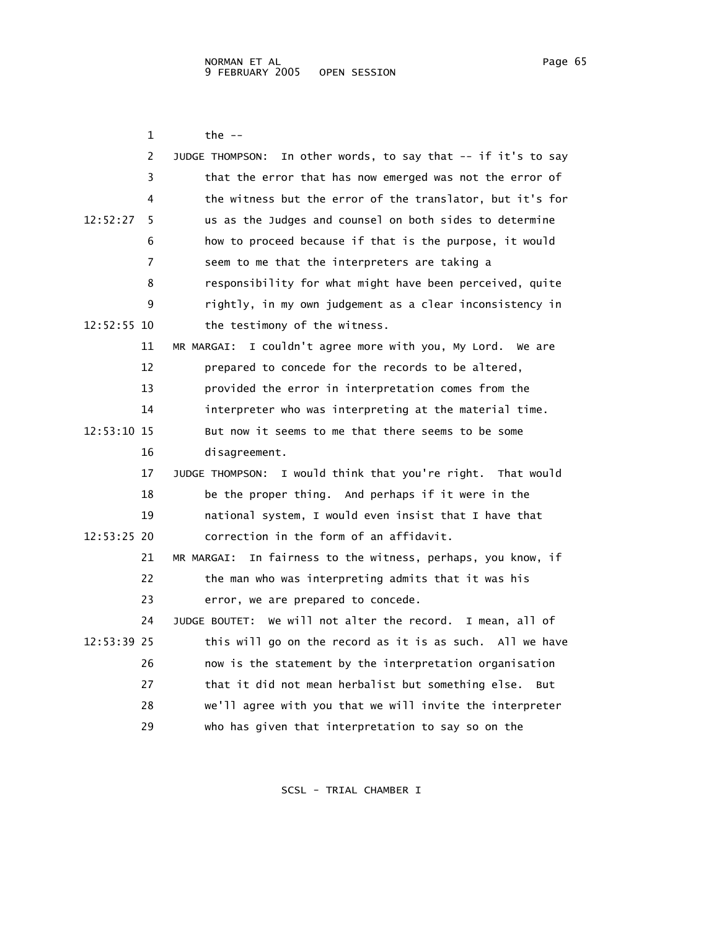| 1             | the --                                                           |
|---------------|------------------------------------------------------------------|
| 2             | In other words, to say that -- if it's to say<br>JUDGE THOMPSON: |
| 3             | that the error that has now emerged was not the error of         |
| 4             | the witness but the error of the translator, but it's for        |
| 12:52:27<br>5 | us as the Judges and counsel on both sides to determine          |
| 6             | how to proceed because if that is the purpose, it would          |
| 7             | seem to me that the interpreters are taking a                    |
| 8             | responsibility for what might have been perceived, quite         |
| 9             | rightly, in my own judgement as a clear inconsistency in         |
| 12:52:55 10   | the testimony of the witness.                                    |
| 11            | I couldn't agree more with you, My Lord. We are<br>MR MARGAI:    |
| 12            | prepared to concede for the records to be altered,               |
| 13            | provided the error in interpretation comes from the              |
| 14            | interpreter who was interpreting at the material time.           |
| 12:53:10 15   | But now it seems to me that there seems to be some               |
| 16            | disagreement.                                                    |
| 17            | JUDGE THOMPSON: I would think that you're right. That would      |
| 18            | be the proper thing. And perhaps if it were in the               |
| 19            | national system, I would even insist that I have that            |
| 12:53:25 20   | correction in the form of an affidavit.                          |
| 21            | In fairness to the witness, perhaps, you know, if<br>MR MARGAI:  |
| 22            | the man who was interpreting admits that it was his              |
| 23            | error, we are prepared to concede.                               |
| 24            | We will not alter the record. I mean, all of<br>JUDGE BOUTET:    |
| 12:53:39 25   | this will go on the record as it is as such. All we have         |
| 26            | now is the statement by the interpretation organisation          |
| 27            | that it did not mean herbalist but something else.<br><b>But</b> |
| 28            | we'll agree with you that we will invite the interpreter         |
| 29            | who has given that interpretation to say so on the               |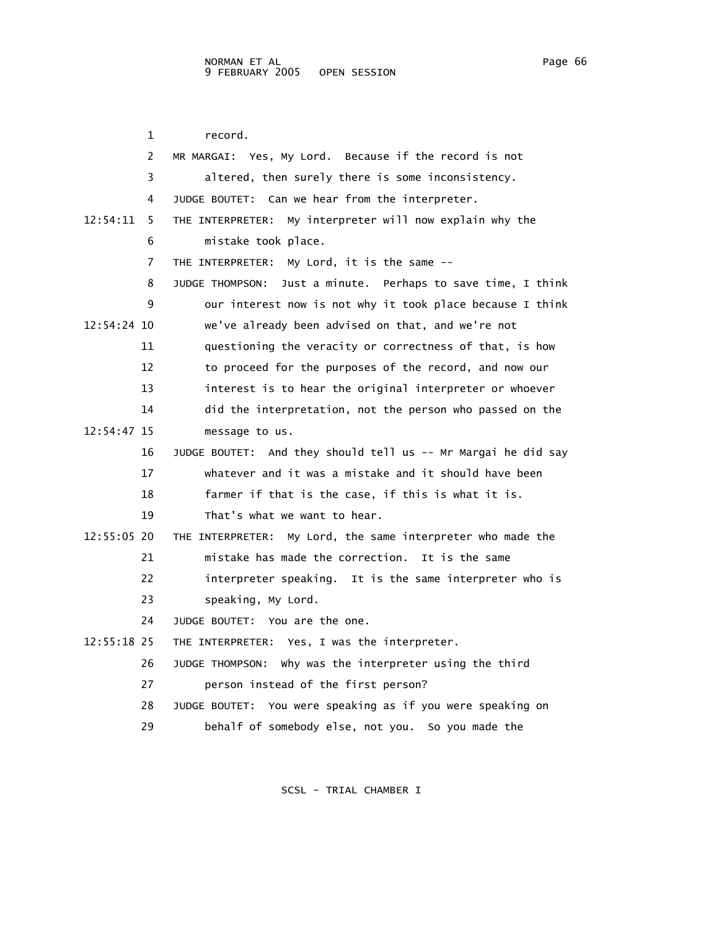1 record. 2 MR MARGAI: Yes, My Lord. Because if the record is not 3 altered, then surely there is some inconsistency. 4 JUDGE BOUTET: Can we hear from the interpreter. 12:54:11 5 THE INTERPRETER: My interpreter will now explain why the 6 mistake took place. 7 THE INTERPRETER: My Lord, it is the same -- 8 JUDGE THOMPSON: Just a minute. Perhaps to save time, I think 9 our interest now is not why it took place because I think 12:54:24 10 we've already been advised on that, and we're not 11 questioning the veracity or correctness of that, is how 12 to proceed for the purposes of the record, and now our 13 interest is to hear the original interpreter or whoever 14 did the interpretation, not the person who passed on the 12:54:47 15 message to us. 16 JUDGE BOUTET: And they should tell us -- Mr Margai he did say 17 whatever and it was a mistake and it should have been 18 farmer if that is the case, if this is what it is. 19 That's what we want to hear. 12:55:05 20 THE INTERPRETER: My Lord, the same interpreter who made the 21 mistake has made the correction. It is the same 22 interpreter speaking. It is the same interpreter who is 23 speaking, My Lord. 24 JUDGE BOUTET: You are the one. 12:55:18 25 THE INTERPRETER: Yes, I was the interpreter. 26 JUDGE THOMPSON: Why was the interpreter using the third 27 person instead of the first person? 28 JUDGE BOUTET: You were speaking as if you were speaking on 29 behalf of somebody else, not you. So you made the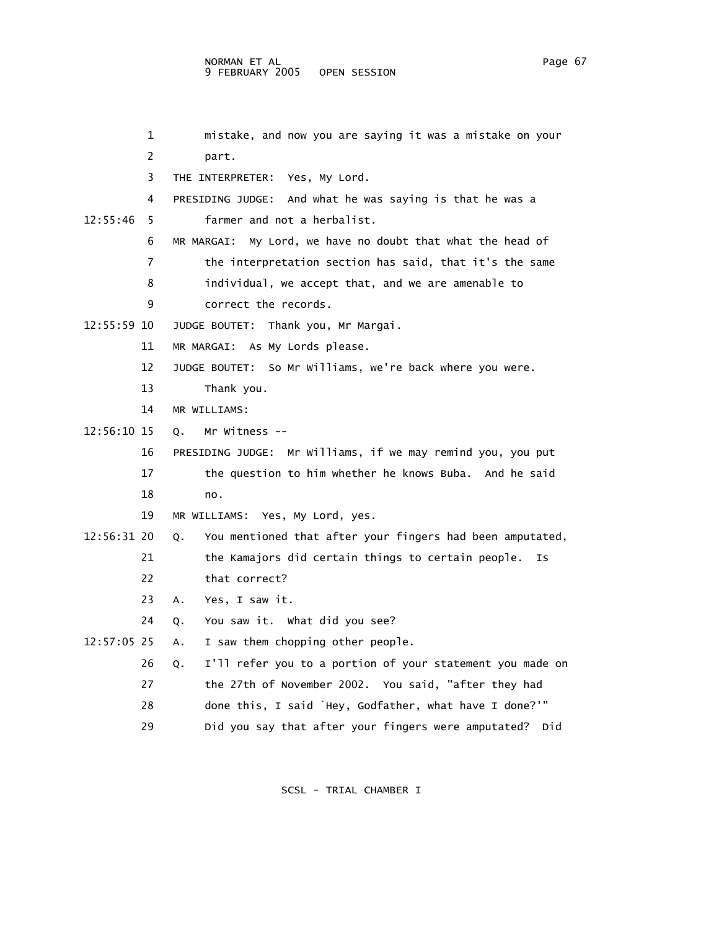1 mistake, and now you are saying it was a mistake on your 2 part. 3 THE INTERPRETER: Yes, My Lord. 4 PRESIDING JUDGE: And what he was saying is that he was a 12:55:46 5 farmer and not a herbalist. 6 MR MARGAI: My Lord, we have no doubt that what the head of 7 the interpretation section has said, that it's the same 8 individual, we accept that, and we are amenable to 9 correct the records. 12:55:59 10 JUDGE BOUTET: Thank you, Mr Margai. 11 MR MARGAI: As My Lords please. 12 JUDGE BOUTET: So Mr Williams, we're back where you were. 13 Thank you. 14 MR WILLIAMS: 12:56:10 15 Q. Mr Witness -- 16 PRESIDING JUDGE: Mr Williams, if we may remind you, you put 17 the question to him whether he knows Buba. And he said 18 no. 19 MR WILLIAMS: Yes, My Lord, yes. 12:56:31 20 Q. You mentioned that after your fingers had been amputated, 21 the Kamajors did certain things to certain people. Is 22 that correct? 23 A. Yes, I saw it. 24 Q. You saw it. What did you see? 12:57:05 25 A. I saw them chopping other people. 26 Q. I'll refer you to a portion of your statement you made on 27 the 27th of November 2002. You said, "after they had 28 done this, I said `Hey, Godfather, what have I done?'" 29 Did you say that after your fingers were amputated? Did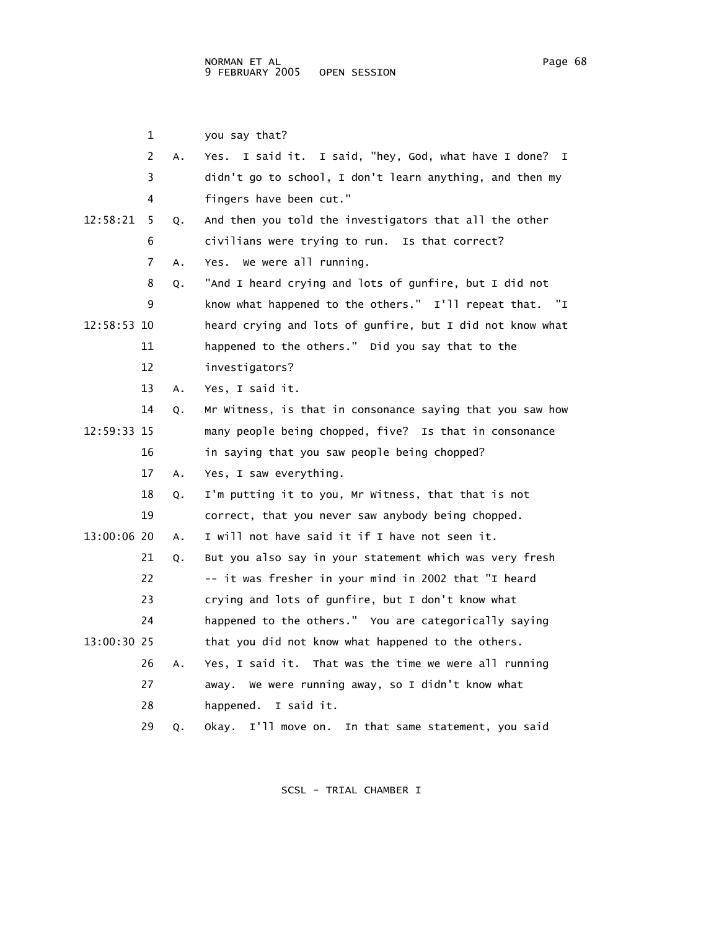1 you say that? 2 A. Yes. I said it. I said, "hey, God, what have I done? I 3 didn't go to school, I don't learn anything, and then my 4 fingers have been cut." 12:58:21 5 Q. And then you told the investigators that all the other 6 civilians were trying to run. Is that correct? 7 A. Yes. We were all running. 8 Q. "And I heard crying and lots of gunfire, but I did not 9 know what happened to the others." I'll repeat that. "I 12:58:53 10 heard crying and lots of gunfire, but I did not know what 11 happened to the others." Did you say that to the 12 investigators? 13 A. Yes, I said it. 14 Q. Mr Witness, is that in consonance saying that you saw how 12:59:33 15 many people being chopped, five? Is that in consonance 16 in saying that you saw people being chopped? 17 A. Yes, I saw everything. 18 Q. I'm putting it to you, Mr Witness, that that is not 19 correct, that you never saw anybody being chopped. 13:00:06 20 A. I will not have said it if I have not seen it. 21 Q. But you also say in your statement which was very fresh 22 -- it was fresher in your mind in 2002 that "I heard 23 crying and lots of gunfire, but I don't know what 24 happened to the others." You are categorically saying 13:00:30 25 that you did not know what happened to the others. 26 A. Yes, I said it. That was the time we were all running 27 away. We were running away, so I didn't know what 28 happened. I said it. 29 Q. Okay. I'll move on. In that same statement, you said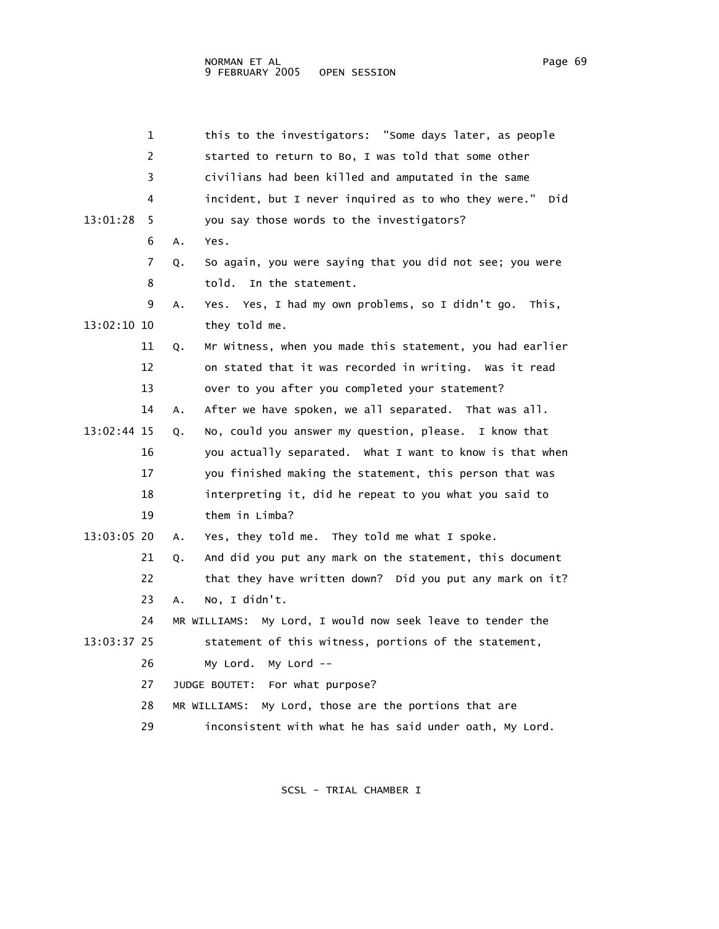|             | 1  |    | this to the investigators: "Some days later, as people        |
|-------------|----|----|---------------------------------------------------------------|
|             | 2  |    | started to return to Bo, I was told that some other           |
|             | 3  |    | civilians had been killed and amputated in the same           |
|             | 4  |    | incident, but I never inquired as to who they were."<br>Did   |
| 13:01:28    | 5  |    | you say those words to the investigators?                     |
|             | 6  | Α. | Yes.                                                          |
|             | 7  | Q. | So again, you were saying that you did not see; you were      |
|             | 8  |    | In the statement.<br>told.                                    |
|             | 9  | А. | Yes. Yes, I had my own problems, so I didn't go.<br>This.     |
| 13:02:10 10 |    |    | they told me.                                                 |
|             | 11 | Q. | Mr Witness, when you made this statement, you had earlier     |
|             | 12 |    | on stated that it was recorded in writing. Was it read        |
|             | 13 |    | over to you after you completed your statement?               |
|             | 14 | Α. | After we have spoken, we all separated. That was all.         |
| 13:02:44 15 |    | Q. | No, could you answer my question, please. I know that         |
|             | 16 |    | you actually separated. What I want to know is that when      |
|             | 17 |    | you finished making the statement, this person that was       |
|             | 18 |    | interpreting it, did he repeat to you what you said to        |
|             | 19 |    | them in Limba?                                                |
| 13:03:05 20 |    | А. | Yes, they told me. They told me what I spoke.                 |
|             | 21 | Q. | And did you put any mark on the statement, this document      |
|             | 22 |    | that they have written down? Did you put any mark on it?      |
|             | 23 | А. | No, I didn't.                                                 |
|             | 24 |    | My Lord, I would now seek leave to tender the<br>MR WILLIAMS: |
| 13:03:37 25 |    |    | statement of this witness, portions of the statement,         |
|             | 26 |    | My Lord $--$<br>My Lord.                                      |
|             | 27 |    | JUDGE BOUTET: For what purpose?                               |
|             | 28 |    | My Lord, those are the portions that are<br>MR WILLIAMS:      |
|             | 29 |    | inconsistent with what he has said under oath, My Lord.       |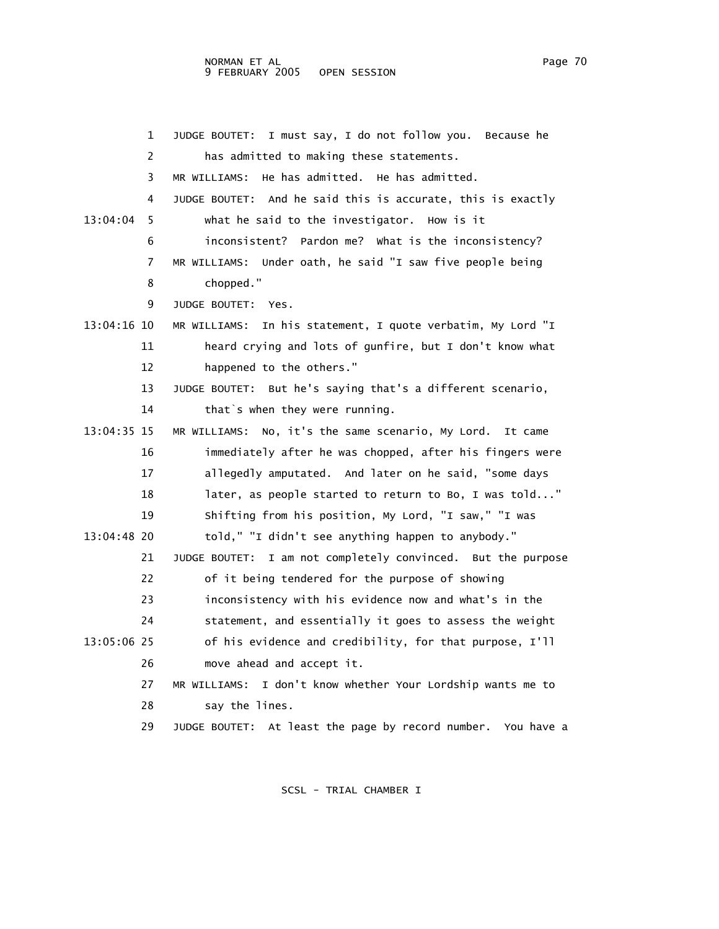1 JUDGE BOUTET: I must say, I do not follow you. Because he 2 has admitted to making these statements. 3 MR WILLIAMS: He has admitted. He has admitted. 4 JUDGE BOUTET: And he said this is accurate, this is exactly 13:04:04 5 what he said to the investigator. How is it 6 inconsistent? Pardon me? What is the inconsistency? 7 MR WILLIAMS: Under oath, he said "I saw five people being 8 chopped." 9 JUDGE BOUTET: Yes. 13:04:16 10 MR WILLIAMS: In his statement, I quote verbatim, My Lord "I 11 heard crying and lots of gunfire, but I don't know what 12 happened to the others." 13 JUDGE BOUTET: But he's saying that's a different scenario, 14 that s when they were running. 13:04:35 15 MR WILLIAMS: No, it's the same scenario, My Lord. It came 16 immediately after he was chopped, after his fingers were 17 allegedly amputated. And later on he said, "some days 18 later, as people started to return to Bo, I was told..." 19 Shifting from his position, My Lord, "I saw," "I was 13:04:48 20 told," "I didn't see anything happen to anybody." 21 JUDGE BOUTET: I am not completely convinced. But the purpose 22 of it being tendered for the purpose of showing 23 inconsistency with his evidence now and what's in the 24 statement, and essentially it goes to assess the weight 13:05:06 25 of his evidence and credibility, for that purpose, I'll 26 move ahead and accept it. 27 MR WILLIAMS: I don't know whether Your Lordship wants me to 28 say the lines. 29 JUDGE BOUTET: At least the page by record number. You have a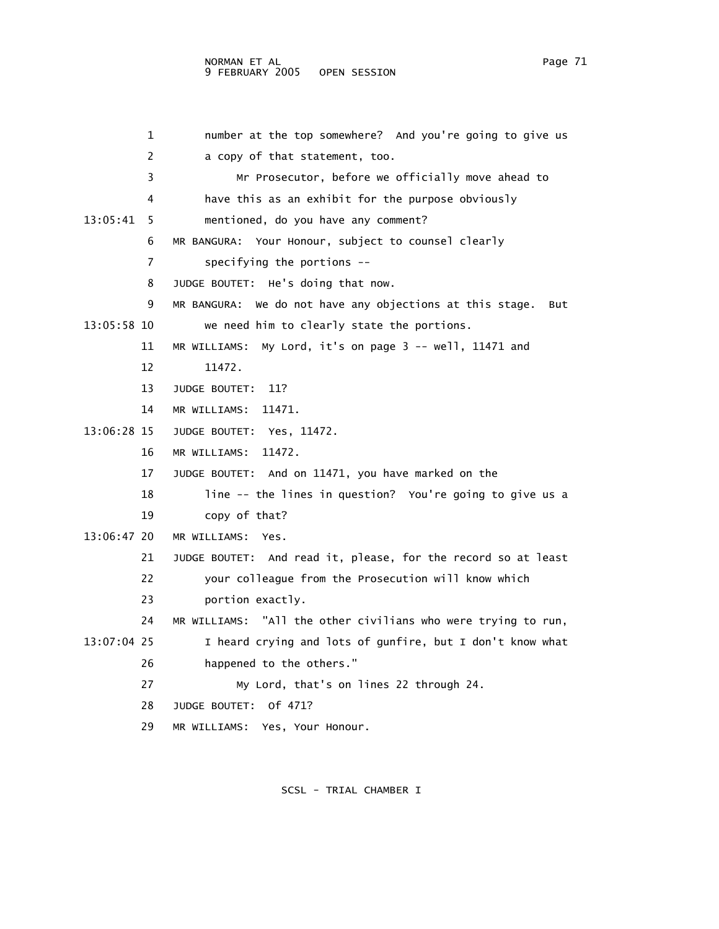|             | 1  | number at the top somewhere? And you're going to give us        |
|-------------|----|-----------------------------------------------------------------|
|             | 2  | a copy of that statement, too.                                  |
|             | 3  | Mr Prosecutor, before we officially move ahead to               |
|             | 4  | have this as an exhibit for the purpose obviously               |
| 13:05:41    | 5  | mentioned, do you have any comment?                             |
|             | 6  | MR BANGURA: Your Honour, subject to counsel clearly             |
|             | 7  | specifying the portions $-$ -                                   |
|             | 8  | JUDGE BOUTET: He's doing that now.                              |
|             | 9  | MR BANGURA: We do not have any objections at this stage.<br>But |
| 13:05:58 10 |    | we need him to clearly state the portions.                      |
|             | 11 | MR WILLIAMS:<br>My Lord, it's on page 3 -- well, 11471 and      |
|             | 12 | 11472.                                                          |
|             | 13 | JUDGE BOUTET:<br>11?                                            |
|             | 14 | MR WILLIAMS: 11471.                                             |
| 13:06:28 15 |    | JUDGE BOUTET: Yes, 11472.                                       |
|             | 16 | 11472.<br>MR WILLIAMS:                                          |
|             | 17 | JUDGE BOUTET: And on 11471, you have marked on the              |
|             | 18 | line -- the lines in question? You're going to give us a        |
|             | 19 | copy of that?                                                   |
| 13:06:47 20 |    | MR WILLIAMS:<br>Yes.                                            |
|             | 21 | JUDGE BOUTET: And read it, please, for the record so at least   |
|             | 22 | your colleague from the Prosecution will know which             |
|             | 23 | portion exactly.                                                |
|             | 24 | MR WILLIAMS: "All the other civilians who were trying to run,   |
| 13:07:04 25 |    | I heard crying and lots of gunfire, but I don't know what       |
|             | 26 | happened to the others."                                        |
|             | 27 | My Lord, that's on lines 22 through 24.                         |
|             | 28 | JUDGE BOUTET: Of 471?                                           |
|             | 29 | MR WILLIAMS: Yes, Your Honour.                                  |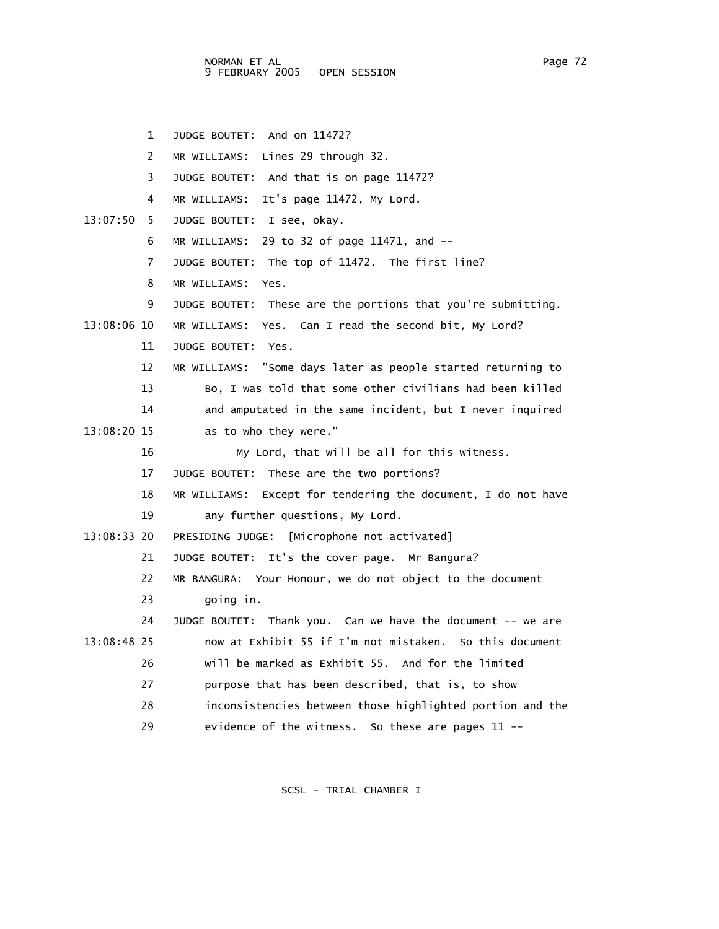NORMAN ET AL Page 72 9 FEBRUARY 2005 OPEN SESSION

 1 JUDGE BOUTET: And on 11472? 2 MR WILLIAMS: Lines 29 through 32. 3 JUDGE BOUTET: And that is on page 11472? 4 MR WILLIAMS: It's page 11472, My Lord. 13:07:50 5 JUDGE BOUTET: I see, okay. 6 MR WILLIAMS: 29 to 32 of page 11471, and -- 7 JUDGE BOUTET: The top of 11472. The first line? 8 MR WILLIAMS: Yes. 9 JUDGE BOUTET: These are the portions that you're submitting. 13:08:06 10 MR WILLIAMS: Yes. Can I read the second bit, My Lord? 11 JUDGE BOUTET: Yes. 12 MR WILLIAMS: "Some days later as people started returning to 13 Bo, I was told that some other civilians had been killed 14 and amputated in the same incident, but I never inquired 13:08:20 15 as to who they were." 16 My Lord, that will be all for this witness. 17 JUDGE BOUTET: These are the two portions? 18 MR WILLIAMS: Except for tendering the document, I do not have 19 any further questions, My Lord. 13:08:33 20 PRESIDING JUDGE: [Microphone not activated] 21 JUDGE BOUTET: It's the cover page. Mr Bangura? 22 MR BANGURA: Your Honour, we do not object to the document 23 going in. 24 JUDGE BOUTET: Thank you. Can we have the document -- we are 13:08:48 25 now at Exhibit 55 if I'm not mistaken. So this document 26 will be marked as Exhibit 55. And for the limited 27 purpose that has been described, that is, to show 28 inconsistencies between those highlighted portion and the 29 evidence of the witness. So these are pages 11 --

SCSL - TRIAL CHAMBER I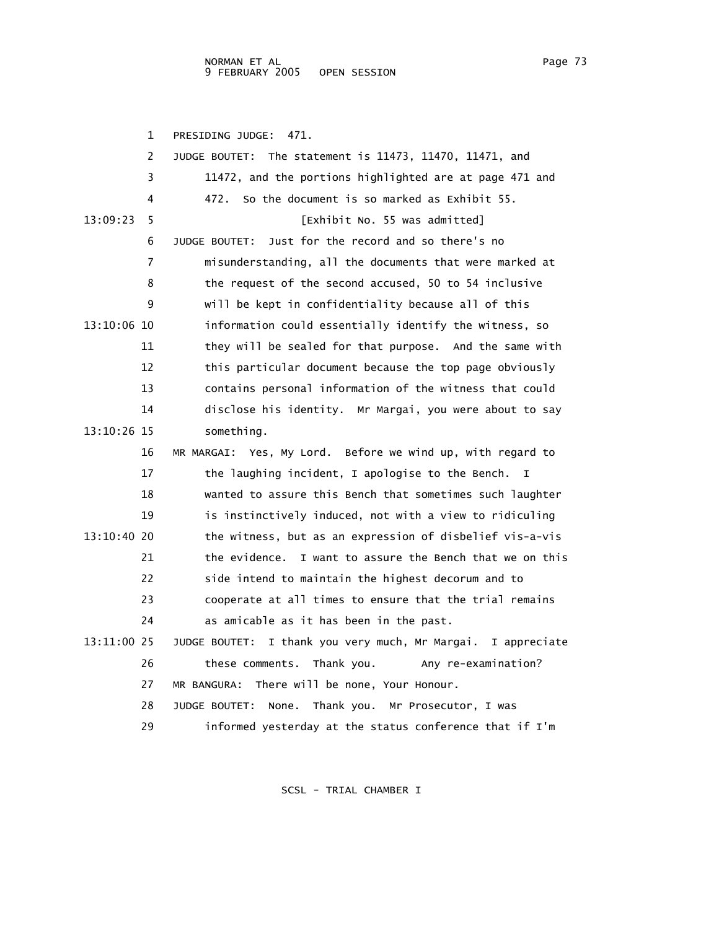1 PRESIDING JUDGE: 471. 2 JUDGE BOUTET: The statement is 11473, 11470, 11471, and 3 11472, and the portions highlighted are at page 471 and 4 472. So the document is so marked as Exhibit 55. 13:09:23 5 [Exhibit No. 55 was admitted] 6 JUDGE BOUTET: Just for the record and so there's no 7 misunderstanding, all the documents that were marked at 8 the request of the second accused, 50 to 54 inclusive 9 will be kept in confidentiality because all of this 13:10:06 10 information could essentially identify the witness, so 11 they will be sealed for that purpose. And the same with 12 this particular document because the top page obviously 13 contains personal information of the witness that could 14 disclose his identity. Mr Margai, you were about to say 13:10:26 15 something. 16 MR MARGAI: Yes, My Lord. Before we wind up, with regard to 17 the laughing incident, I apologise to the Bench. I 18 wanted to assure this Bench that sometimes such laughter 19 is instinctively induced, not with a view to ridiculing 13:10:40 20 the witness, but as an expression of disbelief vis-a-vis 21 the evidence. I want to assure the Bench that we on this 22 side intend to maintain the highest decorum and to 23 cooperate at all times to ensure that the trial remains 24 as amicable as it has been in the past. 13:11:00 25 JUDGE BOUTET: I thank you very much, Mr Margai. I appreciate 26 these comments. Thank you. Any re-examination? 27 MR BANGURA: There will be none, Your Honour. 28 JUDGE BOUTET: None. Thank you. Mr Prosecutor, I was 29 informed yesterday at the status conference that if I'm

SCSL - TRIAL CHAMBER I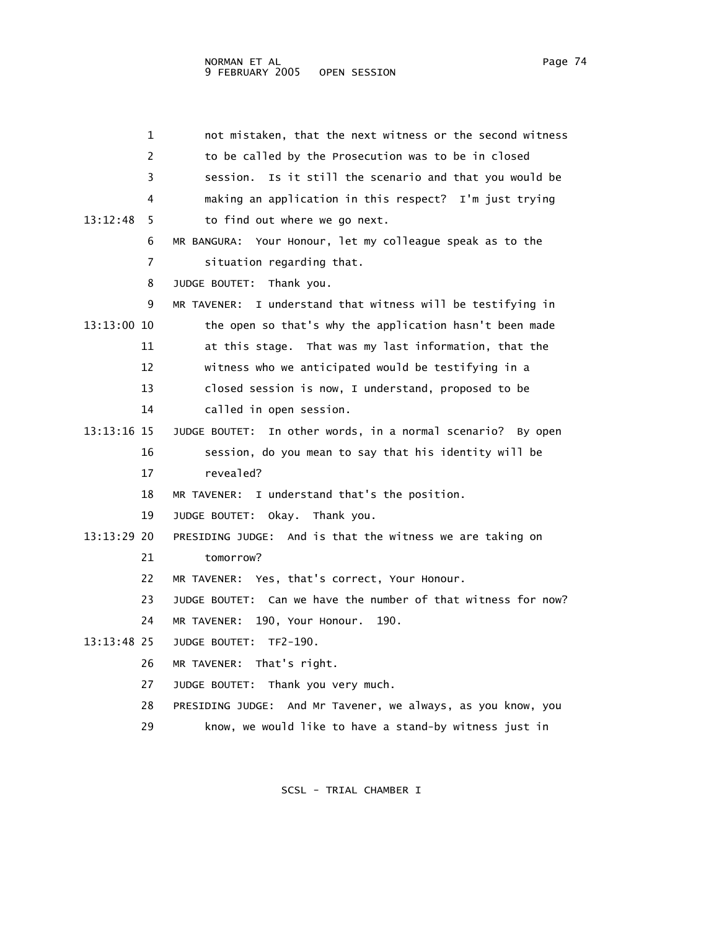1 not mistaken, that the next witness or the second witness 2 to be called by the Prosecution was to be in closed 3 session. Is it still the scenario and that you would be 4 making an application in this respect? I'm just trying 13:12:48 5 to find out where we go next. 6 MR BANGURA: Your Honour, let my colleague speak as to the 7 situation regarding that. 8 JUDGE BOUTET: Thank you. 9 MR TAVENER: I understand that witness will be testifying in 13:13:00 10 the open so that's why the application hasn't been made 11 at this stage. That was my last information, that the 12 witness who we anticipated would be testifying in a 13 closed session is now, I understand, proposed to be 14 called in open session. 13:13:16 15 JUDGE BOUTET: In other words, in a normal scenario? By open 16 session, do you mean to say that his identity will be 17 revealed? 18 MR TAVENER: I understand that's the position. 19 JUDGE BOUTET: Okay. Thank you. 13:13:29 20 PRESIDING JUDGE: And is that the witness we are taking on 21 tomorrow? 22 MR TAVENER: Yes, that's correct, Your Honour. 23 JUDGE BOUTET: Can we have the number of that witness for now? 24 MR TAVENER: 190, Your Honour. 190. 13:13:48 25 JUDGE BOUTET: TF2-190. 26 MR TAVENER: That's right. 27 JUDGE BOUTET: Thank you very much. 28 PRESIDING JUDGE: And Mr Tavener, we always, as you know, you 29 know, we would like to have a stand-by witness just in

SCSL - TRIAL CHAMBER I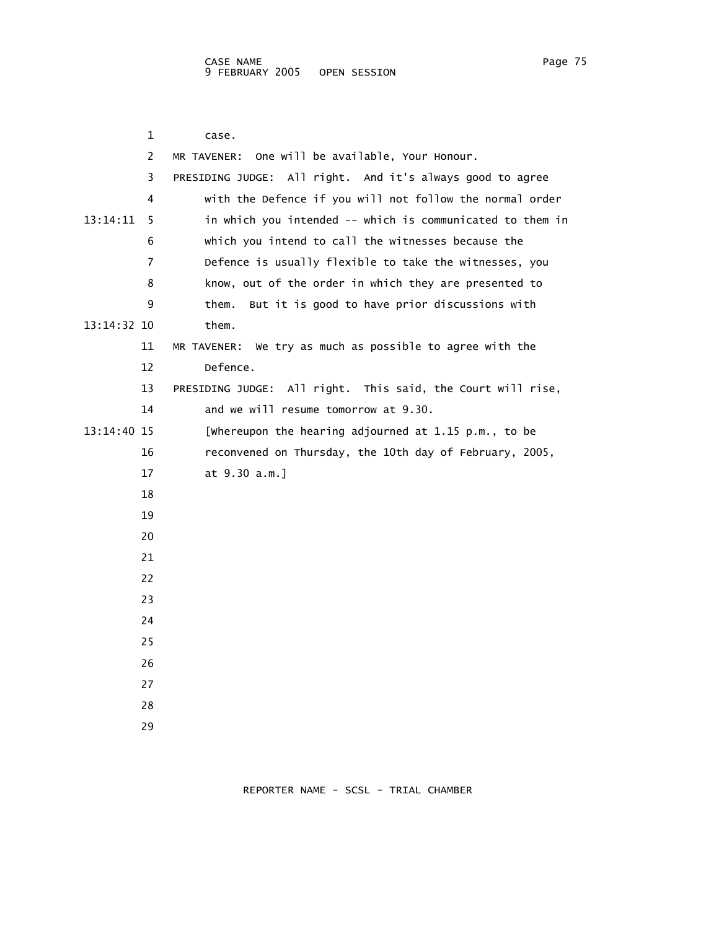|             | 1              | case.                                                       |
|-------------|----------------|-------------------------------------------------------------|
|             | 2              | MR TAVENER: One will be available, Your Honour.             |
|             | 3              | PRESIDING JUDGE: All right. And it's always good to agree   |
|             | 4              | with the Defence if you will not follow the normal order    |
| 13:14:11    | 5.             | in which you intended -- which is communicated to them in   |
|             | 6              | which you intend to call the witnesses because the          |
|             | $\overline{7}$ | Defence is usually flexible to take the witnesses, you      |
|             | 8              | know, out of the order in which they are presented to       |
|             | 9              | But it is good to have prior discussions with<br>them.      |
| 13:14:32 10 |                | them.                                                       |
|             | 11             | MR TAVENER: We try as much as possible to agree with the    |
|             | 12             | Defence.                                                    |
|             | 13             | PRESIDING JUDGE: All right. This said, the Court will rise, |
|             | 14             | and we will resume tomorrow at 9.30.                        |
| 13:14:40 15 |                | [whereupon the hearing adjourned at 1.15 p.m., to be        |
|             | 16             | reconvened on Thursday, the 10th day of February, 2005,     |
|             | 17             | at 9.30 a.m.]                                               |
|             | 18             |                                                             |
|             | 19             |                                                             |
|             | 20             |                                                             |
|             | 21             |                                                             |
|             | 22             |                                                             |
|             | 23             |                                                             |
|             | 24             |                                                             |
|             | 25             |                                                             |
|             | 26             |                                                             |
|             | 27             |                                                             |
|             | 28             |                                                             |
|             | 29             |                                                             |

REPORTER NAME - SCSL - TRIAL CHAMBER